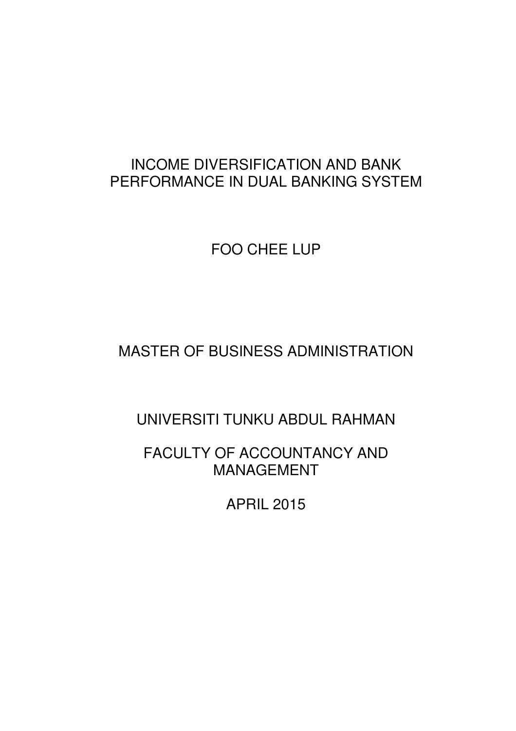## INCOME DIVERSIFICATION AND BANK PERFORMANCE IN DUAL BANKING SYSTEM

FOO CHEE LUP

MASTER OF BUSINESS ADMINISTRATION

UNIVERSITI TUNKU ABDUL RAHMAN

FACULTY OF ACCOUNTANCY AND MANAGEMENT

APRIL 2015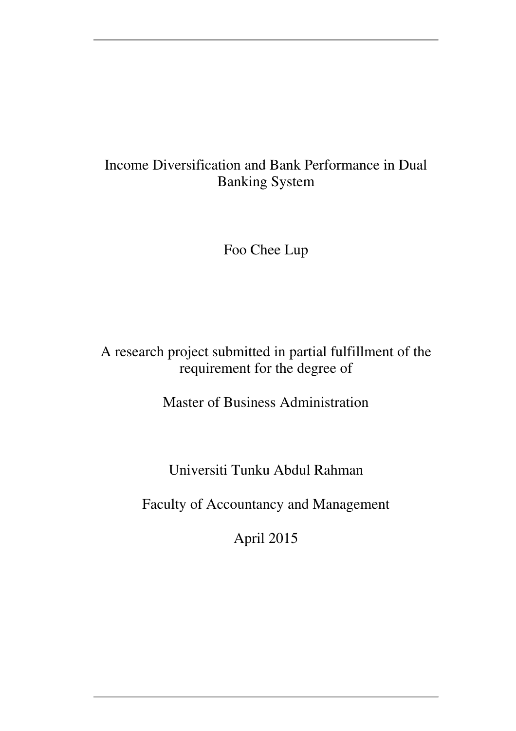## Income Diversification and Bank Performance in Dual Banking System

Foo Chee Lup

## A research project submitted in partial fulfillment of the requirement for the degree of

Master of Business Administration

Universiti Tunku Abdul Rahman

Faculty of Accountancy and Management

April 2015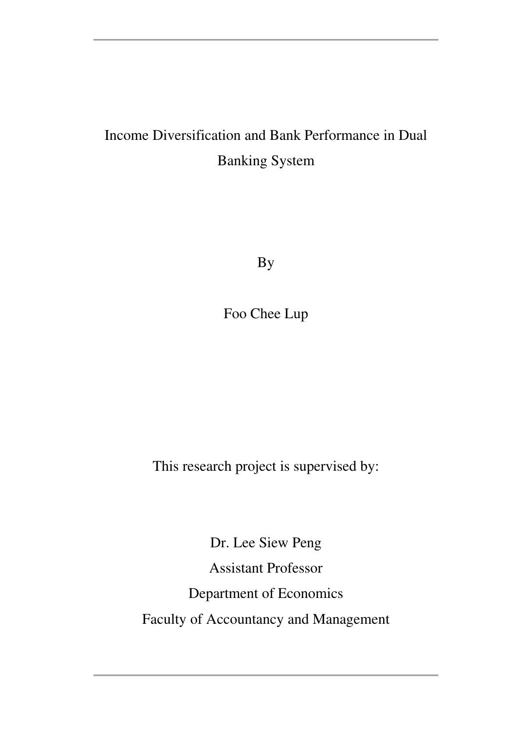# Income Diversification and Bank Performance in Dual Banking System

By

Foo Chee Lup

This research project is supervised by:

Dr. Lee Siew Peng Assistant Professor Department of Economics Faculty of Accountancy and Management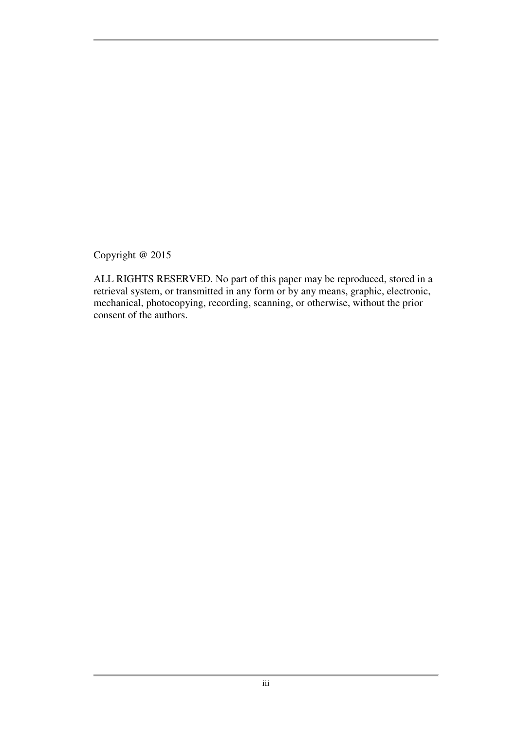Copyright @ 2015

ALL RIGHTS RESERVED. No part of this paper may be reproduced, stored in a retrieval system, or transmitted in any form or by any means, graphic, electronic, mechanical, photocopying, recording, scanning, or otherwise, without the prior consent of the authors.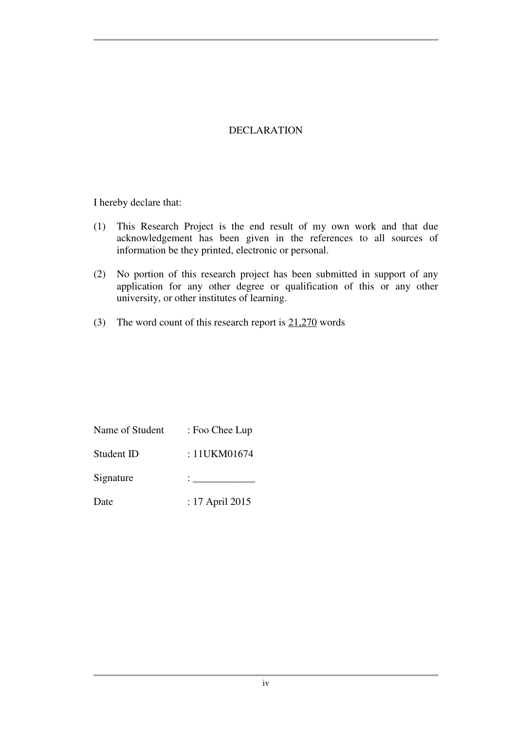#### DECLARATION

I hereby declare that:

- (1) This Research Project is the end result of my own work and that due acknowledgement has been given in the references to all sources of information be they printed, electronic or personal.
- (2) No portion of this research project has been submitted in support of any application for any other degree or qualification of this or any other university, or other institutes of learning.
- (3) The word count of this research report is  $21,270$  words

| Name of Student | : Foo Chee Lup  |
|-----------------|-----------------|
| Student ID      | : 11UKM01674    |
| Signature       |                 |
| Date            | : 17 April 2015 |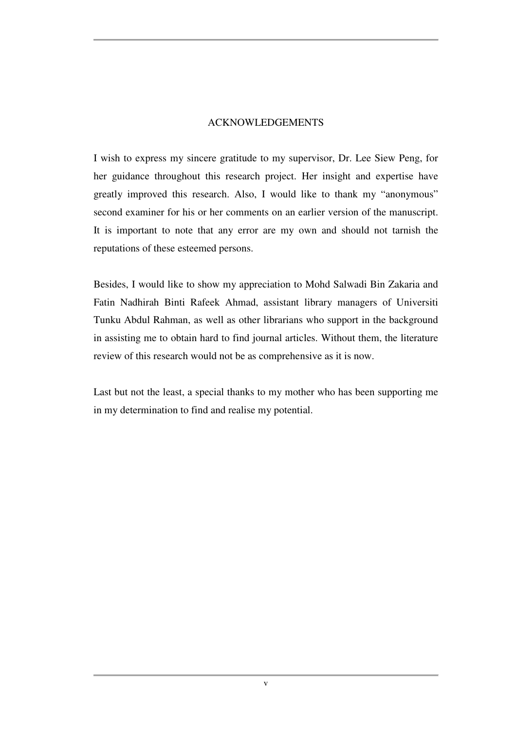#### ACKNOWLEDGEMENTS

I wish to express my sincere gratitude to my supervisor, Dr. Lee Siew Peng, for her guidance throughout this research project. Her insight and expertise have greatly improved this research. Also, I would like to thank my "anonymous" second examiner for his or her comments on an earlier version of the manuscript. It is important to note that any error are my own and should not tarnish the reputations of these esteemed persons.

Besides, I would like to show my appreciation to Mohd Salwadi Bin Zakaria and Fatin Nadhirah Binti Rafeek Ahmad, assistant library managers of Universiti Tunku Abdul Rahman, as well as other librarians who support in the background in assisting me to obtain hard to find journal articles. Without them, the literature review of this research would not be as comprehensive as it is now.

Last but not the least, a special thanks to my mother who has been supporting me in my determination to find and realise my potential.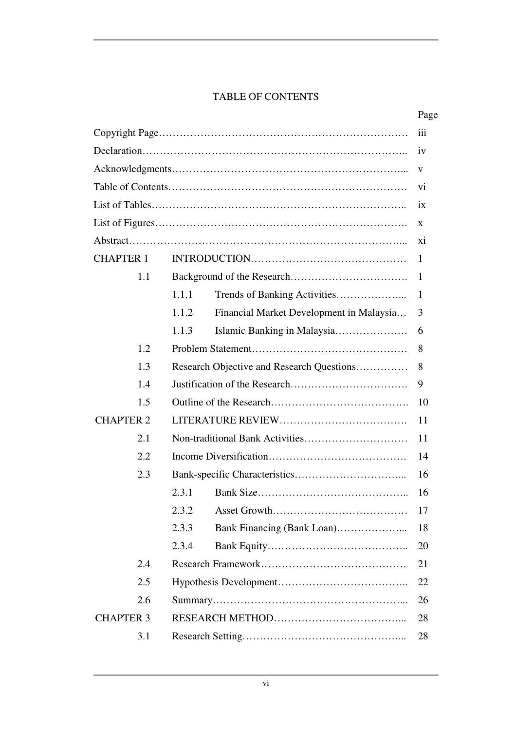#### TABLE OF CONTENTS

|                  |       |                                           | Page           |
|------------------|-------|-------------------------------------------|----------------|
|                  |       |                                           | iii            |
|                  |       |                                           | iv             |
|                  |       |                                           | V              |
|                  |       |                                           | V <sub>1</sub> |
|                  |       |                                           | ix             |
|                  |       |                                           | X              |
|                  |       |                                           | X <sub>1</sub> |
| <b>CHAPTER 1</b> |       |                                           | $\mathbf{1}$   |
| 1.1              |       |                                           | 1              |
|                  | 1.1.1 |                                           | 1              |
|                  | 1.1.2 | Financial Market Development in Malaysia  | 3              |
|                  | 1.1.3 |                                           | 6              |
| 1.2              |       |                                           | 8              |
| 1.3              |       | Research Objective and Research Questions | 8              |
| 1.4              |       |                                           | 9              |
| 1.5              |       |                                           | 10             |
| <b>CHAPTER 2</b> |       |                                           | 11             |
| 2.1              |       |                                           | 11             |
| 2.2              |       |                                           | 14             |
| 2.3              |       |                                           | 16             |
|                  | 2.3.1 |                                           | 16             |
|                  | 2.3.2 |                                           | 17             |
|                  | 2.3.3 |                                           | 18             |
|                  | 2.3.4 |                                           | 20             |
| 2.4              |       |                                           | 21             |
| 2.5              |       |                                           | 22             |
| 2.6              |       |                                           | 26             |
| <b>CHAPTER 3</b> |       | 28                                        |                |
| 3.1              |       |                                           | 28             |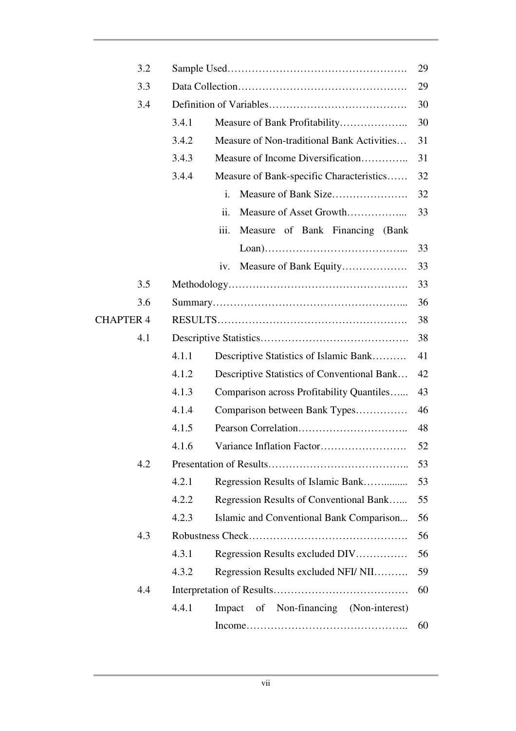| 3.2              |       |                                             | 29 |
|------------------|-------|---------------------------------------------|----|
| 3.3              |       |                                             | 29 |
| 3.4              |       |                                             | 30 |
|                  | 3.4.1 |                                             | 30 |
|                  | 3.4.2 | Measure of Non-traditional Bank Activities  | 31 |
|                  | 3.4.3 | Measure of Income Diversification           | 31 |
|                  | 3.4.4 | Measure of Bank-specific Characteristics    | 32 |
|                  |       | i.                                          | 32 |
|                  |       | ii.                                         | 33 |
|                  |       | iii.<br>Measure of Bank Financing (Bank     |    |
|                  |       |                                             | 33 |
|                  |       | Measure of Bank Equity<br>iv.               | 33 |
| 3.5              |       |                                             | 33 |
| 3.6              |       |                                             | 36 |
| <b>CHAPTER 4</b> |       |                                             | 38 |
| 4.1              |       |                                             | 38 |
|                  | 4.1.1 | Descriptive Statistics of Islamic Bank      | 41 |
|                  | 4.1.2 | Descriptive Statistics of Conventional Bank | 42 |
|                  | 4.1.3 | Comparison across Profitability Quantiles   | 43 |
|                  | 4.1.4 | Comparison between Bank Types               | 46 |
|                  | 4.1.5 |                                             | 48 |
|                  | 4.1.6 |                                             | 52 |
| 4.2              |       |                                             | 53 |
|                  | 4.2.1 | Regression Results of Islamic Bank          | 53 |
|                  | 4.2.2 | Regression Results of Conventional Bank     | 55 |
|                  | 4.2.3 | Islamic and Conventional Bank Comparison    | 56 |
| 4.3              |       |                                             | 56 |
|                  | 4.3.1 | Regression Results excluded DIV             | 56 |
|                  | 4.3.2 | Regression Results excluded NFI/ NII        | 59 |
| 4.4              |       |                                             | 60 |
|                  | 4.4.1 | Impact of Non-financing (Non-interest)      |    |
|                  |       |                                             | 60 |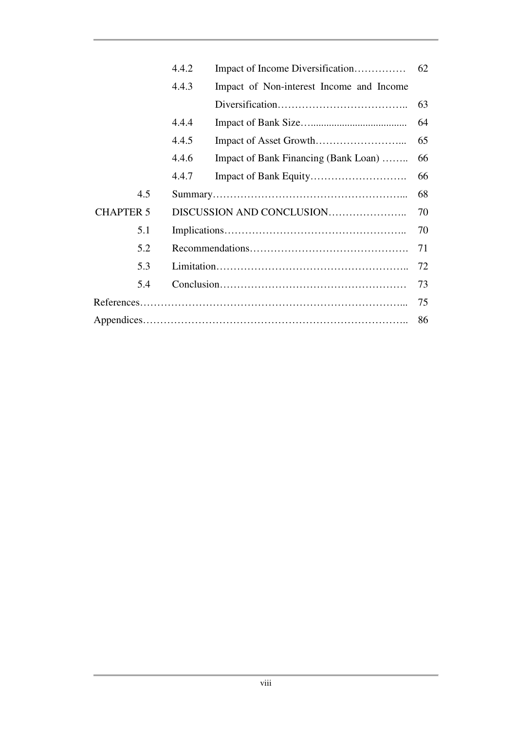|                  | 4.4.2                     | Impact of Income Diversification         | 62 |
|------------------|---------------------------|------------------------------------------|----|
|                  | 4.4.3                     | Impact of Non-interest Income and Income |    |
|                  |                           |                                          | 63 |
|                  | 4.4.4                     |                                          | 64 |
|                  | 4.4.5                     |                                          | 65 |
|                  | 4.4.6                     | Impact of Bank Financing (Bank Loan)     | 66 |
|                  | 4.4.7                     |                                          | 66 |
| 4.5              |                           |                                          | 68 |
| <b>CHAPTER 5</b> | DISCUSSION AND CONCLUSION |                                          | 70 |
| 5.1              |                           |                                          | 70 |
| 5.2              |                           |                                          | 71 |
| 5.3              |                           |                                          | 72 |
| 5.4              |                           |                                          | 73 |
|                  |                           |                                          | 75 |
|                  |                           |                                          | 86 |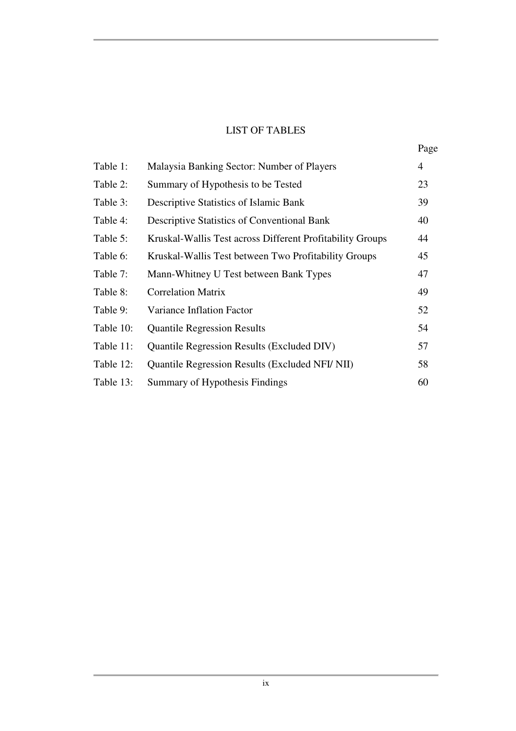### LIST OF TABLES

| Page |
|------|

| Table 1:  | Malaysia Banking Sector: Number of Players                | $\overline{4}$ |
|-----------|-----------------------------------------------------------|----------------|
| Table 2:  | Summary of Hypothesis to be Tested                        | 23             |
| Table 3:  | Descriptive Statistics of Islamic Bank                    | 39             |
| Table 4:  | <b>Descriptive Statistics of Conventional Bank</b>        | 40             |
| Table 5:  | Kruskal-Wallis Test across Different Profitability Groups | 44             |
| Table 6:  | Kruskal-Wallis Test between Two Profitability Groups      | 45             |
| Table 7:  | Mann-Whitney U Test between Bank Types                    | 47             |
| Table 8:  | <b>Correlation Matrix</b>                                 | 49             |
| Table 9:  | Variance Inflation Factor                                 | 52             |
| Table 10: | <b>Quantile Regression Results</b>                        | 54             |
| Table 11: | <b>Quantile Regression Results (Excluded DIV)</b>         | 57             |
| Table 12: | Quantile Regression Results (Excluded NFI/ NII)           | 58             |
| Table 13: | Summary of Hypothesis Findings                            | 60             |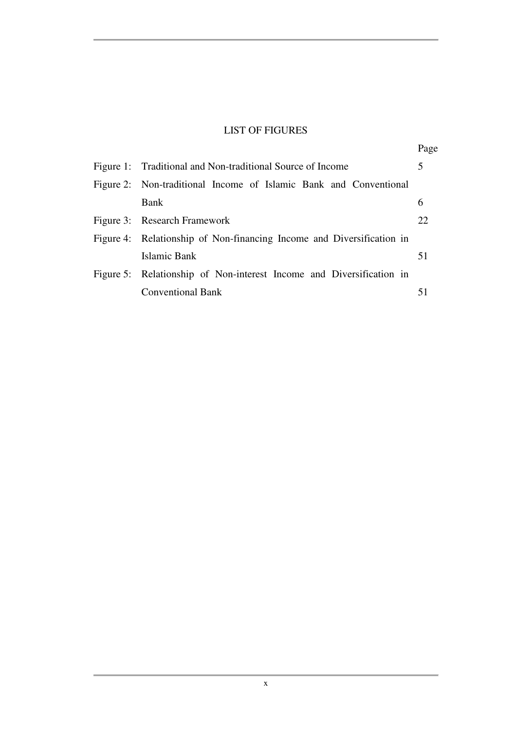### LIST OF FIGURES

|                                                                       | Page |
|-----------------------------------------------------------------------|------|
| Figure 1: Traditional and Non-traditional Source of Income            | 5    |
| Figure 2: Non-traditional Income of Islamic Bank and Conventional     |      |
| Bank                                                                  | 6    |
| Figure 3: Research Framework                                          | 22   |
| Figure 4: Relationship of Non-financing Income and Diversification in |      |
| Islamic Bank                                                          | 51   |
| Figure 5: Relationship of Non-interest Income and Diversification in  |      |
| <b>Conventional Bank</b>                                              |      |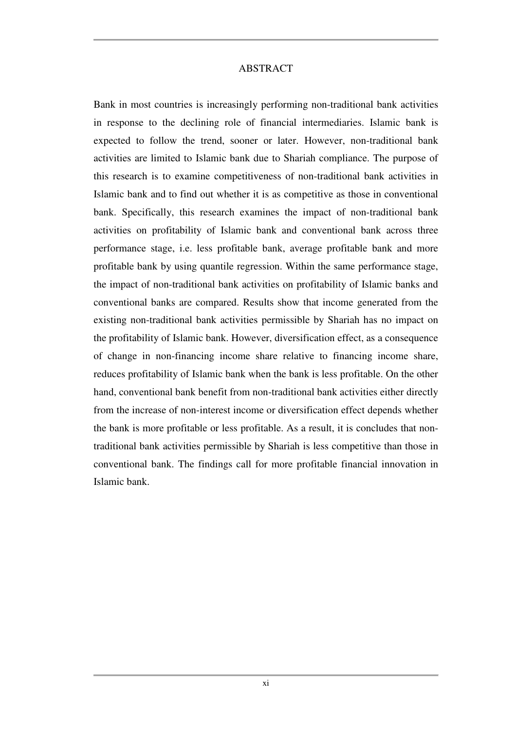#### ABSTRACT

Bank in most countries is increasingly performing non-traditional bank activities in response to the declining role of financial intermediaries. Islamic bank is expected to follow the trend, sooner or later. However, non-traditional bank activities are limited to Islamic bank due to Shariah compliance. The purpose of this research is to examine competitiveness of non-traditional bank activities in Islamic bank and to find out whether it is as competitive as those in conventional bank. Specifically, this research examines the impact of non-traditional bank activities on profitability of Islamic bank and conventional bank across three performance stage, i.e. less profitable bank, average profitable bank and more profitable bank by using quantile regression. Within the same performance stage, the impact of non-traditional bank activities on profitability of Islamic banks and conventional banks are compared. Results show that income generated from the existing non-traditional bank activities permissible by Shariah has no impact on the profitability of Islamic bank. However, diversification effect, as a consequence of change in non-financing income share relative to financing income share, reduces profitability of Islamic bank when the bank is less profitable. On the other hand, conventional bank benefit from non-traditional bank activities either directly from the increase of non-interest income or diversification effect depends whether the bank is more profitable or less profitable. As a result, it is concludes that nontraditional bank activities permissible by Shariah is less competitive than those in conventional bank. The findings call for more profitable financial innovation in Islamic bank.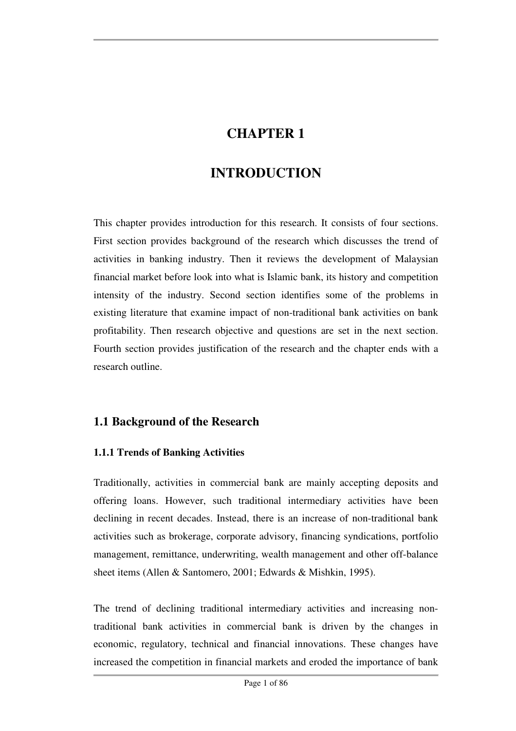## **CHAPTER 1**

## **INTRODUCTION**

This chapter provides introduction for this research. It consists of four sections. First section provides background of the research which discusses the trend of activities in banking industry. Then it reviews the development of Malaysian financial market before look into what is Islamic bank, its history and competition intensity of the industry. Second section identifies some of the problems in existing literature that examine impact of non-traditional bank activities on bank profitability. Then research objective and questions are set in the next section. Fourth section provides justification of the research and the chapter ends with a research outline.

## **1.1 Background of the Research**

#### **1.1.1 Trends of Banking Activities**

Traditionally, activities in commercial bank are mainly accepting deposits and offering loans. However, such traditional intermediary activities have been declining in recent decades. Instead, there is an increase of non-traditional bank activities such as brokerage, corporate advisory, financing syndications, portfolio management, remittance, underwriting, wealth management and other off-balance sheet items (Allen & Santomero, 2001; Edwards & Mishkin, 1995).

The trend of declining traditional intermediary activities and increasing nontraditional bank activities in commercial bank is driven by the changes in economic, regulatory, technical and financial innovations. These changes have increased the competition in financial markets and eroded the importance of bank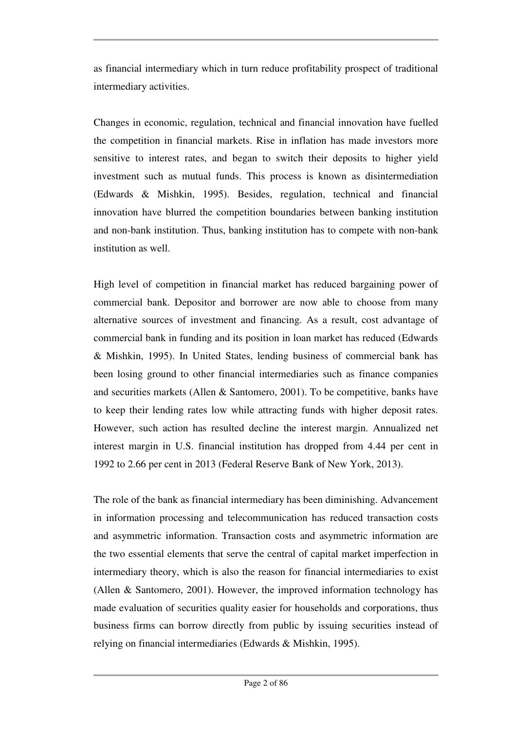as financial intermediary which in turn reduce profitability prospect of traditional intermediary activities.

Changes in economic, regulation, technical and financial innovation have fuelled the competition in financial markets. Rise in inflation has made investors more sensitive to interest rates, and began to switch their deposits to higher yield investment such as mutual funds. This process is known as disintermediation (Edwards & Mishkin, 1995). Besides, regulation, technical and financial innovation have blurred the competition boundaries between banking institution and non-bank institution. Thus, banking institution has to compete with non-bank institution as well.

High level of competition in financial market has reduced bargaining power of commercial bank. Depositor and borrower are now able to choose from many alternative sources of investment and financing. As a result, cost advantage of commercial bank in funding and its position in loan market has reduced (Edwards & Mishkin, 1995). In United States, lending business of commercial bank has been losing ground to other financial intermediaries such as finance companies and securities markets (Allen & Santomero, 2001). To be competitive, banks have to keep their lending rates low while attracting funds with higher deposit rates. However, such action has resulted decline the interest margin. Annualized net interest margin in U.S. financial institution has dropped from 4.44 per cent in 1992 to 2.66 per cent in 2013 (Federal Reserve Bank of New York, 2013).

The role of the bank as financial intermediary has been diminishing. Advancement in information processing and telecommunication has reduced transaction costs and asymmetric information. Transaction costs and asymmetric information are the two essential elements that serve the central of capital market imperfection in intermediary theory, which is also the reason for financial intermediaries to exist (Allen & Santomero, 2001). However, the improved information technology has made evaluation of securities quality easier for households and corporations, thus business firms can borrow directly from public by issuing securities instead of relying on financial intermediaries (Edwards & Mishkin, 1995).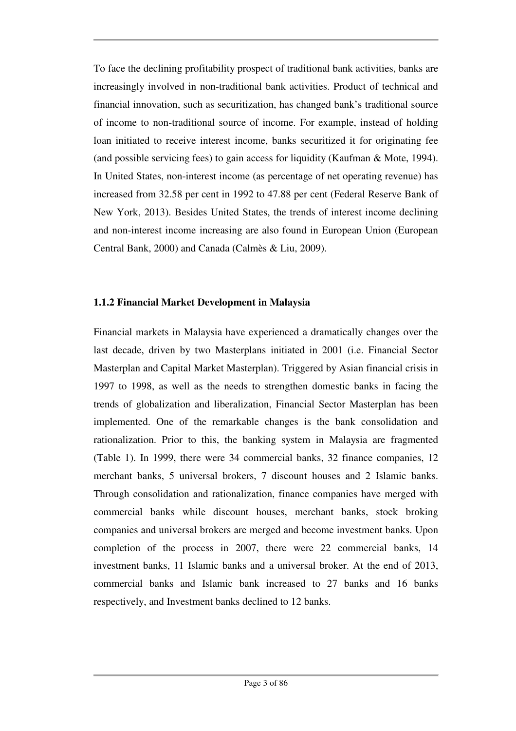To face the declining profitability prospect of traditional bank activities, banks are increasingly involved in non-traditional bank activities. Product of technical and financial innovation, such as securitization, has changed bank's traditional source of income to non-traditional source of income. For example, instead of holding loan initiated to receive interest income, banks securitized it for originating fee (and possible servicing fees) to gain access for liquidity (Kaufman & Mote, 1994). In United States, non-interest income (as percentage of net operating revenue) has increased from 32.58 per cent in 1992 to 47.88 per cent (Federal Reserve Bank of New York, 2013). Besides United States, the trends of interest income declining and non-interest income increasing are also found in European Union (European Central Bank, 2000) and Canada (Calmès & Liu, 2009).

#### **1.1.2 Financial Market Development in Malaysia**

Financial markets in Malaysia have experienced a dramatically changes over the last decade, driven by two Masterplans initiated in 2001 (i.e. Financial Sector Masterplan and Capital Market Masterplan). Triggered by Asian financial crisis in 1997 to 1998, as well as the needs to strengthen domestic banks in facing the trends of globalization and liberalization, Financial Sector Masterplan has been implemented. One of the remarkable changes is the bank consolidation and rationalization. Prior to this, the banking system in Malaysia are fragmented (Table 1). In 1999, there were 34 commercial banks, 32 finance companies, 12 merchant banks, 5 universal brokers, 7 discount houses and 2 Islamic banks. Through consolidation and rationalization, finance companies have merged with commercial banks while discount houses, merchant banks, stock broking companies and universal brokers are merged and become investment banks. Upon completion of the process in 2007, there were 22 commercial banks, 14 investment banks, 11 Islamic banks and a universal broker. At the end of 2013, commercial banks and Islamic bank increased to 27 banks and 16 banks respectively, and Investment banks declined to 12 banks.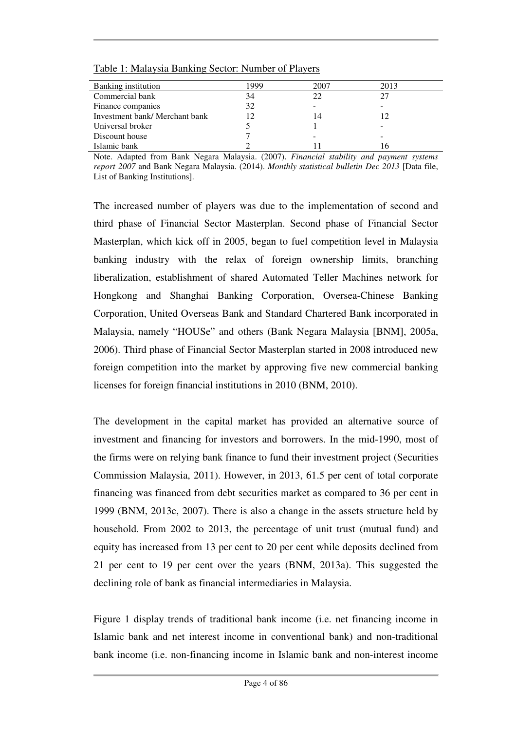| Banking institution            | 1999 | 2007 | 2013 |
|--------------------------------|------|------|------|
| Commercial bank                | 34   | 22   |      |
| Finance companies              | 32   |      |      |
| Investment bank/ Merchant bank | 12   | 14   |      |
| Universal broker               |      |      |      |
| Discount house                 |      |      |      |
| Islamic bank                   |      |      |      |

Table 1: Malaysia Banking Sector: Number of Players

Note. Adapted from Bank Negara Malaysia. (2007). *Financial stability and payment systems report 2007* and Bank Negara Malaysia. (2014). *Monthly statistical bulletin Dec 2013* [Data file, List of Banking Institutions].

The increased number of players was due to the implementation of second and third phase of Financial Sector Masterplan. Second phase of Financial Sector Masterplan, which kick off in 2005, began to fuel competition level in Malaysia banking industry with the relax of foreign ownership limits, branching liberalization, establishment of shared Automated Teller Machines network for Hongkong and Shanghai Banking Corporation, Oversea-Chinese Banking Corporation, United Overseas Bank and Standard Chartered Bank incorporated in Malaysia, namely "HOUSe" and others (Bank Negara Malaysia [BNM], 2005a, 2006). Third phase of Financial Sector Masterplan started in 2008 introduced new foreign competition into the market by approving five new commercial banking licenses for foreign financial institutions in 2010 (BNM, 2010).

The development in the capital market has provided an alternative source of investment and financing for investors and borrowers. In the mid-1990, most of the firms were on relying bank finance to fund their investment project (Securities Commission Malaysia, 2011). However, in 2013, 61.5 per cent of total corporate financing was financed from debt securities market as compared to 36 per cent in 1999 (BNM, 2013c, 2007). There is also a change in the assets structure held by household. From 2002 to 2013, the percentage of unit trust (mutual fund) and equity has increased from 13 per cent to 20 per cent while deposits declined from 21 per cent to 19 per cent over the years (BNM, 2013a). This suggested the declining role of bank as financial intermediaries in Malaysia.

Figure 1 display trends of traditional bank income (i.e. net financing income in Islamic bank and net interest income in conventional bank) and non-traditional bank income (i.e. non-financing income in Islamic bank and non-interest income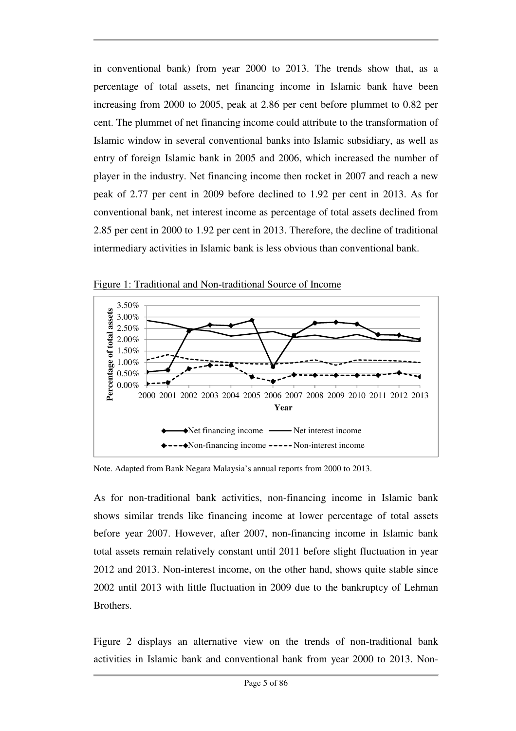in conventional bank) from year 2000 to 2013. The trends show that, as a percentage of total assets, net financing income in Islamic bank have been increasing from 2000 to 2005, peak at 2.86 per cent before plummet to 0.82 per cent. The plummet of net financing income could attribute to the transformation of Islamic window in several conventional banks into Islamic subsidiary, as well as entry of foreign Islamic bank in 2005 and 2006, which increased the number of player in the industry. Net financing income then rocket in 2007 and reach a new peak of 2.77 per cent in 2009 before declined to 1.92 per cent in 2013. As for conventional bank, net interest income as percentage of total assets declined from 2.85 per cent in 2000 to 1.92 per cent in 2013. Therefore, the decline of traditional intermediary activities in Islamic bank is less obvious than conventional bank.



Figure 1: Traditional and Non-traditional Source of Income

Note. Adapted from Bank Negara Malaysia's annual reports from 2000 to 2013.

As for non-traditional bank activities, non-financing income in Islamic bank shows similar trends like financing income at lower percentage of total assets before year 2007. However, after 2007, non-financing income in Islamic bank total assets remain relatively constant until 2011 before slight fluctuation in year 2012 and 2013. Non-interest income, on the other hand, shows quite stable since 2002 until 2013 with little fluctuation in 2009 due to the bankruptcy of Lehman **Brothers** 

Figure 2 displays an alternative view on the trends of non-traditional bank activities in Islamic bank and conventional bank from year 2000 to 2013. Non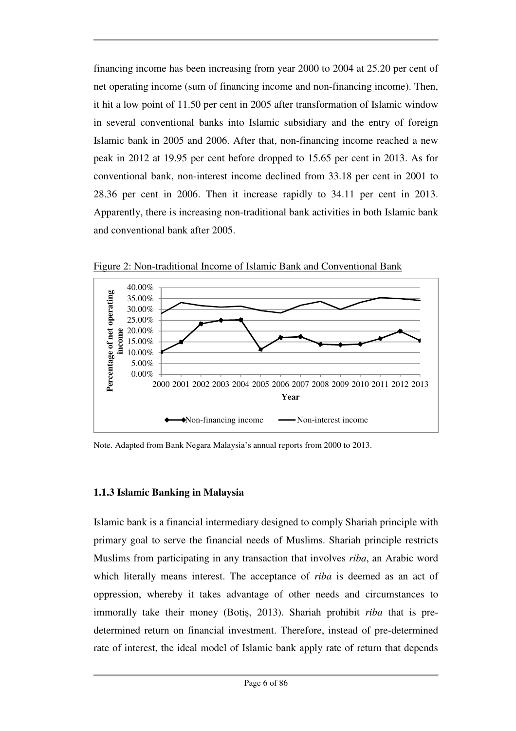financing income has been increasing from year 2000 to 2004 at 25.20 per cent of net operating income (sum of financing income and non-financing income). Then, it hit a low point of 11.50 per cent in 2005 after transformation of Islamic window in several conventional banks into Islamic subsidiary and the entry of foreign Islamic bank in 2005 and 2006. After that, non-financing income reached a new peak in 2012 at 19.95 per cent before dropped to 15.65 per cent in 2013. As for conventional bank, non-interest income declined from 33.18 per cent in 2001 to 28.36 per cent in 2006. Then it increase rapidly to 34.11 per cent in 2013. Apparently, there is increasing non-traditional bank activities in both Islamic bank and conventional bank after 2005.



Figure 2: Non-traditional Income of Islamic Bank and Conventional Bank

Note. Adapted from Bank Negara Malaysia's annual reports from 2000 to 2013.

#### **1.1.3 Islamic Banking in Malaysia**

Islamic bank is a financial intermediary designed to comply Shariah principle with primary goal to serve the financial needs of Muslims. Shariah principle restricts Muslims from participating in any transaction that involves *riba*, an Arabic word which literally means interest. The acceptance of *riba* is deemed as an act of oppression, whereby it takes advantage of other needs and circumstances to immorally take their money (Botiş, 2013). Shariah prohibit *riba* that is predetermined return on financial investment. Therefore, instead of pre-determined rate of interest, the ideal model of Islamic bank apply rate of return that depends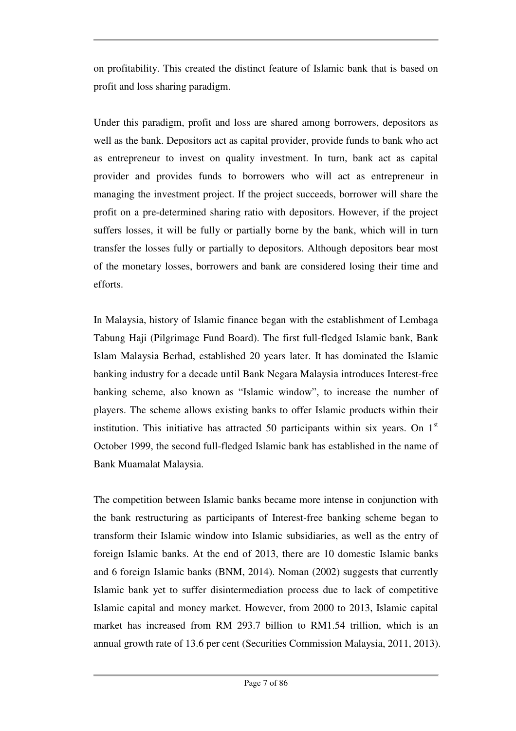on profitability. This created the distinct feature of Islamic bank that is based on profit and loss sharing paradigm.

Under this paradigm, profit and loss are shared among borrowers, depositors as well as the bank. Depositors act as capital provider, provide funds to bank who act as entrepreneur to invest on quality investment. In turn, bank act as capital provider and provides funds to borrowers who will act as entrepreneur in managing the investment project. If the project succeeds, borrower will share the profit on a pre-determined sharing ratio with depositors. However, if the project suffers losses, it will be fully or partially borne by the bank, which will in turn transfer the losses fully or partially to depositors. Although depositors bear most of the monetary losses, borrowers and bank are considered losing their time and efforts.

In Malaysia, history of Islamic finance began with the establishment of Lembaga Tabung Haji (Pilgrimage Fund Board). The first full-fledged Islamic bank, Bank Islam Malaysia Berhad, established 20 years later. It has dominated the Islamic banking industry for a decade until Bank Negara Malaysia introduces Interest-free banking scheme, also known as "Islamic window", to increase the number of players. The scheme allows existing banks to offer Islamic products within their institution. This initiative has attracted 50 participants within six years. On  $1<sup>st</sup>$ October 1999, the second full-fledged Islamic bank has established in the name of Bank Muamalat Malaysia.

The competition between Islamic banks became more intense in conjunction with the bank restructuring as participants of Interest-free banking scheme began to transform their Islamic window into Islamic subsidiaries, as well as the entry of foreign Islamic banks. At the end of 2013, there are 10 domestic Islamic banks and 6 foreign Islamic banks (BNM, 2014). Noman (2002) suggests that currently Islamic bank yet to suffer disintermediation process due to lack of competitive Islamic capital and money market. However, from 2000 to 2013, Islamic capital market has increased from RM 293.7 billion to RM1.54 trillion, which is an annual growth rate of 13.6 per cent (Securities Commission Malaysia, 2011, 2013).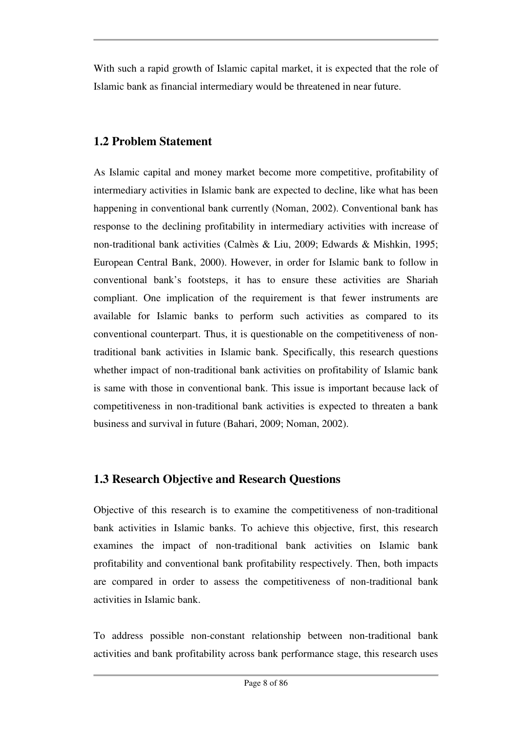With such a rapid growth of Islamic capital market, it is expected that the role of Islamic bank as financial intermediary would be threatened in near future.

## **1.2 Problem Statement**

As Islamic capital and money market become more competitive, profitability of intermediary activities in Islamic bank are expected to decline, like what has been happening in conventional bank currently (Noman, 2002). Conventional bank has response to the declining profitability in intermediary activities with increase of non-traditional bank activities (Calmès & Liu, 2009; Edwards & Mishkin, 1995; European Central Bank, 2000). However, in order for Islamic bank to follow in conventional bank's footsteps, it has to ensure these activities are Shariah compliant. One implication of the requirement is that fewer instruments are available for Islamic banks to perform such activities as compared to its conventional counterpart. Thus, it is questionable on the competitiveness of nontraditional bank activities in Islamic bank. Specifically, this research questions whether impact of non-traditional bank activities on profitability of Islamic bank is same with those in conventional bank. This issue is important because lack of competitiveness in non-traditional bank activities is expected to threaten a bank business and survival in future (Bahari, 2009; Noman, 2002).

## **1.3 Research Objective and Research Questions**

Objective of this research is to examine the competitiveness of non-traditional bank activities in Islamic banks. To achieve this objective, first, this research examines the impact of non-traditional bank activities on Islamic bank profitability and conventional bank profitability respectively. Then, both impacts are compared in order to assess the competitiveness of non-traditional bank activities in Islamic bank.

To address possible non-constant relationship between non-traditional bank activities and bank profitability across bank performance stage, this research uses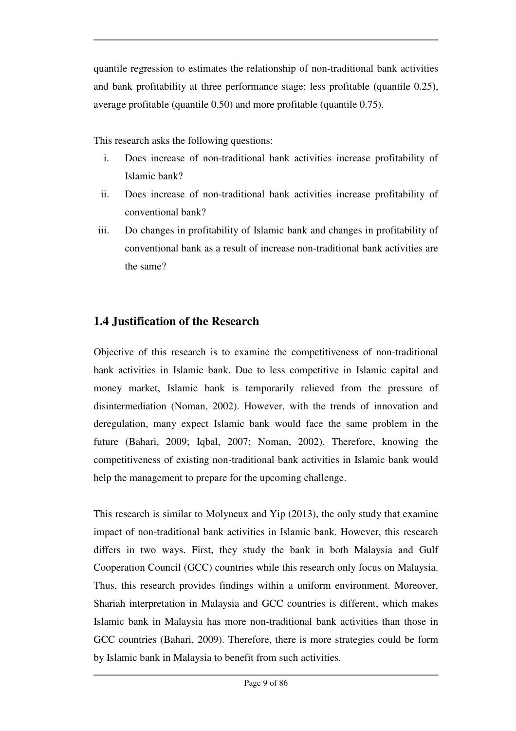quantile regression to estimates the relationship of non-traditional bank activities and bank profitability at three performance stage: less profitable (quantile 0.25), average profitable (quantile 0.50) and more profitable (quantile 0.75).

This research asks the following questions:

- i. Does increase of non-traditional bank activities increase profitability of Islamic bank?
- ii. Does increase of non-traditional bank activities increase profitability of conventional bank?
- iii. Do changes in profitability of Islamic bank and changes in profitability of conventional bank as a result of increase non-traditional bank activities are the same?

## **1.4 Justification of the Research**

Objective of this research is to examine the competitiveness of non-traditional bank activities in Islamic bank. Due to less competitive in Islamic capital and money market, Islamic bank is temporarily relieved from the pressure of disintermediation (Noman, 2002). However, with the trends of innovation and deregulation, many expect Islamic bank would face the same problem in the future (Bahari, 2009; Iqbal, 2007; Noman, 2002). Therefore, knowing the competitiveness of existing non-traditional bank activities in Islamic bank would help the management to prepare for the upcoming challenge.

This research is similar to Molyneux and Yip (2013), the only study that examine impact of non-traditional bank activities in Islamic bank. However, this research differs in two ways. First, they study the bank in both Malaysia and Gulf Cooperation Council (GCC) countries while this research only focus on Malaysia. Thus, this research provides findings within a uniform environment. Moreover, Shariah interpretation in Malaysia and GCC countries is different, which makes Islamic bank in Malaysia has more non-traditional bank activities than those in GCC countries (Bahari, 2009). Therefore, there is more strategies could be form by Islamic bank in Malaysia to benefit from such activities.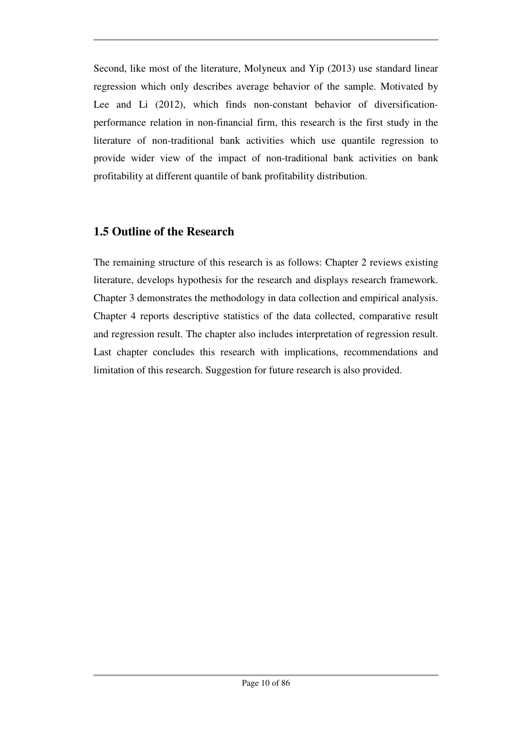Second, like most of the literature, Molyneux and Yip (2013) use standard linear regression which only describes average behavior of the sample. Motivated by Lee and Li (2012), which finds non-constant behavior of diversificationperformance relation in non-financial firm, this research is the first study in the literature of non-traditional bank activities which use quantile regression to provide wider view of the impact of non-traditional bank activities on bank profitability at different quantile of bank profitability distribution.

### **1.5 Outline of the Research**

The remaining structure of this research is as follows: Chapter 2 reviews existing literature, develops hypothesis for the research and displays research framework. Chapter 3 demonstrates the methodology in data collection and empirical analysis. Chapter 4 reports descriptive statistics of the data collected, comparative result and regression result. The chapter also includes interpretation of regression result. Last chapter concludes this research with implications, recommendations and limitation of this research. Suggestion for future research is also provided.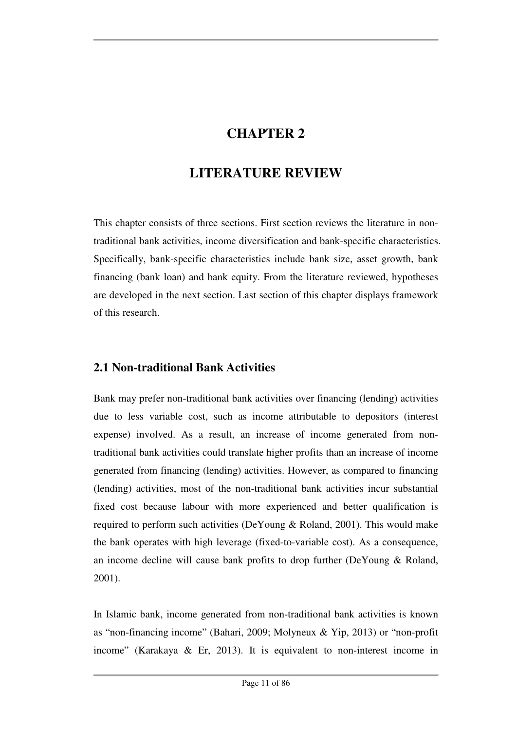## **CHAPTER 2**

## **LITERATURE REVIEW**

This chapter consists of three sections. First section reviews the literature in nontraditional bank activities, income diversification and bank-specific characteristics. Specifically, bank-specific characteristics include bank size, asset growth, bank financing (bank loan) and bank equity. From the literature reviewed, hypotheses are developed in the next section. Last section of this chapter displays framework of this research.

## **2.1 Non-traditional Bank Activities**

Bank may prefer non-traditional bank activities over financing (lending) activities due to less variable cost, such as income attributable to depositors (interest expense) involved. As a result, an increase of income generated from nontraditional bank activities could translate higher profits than an increase of income generated from financing (lending) activities. However, as compared to financing (lending) activities, most of the non-traditional bank activities incur substantial fixed cost because labour with more experienced and better qualification is required to perform such activities (DeYoung & Roland, 2001). This would make the bank operates with high leverage (fixed-to-variable cost). As a consequence, an income decline will cause bank profits to drop further (DeYoung & Roland, 2001).

In Islamic bank, income generated from non-traditional bank activities is known as "non-financing income" (Bahari, 2009; Molyneux & Yip, 2013) or "non-profit income" (Karakaya & Er, 2013). It is equivalent to non-interest income in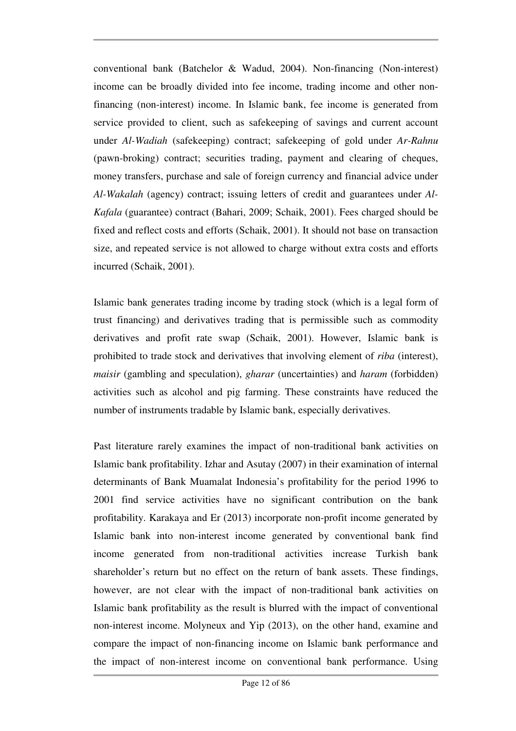conventional bank (Batchelor & Wadud, 2004). Non-financing (Non-interest) income can be broadly divided into fee income, trading income and other nonfinancing (non-interest) income. In Islamic bank, fee income is generated from service provided to client, such as safekeeping of savings and current account under *Al-Wadiah* (safekeeping) contract; safekeeping of gold under *Ar-Rahnu* (pawn-broking) contract; securities trading, payment and clearing of cheques, money transfers, purchase and sale of foreign currency and financial advice under *Al-Wakalah* (agency) contract; issuing letters of credit and guarantees under *Al-Kafala* (guarantee) contract (Bahari, 2009; Schaik, 2001). Fees charged should be fixed and reflect costs and efforts (Schaik, 2001). It should not base on transaction size, and repeated service is not allowed to charge without extra costs and efforts incurred (Schaik, 2001).

Islamic bank generates trading income by trading stock (which is a legal form of trust financing) and derivatives trading that is permissible such as commodity derivatives and profit rate swap (Schaik, 2001). However, Islamic bank is prohibited to trade stock and derivatives that involving element of *riba* (interest), *maisir* (gambling and speculation), *gharar* (uncertainties) and *haram* (forbidden) activities such as alcohol and pig farming. These constraints have reduced the number of instruments tradable by Islamic bank, especially derivatives.

Past literature rarely examines the impact of non-traditional bank activities on Islamic bank profitability. Izhar and Asutay (2007) in their examination of internal determinants of Bank Muamalat Indonesia's profitability for the period 1996 to 2001 find service activities have no significant contribution on the bank profitability. Karakaya and Er (2013) incorporate non-profit income generated by Islamic bank into non-interest income generated by conventional bank find income generated from non-traditional activities increase Turkish bank shareholder's return but no effect on the return of bank assets. These findings, however, are not clear with the impact of non-traditional bank activities on Islamic bank profitability as the result is blurred with the impact of conventional non-interest income. Molyneux and Yip (2013), on the other hand, examine and compare the impact of non-financing income on Islamic bank performance and the impact of non-interest income on conventional bank performance. Using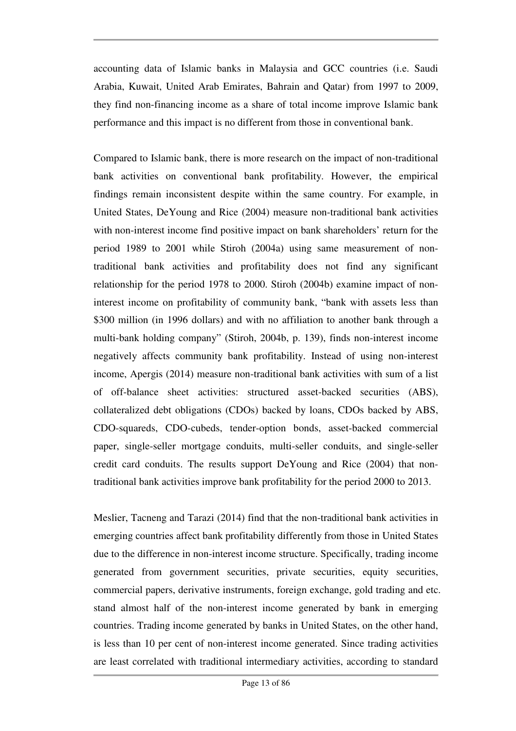accounting data of Islamic banks in Malaysia and GCC countries (i.e. Saudi Arabia, Kuwait, United Arab Emirates, Bahrain and Qatar) from 1997 to 2009, they find non-financing income as a share of total income improve Islamic bank performance and this impact is no different from those in conventional bank.

Compared to Islamic bank, there is more research on the impact of non-traditional bank activities on conventional bank profitability. However, the empirical findings remain inconsistent despite within the same country. For example, in United States, DeYoung and Rice (2004) measure non-traditional bank activities with non-interest income find positive impact on bank shareholders' return for the period 1989 to 2001 while Stiroh (2004a) using same measurement of nontraditional bank activities and profitability does not find any significant relationship for the period 1978 to 2000. Stiroh (2004b) examine impact of noninterest income on profitability of community bank, "bank with assets less than \$300 million (in 1996 dollars) and with no affiliation to another bank through a multi-bank holding company" (Stiroh, 2004b, p. 139), finds non-interest income negatively affects community bank profitability. Instead of using non-interest income, Apergis (2014) measure non-traditional bank activities with sum of a list of off-balance sheet activities: structured asset-backed securities (ABS), collateralized debt obligations (CDOs) backed by loans, CDOs backed by ABS, CDO-squareds, CDO-cubeds, tender-option bonds, asset-backed commercial paper, single-seller mortgage conduits, multi-seller conduits, and single-seller credit card conduits. The results support DeYoung and Rice (2004) that nontraditional bank activities improve bank profitability for the period 2000 to 2013.

Meslier, Tacneng and Tarazi (2014) find that the non-traditional bank activities in emerging countries affect bank profitability differently from those in United States due to the difference in non-interest income structure. Specifically, trading income generated from government securities, private securities, equity securities, commercial papers, derivative instruments, foreign exchange, gold trading and etc. stand almost half of the non-interest income generated by bank in emerging countries. Trading income generated by banks in United States, on the other hand, is less than 10 per cent of non-interest income generated. Since trading activities are least correlated with traditional intermediary activities, according to standard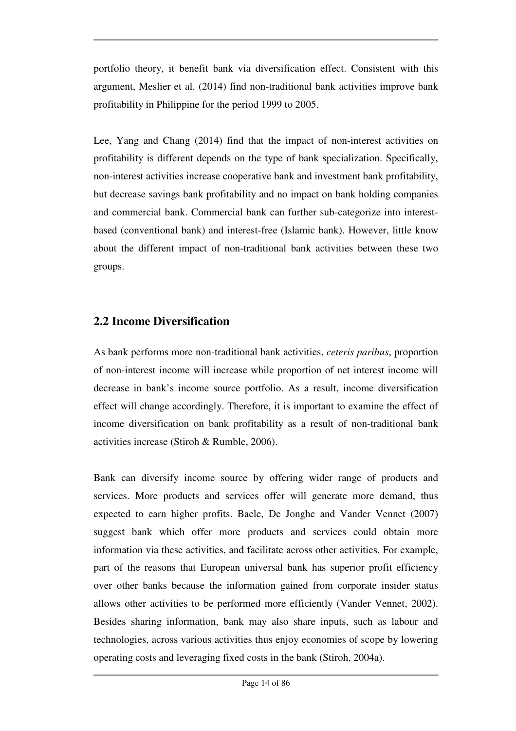portfolio theory, it benefit bank via diversification effect. Consistent with this argument, Meslier et al. (2014) find non-traditional bank activities improve bank profitability in Philippine for the period 1999 to 2005.

Lee, Yang and Chang (2014) find that the impact of non-interest activities on profitability is different depends on the type of bank specialization. Specifically, non-interest activities increase cooperative bank and investment bank profitability, but decrease savings bank profitability and no impact on bank holding companies and commercial bank. Commercial bank can further sub-categorize into interestbased (conventional bank) and interest-free (Islamic bank). However, little know about the different impact of non-traditional bank activities between these two groups.

### **2.2 Income Diversification**

As bank performs more non-traditional bank activities, *ceteris paribus*, proportion of non-interest income will increase while proportion of net interest income will decrease in bank's income source portfolio. As a result, income diversification effect will change accordingly. Therefore, it is important to examine the effect of income diversification on bank profitability as a result of non-traditional bank activities increase (Stiroh & Rumble, 2006).

Bank can diversify income source by offering wider range of products and services. More products and services offer will generate more demand, thus expected to earn higher profits. Baele, De Jonghe and Vander Vennet (2007) suggest bank which offer more products and services could obtain more information via these activities, and facilitate across other activities. For example, part of the reasons that European universal bank has superior profit efficiency over other banks because the information gained from corporate insider status allows other activities to be performed more efficiently (Vander Vennet, 2002). Besides sharing information, bank may also share inputs, such as labour and technologies, across various activities thus enjoy economies of scope by lowering operating costs and leveraging fixed costs in the bank (Stiroh, 2004a).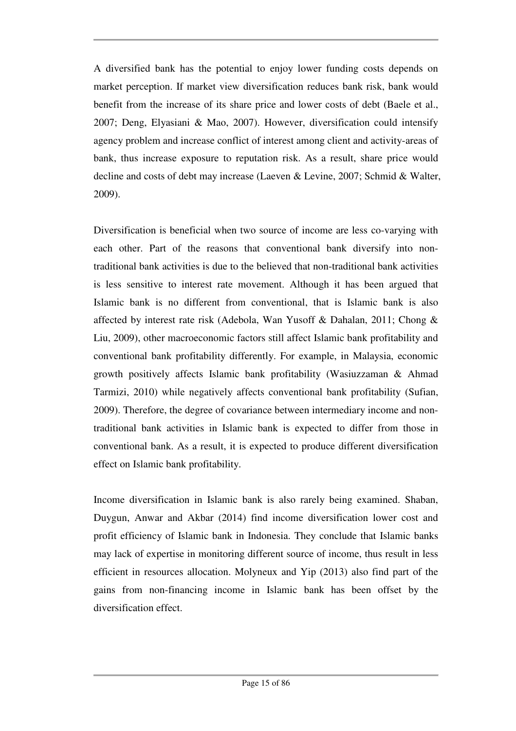A diversified bank has the potential to enjoy lower funding costs depends on market perception. If market view diversification reduces bank risk, bank would benefit from the increase of its share price and lower costs of debt (Baele et al., 2007; Deng, Elyasiani & Mao, 2007). However, diversification could intensify agency problem and increase conflict of interest among client and activity-areas of bank, thus increase exposure to reputation risk. As a result, share price would decline and costs of debt may increase (Laeven & Levine, 2007; Schmid & Walter, 2009).

Diversification is beneficial when two source of income are less co-varying with each other. Part of the reasons that conventional bank diversify into nontraditional bank activities is due to the believed that non-traditional bank activities is less sensitive to interest rate movement. Although it has been argued that Islamic bank is no different from conventional, that is Islamic bank is also affected by interest rate risk (Adebola, Wan Yusoff & Dahalan, 2011; Chong & Liu, 2009), other macroeconomic factors still affect Islamic bank profitability and conventional bank profitability differently. For example, in Malaysia, economic growth positively affects Islamic bank profitability (Wasiuzzaman & Ahmad Tarmizi, 2010) while negatively affects conventional bank profitability (Sufian, 2009). Therefore, the degree of covariance between intermediary income and nontraditional bank activities in Islamic bank is expected to differ from those in conventional bank. As a result, it is expected to produce different diversification effect on Islamic bank profitability.

Income diversification in Islamic bank is also rarely being examined. Shaban, Duygun, Anwar and Akbar (2014) find income diversification lower cost and profit efficiency of Islamic bank in Indonesia. They conclude that Islamic banks may lack of expertise in monitoring different source of income, thus result in less efficient in resources allocation. Molyneux and Yip (2013) also find part of the gains from non-financing income in Islamic bank has been offset by the diversification effect.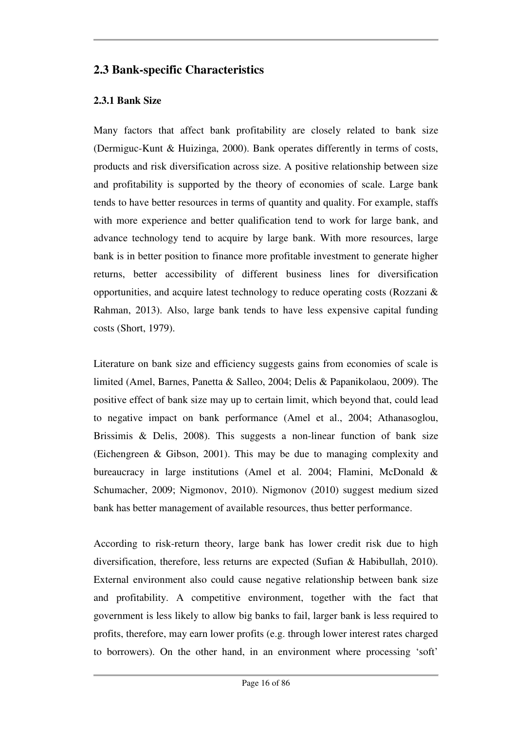### **2.3 Bank-specific Characteristics**

#### **2.3.1 Bank Size**

Many factors that affect bank profitability are closely related to bank size (Dermiguc-Kunt & Huizinga, 2000). Bank operates differently in terms of costs, products and risk diversification across size. A positive relationship between size and profitability is supported by the theory of economies of scale. Large bank tends to have better resources in terms of quantity and quality. For example, staffs with more experience and better qualification tend to work for large bank, and advance technology tend to acquire by large bank. With more resources, large bank is in better position to finance more profitable investment to generate higher returns, better accessibility of different business lines for diversification opportunities, and acquire latest technology to reduce operating costs (Rozzani & Rahman, 2013). Also, large bank tends to have less expensive capital funding costs (Short, 1979).

Literature on bank size and efficiency suggests gains from economies of scale is limited (Amel, Barnes, Panetta & Salleo, 2004; Delis & Papanikolaou, 2009). The positive effect of bank size may up to certain limit, which beyond that, could lead to negative impact on bank performance (Amel et al., 2004; Athanasoglou, Brissimis & Delis, 2008). This suggests a non-linear function of bank size (Eichengreen & Gibson, 2001). This may be due to managing complexity and bureaucracy in large institutions (Amel et al. 2004; Flamini, McDonald & Schumacher, 2009; Nigmonov, 2010). Nigmonov (2010) suggest medium sized bank has better management of available resources, thus better performance.

According to risk-return theory, large bank has lower credit risk due to high diversification, therefore, less returns are expected (Sufian & Habibullah, 2010). External environment also could cause negative relationship between bank size and profitability. A competitive environment, together with the fact that government is less likely to allow big banks to fail, larger bank is less required to profits, therefore, may earn lower profits (e.g. through lower interest rates charged to borrowers). On the other hand, in an environment where processing 'soft'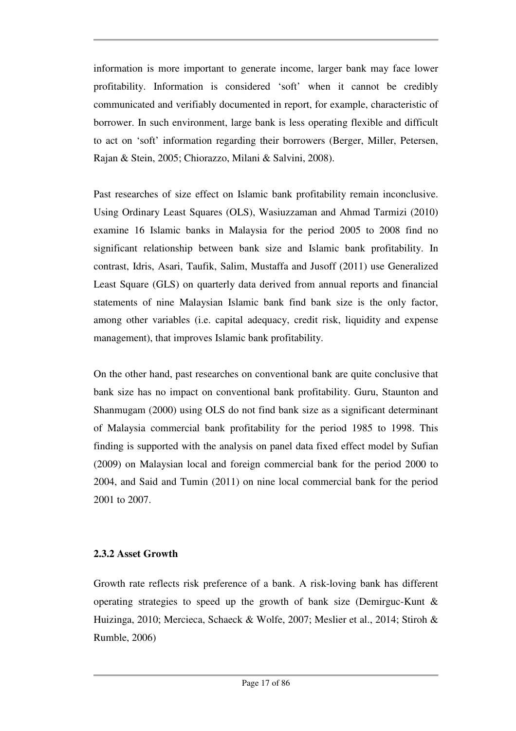information is more important to generate income, larger bank may face lower profitability. Information is considered 'soft' when it cannot be credibly communicated and verifiably documented in report, for example, characteristic of borrower. In such environment, large bank is less operating flexible and difficult to act on 'soft' information regarding their borrowers (Berger, Miller, Petersen, Rajan & Stein, 2005; Chiorazzo, Milani & Salvini, 2008).

Past researches of size effect on Islamic bank profitability remain inconclusive. Using Ordinary Least Squares (OLS), Wasiuzzaman and Ahmad Tarmizi (2010) examine 16 Islamic banks in Malaysia for the period 2005 to 2008 find no significant relationship between bank size and Islamic bank profitability. In contrast, Idris, Asari, Taufik, Salim, Mustaffa and Jusoff (2011) use Generalized Least Square (GLS) on quarterly data derived from annual reports and financial statements of nine Malaysian Islamic bank find bank size is the only factor, among other variables (i.e. capital adequacy, credit risk, liquidity and expense management), that improves Islamic bank profitability.

On the other hand, past researches on conventional bank are quite conclusive that bank size has no impact on conventional bank profitability. Guru, Staunton and Shanmugam (2000) using OLS do not find bank size as a significant determinant of Malaysia commercial bank profitability for the period 1985 to 1998. This finding is supported with the analysis on panel data fixed effect model by Sufian (2009) on Malaysian local and foreign commercial bank for the period 2000 to 2004, and Said and Tumin (2011) on nine local commercial bank for the period 2001 to 2007.

#### **2.3.2 Asset Growth**

Growth rate reflects risk preference of a bank. A risk-loving bank has different operating strategies to speed up the growth of bank size (Demirguc-Kunt & Huizinga, 2010; Mercieca, Schaeck & Wolfe, 2007; Meslier et al., 2014; Stiroh & Rumble, 2006)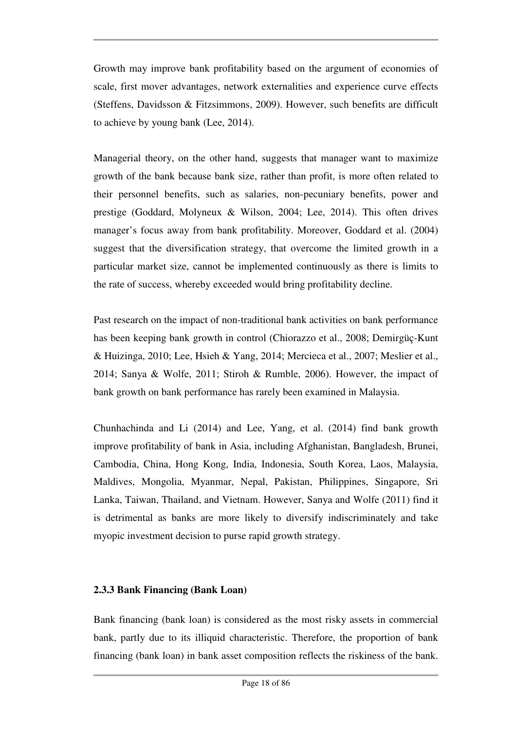Growth may improve bank profitability based on the argument of economies of scale, first mover advantages, network externalities and experience curve effects (Steffens, Davidsson & Fitzsimmons, 2009). However, such benefits are difficult to achieve by young bank (Lee, 2014).

Managerial theory, on the other hand, suggests that manager want to maximize growth of the bank because bank size, rather than profit, is more often related to their personnel benefits, such as salaries, non-pecuniary benefits, power and prestige (Goddard, Molyneux & Wilson, 2004; Lee, 2014). This often drives manager's focus away from bank profitability. Moreover, Goddard et al. (2004) suggest that the diversification strategy, that overcome the limited growth in a particular market size, cannot be implemented continuously as there is limits to the rate of success, whereby exceeded would bring profitability decline.

Past research on the impact of non-traditional bank activities on bank performance has been keeping bank growth in control (Chiorazzo et al., 2008; Demirgüç-Kunt & Huizinga, 2010; Lee, Hsieh & Yang, 2014; Mercieca et al., 2007; Meslier et al., 2014; Sanya & Wolfe, 2011; Stiroh & Rumble, 2006). However, the impact of bank growth on bank performance has rarely been examined in Malaysia.

Chunhachinda and Li (2014) and Lee, Yang, et al. (2014) find bank growth improve profitability of bank in Asia, including Afghanistan, Bangladesh, Brunei, Cambodia, China, Hong Kong, India, Indonesia, South Korea, Laos, Malaysia, Maldives, Mongolia, Myanmar, Nepal, Pakistan, Philippines, Singapore, Sri Lanka, Taiwan, Thailand, and Vietnam. However, Sanya and Wolfe (2011) find it is detrimental as banks are more likely to diversify indiscriminately and take myopic investment decision to purse rapid growth strategy.

#### **2.3.3 Bank Financing (Bank Loan)**

Bank financing (bank loan) is considered as the most risky assets in commercial bank, partly due to its illiquid characteristic. Therefore, the proportion of bank financing (bank loan) in bank asset composition reflects the riskiness of the bank.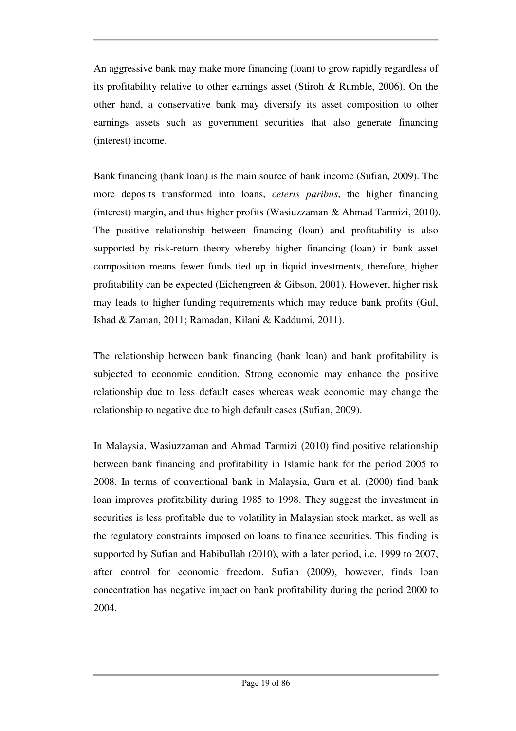An aggressive bank may make more financing (loan) to grow rapidly regardless of its profitability relative to other earnings asset (Stiroh & Rumble, 2006). On the other hand, a conservative bank may diversify its asset composition to other earnings assets such as government securities that also generate financing (interest) income.

Bank financing (bank loan) is the main source of bank income (Sufian, 2009). The more deposits transformed into loans, *ceteris paribus*, the higher financing (interest) margin, and thus higher profits (Wasiuzzaman & Ahmad Tarmizi, 2010). The positive relationship between financing (loan) and profitability is also supported by risk-return theory whereby higher financing (loan) in bank asset composition means fewer funds tied up in liquid investments, therefore, higher profitability can be expected (Eichengreen & Gibson, 2001). However, higher risk may leads to higher funding requirements which may reduce bank profits (Gul, Ishad & Zaman, 2011; Ramadan, Kilani & Kaddumi, 2011).

The relationship between bank financing (bank loan) and bank profitability is subjected to economic condition. Strong economic may enhance the positive relationship due to less default cases whereas weak economic may change the relationship to negative due to high default cases (Sufian, 2009).

In Malaysia, Wasiuzzaman and Ahmad Tarmizi (2010) find positive relationship between bank financing and profitability in Islamic bank for the period 2005 to 2008. In terms of conventional bank in Malaysia, Guru et al. (2000) find bank loan improves profitability during 1985 to 1998. They suggest the investment in securities is less profitable due to volatility in Malaysian stock market, as well as the regulatory constraints imposed on loans to finance securities. This finding is supported by Sufian and Habibullah (2010), with a later period, i.e. 1999 to 2007, after control for economic freedom. Sufian (2009), however, finds loan concentration has negative impact on bank profitability during the period 2000 to 2004.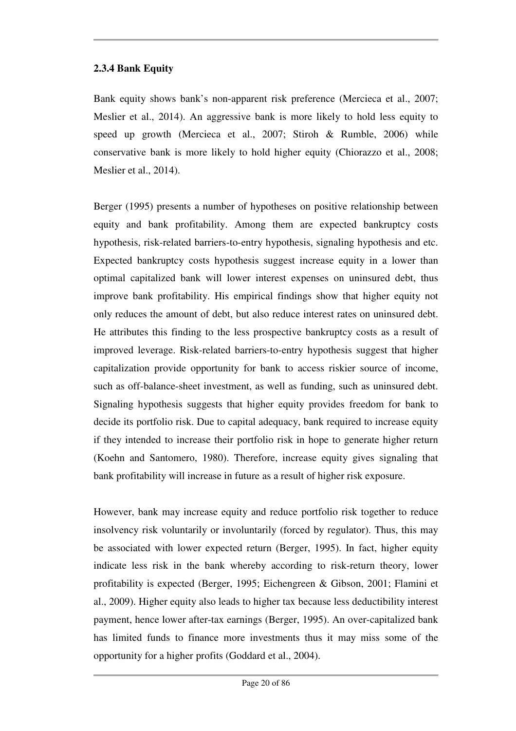#### **2.3.4 Bank Equity**

Bank equity shows bank's non-apparent risk preference (Mercieca et al., 2007; Meslier et al., 2014). An aggressive bank is more likely to hold less equity to speed up growth (Mercieca et al., 2007; Stiroh & Rumble, 2006) while conservative bank is more likely to hold higher equity (Chiorazzo et al., 2008; Meslier et al., 2014).

Berger (1995) presents a number of hypotheses on positive relationship between equity and bank profitability. Among them are expected bankruptcy costs hypothesis, risk-related barriers-to-entry hypothesis, signaling hypothesis and etc. Expected bankruptcy costs hypothesis suggest increase equity in a lower than optimal capitalized bank will lower interest expenses on uninsured debt, thus improve bank profitability. His empirical findings show that higher equity not only reduces the amount of debt, but also reduce interest rates on uninsured debt. He attributes this finding to the less prospective bankruptcy costs as a result of improved leverage. Risk-related barriers-to-entry hypothesis suggest that higher capitalization provide opportunity for bank to access riskier source of income, such as off-balance-sheet investment, as well as funding, such as uninsured debt. Signaling hypothesis suggests that higher equity provides freedom for bank to decide its portfolio risk. Due to capital adequacy, bank required to increase equity if they intended to increase their portfolio risk in hope to generate higher return (Koehn and Santomero, 1980). Therefore, increase equity gives signaling that bank profitability will increase in future as a result of higher risk exposure.

However, bank may increase equity and reduce portfolio risk together to reduce insolvency risk voluntarily or involuntarily (forced by regulator). Thus, this may be associated with lower expected return (Berger, 1995). In fact, higher equity indicate less risk in the bank whereby according to risk-return theory, lower profitability is expected (Berger, 1995; Eichengreen & Gibson, 2001; Flamini et al., 2009). Higher equity also leads to higher tax because less deductibility interest payment, hence lower after-tax earnings (Berger, 1995). An over-capitalized bank has limited funds to finance more investments thus it may miss some of the opportunity for a higher profits (Goddard et al., 2004).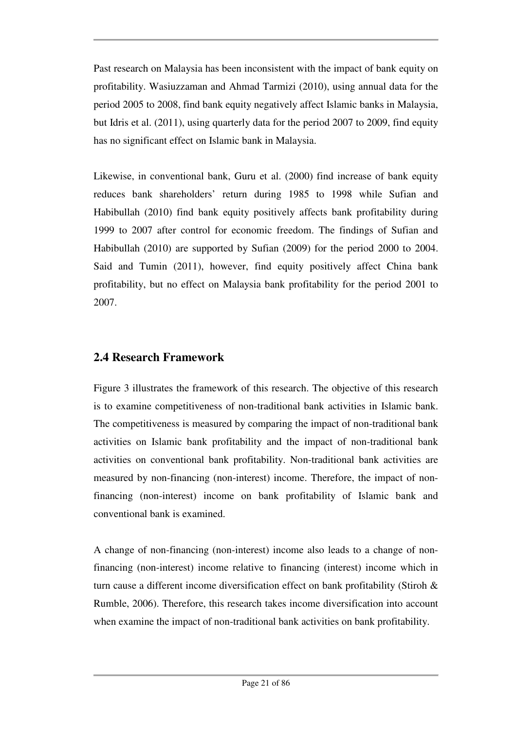Past research on Malaysia has been inconsistent with the impact of bank equity on profitability. Wasiuzzaman and Ahmad Tarmizi (2010), using annual data for the period 2005 to 2008, find bank equity negatively affect Islamic banks in Malaysia, but Idris et al. (2011), using quarterly data for the period 2007 to 2009, find equity has no significant effect on Islamic bank in Malaysia.

Likewise, in conventional bank, Guru et al. (2000) find increase of bank equity reduces bank shareholders' return during 1985 to 1998 while Sufian and Habibullah (2010) find bank equity positively affects bank profitability during 1999 to 2007 after control for economic freedom. The findings of Sufian and Habibullah (2010) are supported by Sufian (2009) for the period 2000 to 2004. Said and Tumin (2011), however, find equity positively affect China bank profitability, but no effect on Malaysia bank profitability for the period 2001 to 2007.

## **2.4 Research Framework**

Figure 3 illustrates the framework of this research. The objective of this research is to examine competitiveness of non-traditional bank activities in Islamic bank. The competitiveness is measured by comparing the impact of non-traditional bank activities on Islamic bank profitability and the impact of non-traditional bank activities on conventional bank profitability. Non-traditional bank activities are measured by non-financing (non-interest) income. Therefore, the impact of nonfinancing (non-interest) income on bank profitability of Islamic bank and conventional bank is examined.

A change of non-financing (non-interest) income also leads to a change of nonfinancing (non-interest) income relative to financing (interest) income which in turn cause a different income diversification effect on bank profitability (Stiroh & Rumble, 2006). Therefore, this research takes income diversification into account when examine the impact of non-traditional bank activities on bank profitability.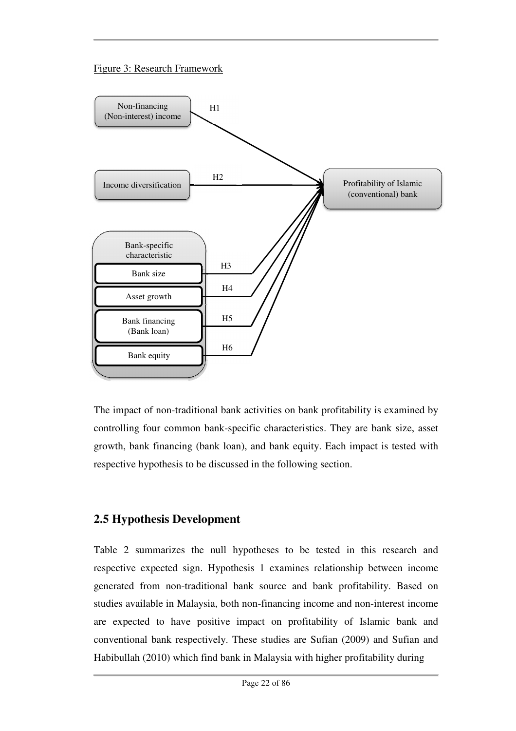#### Figure 3: Research Framework



The impact of non-traditional bank activities on bank profitability is examined by controlling four common bank-specific characteristics. They are bank size, asset growth, bank financing (bank loan), and bank equity. Each impact is tested with respective hypothesis to be discussed in the following section.

## **2.5 Hypothesis Development**

Table 2 summarizes the null hypotheses to be tested in this research and respective expected sign. Hypothesis 1 examines relationship between income generated from non-traditional bank source and bank profitability. Based on studies available in Malaysia, both non-financing income and non-interest income are expected to have positive impact on profitability of Islamic bank and conventional bank respectively. These studies are Sufian (2009) and Sufian and Habibullah (2010) which find bank in Malaysia with higher profitability during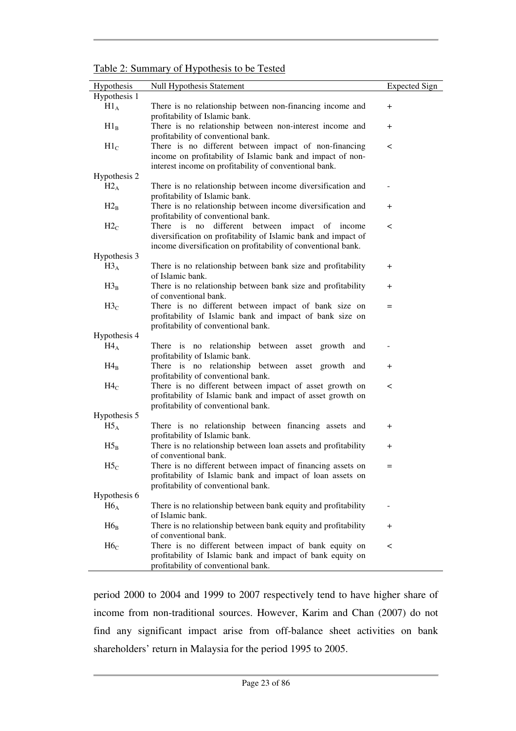Table 2: Summary of Hypothesis to be Tested

| Hypothesis      | <b>Null Hypothesis Statement</b>                                                                                                                                                     | <b>Expected Sign</b> |
|-----------------|--------------------------------------------------------------------------------------------------------------------------------------------------------------------------------------|----------------------|
| Hypothesis 1    |                                                                                                                                                                                      |                      |
| $H1_A$          | There is no relationship between non-financing income and<br>profitability of Islamic bank.                                                                                          | $+$                  |
| $H1_B$          | There is no relationship between non-interest income and<br>profitability of conventional bank.                                                                                      | $^{+}$               |
| $H1_C$          | There is no different between impact of non-financing<br>income on profitability of Islamic bank and impact of non-<br>interest income on profitability of conventional bank.        | $\,<\,$              |
| Hypothesis 2    |                                                                                                                                                                                      |                      |
| $H2_A$          | There is no relationship between income diversification and<br>profitability of Islamic bank.                                                                                        |                      |
| $H2_B$          | There is no relationship between income diversification and<br>profitability of conventional bank.                                                                                   | $^{+}$               |
| H2 <sub>C</sub> | There is no different between<br>impact of income<br>diversification on profitability of Islamic bank and impact of<br>income diversification on profitability of conventional bank. | $\,<\,$              |
| Hypothesis 3    |                                                                                                                                                                                      |                      |
| $H3_A$          | There is no relationship between bank size and profitability<br>of Islamic bank.                                                                                                     | $^{+}$               |
| $H3_B$          | There is no relationship between bank size and profitability<br>of conventional bank.                                                                                                | $^{+}$               |
| $H3_C$          | There is no different between impact of bank size on<br>profitability of Islamic bank and impact of bank size on<br>profitability of conventional bank.                              | $=$                  |
| Hypothesis 4    |                                                                                                                                                                                      |                      |
| $H4_A$          | There is no relationship between asset growth<br>and<br>profitability of Islamic bank.                                                                                               |                      |
| $H4_B$          | There is no relationship between asset growth and<br>profitability of conventional bank.                                                                                             | $^{+}$               |
| $H4_C$          | There is no different between impact of asset growth on<br>profitability of Islamic bank and impact of asset growth on<br>profitability of conventional bank.                        | $\,<\,$              |
| Hypothesis 5    |                                                                                                                                                                                      |                      |
| $H5_A$          | There is no relationship between financing assets and<br>profitability of Islamic bank.                                                                                              | $^{+}$               |
| $H5_B$          | There is no relationship between loan assets and profitability<br>of conventional bank.                                                                                              | $^{+}$               |
| $H5_C$          | There is no different between impact of financing assets on<br>profitability of Islamic bank and impact of loan assets on<br>profitability of conventional bank.                     |                      |
| Hypothesis 6    |                                                                                                                                                                                      |                      |
| $H6_A$          | There is no relationship between bank equity and profitability<br>of Islamic bank.                                                                                                   |                      |
| $H6_B$          | There is no relationship between bank equity and profitability<br>of conventional bank.                                                                                              | $^{+}$               |
| H6 <sub>C</sub> | There is no different between impact of bank equity on<br>profitability of Islamic bank and impact of bank equity on<br>profitability of conventional bank.                          | $\,<\,$              |
|                 |                                                                                                                                                                                      |                      |

period 2000 to 2004 and 1999 to 2007 respectively tend to have higher share of income from non-traditional sources. However, Karim and Chan (2007) do not find any significant impact arise from off-balance sheet activities on bank shareholders' return in Malaysia for the period 1995 to 2005.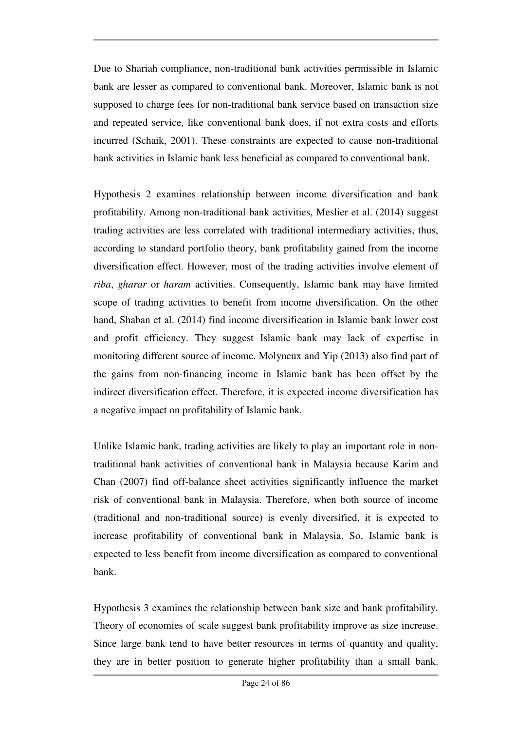Due to Shariah compliance, non-traditional bank activities permissible in Islamic bank are lesser as compared to conventional bank. Moreover, Islamic bank is not supposed to charge fees for non-traditional bank service based on transaction size and repeated service, like conventional bank does, if not extra costs and efforts incurred (Schaik, 2001). These constraints are expected to cause non-traditional bank activities in Islamic bank less beneficial as compared to conventional bank.

Hypothesis 2 examines relationship between income diversification and bank profitability. Among non-traditional bank activities, Meslier et al. (2014) suggest trading activities are less correlated with traditional intermediary activities, thus, according to standard portfolio theory, bank profitability gained from the income diversification effect. However, most of the trading activities involve element of *riba*, *gharar* or *haram* activities. Consequently, Islamic bank may have limited scope of trading activities to benefit from income diversification. On the other hand, Shaban et al. (2014) find income diversification in Islamic bank lower cost and profit efficiency. They suggest Islamic bank may lack of expertise in monitoring different source of income. Molyneux and Yip (2013) also find part of the gains from non-financing income in Islamic bank has been offset by the indirect diversification effect. Therefore, it is expected income diversification has a negative impact on profitability of Islamic bank.

Unlike Islamic bank, trading activities are likely to play an important role in nontraditional bank activities of conventional bank in Malaysia because Karim and Chan (2007) find off-balance sheet activities significantly influence the market risk of conventional bank in Malaysia. Therefore, when both source of income (traditional and non-traditional source) is evenly diversified, it is expected to increase profitability of conventional bank in Malaysia. So, Islamic bank is expected to less benefit from income diversification as compared to conventional bank.

Hypothesis 3 examines the relationship between bank size and bank profitability. Theory of economies of scale suggest bank profitability improve as size increase. Since large bank tend to have better resources in terms of quantity and quality, they are in better position to generate higher profitability than a small bank.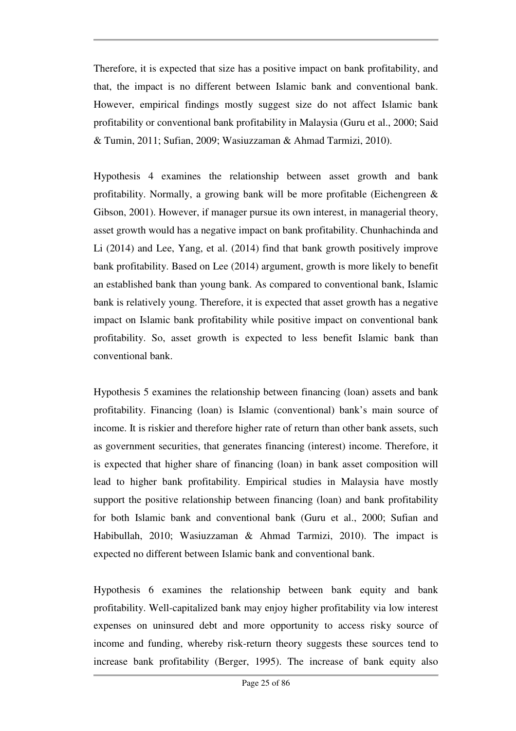Therefore, it is expected that size has a positive impact on bank profitability, and that, the impact is no different between Islamic bank and conventional bank. However, empirical findings mostly suggest size do not affect Islamic bank profitability or conventional bank profitability in Malaysia (Guru et al., 2000; Said & Tumin, 2011; Sufian, 2009; Wasiuzzaman & Ahmad Tarmizi, 2010).

Hypothesis 4 examines the relationship between asset growth and bank profitability. Normally, a growing bank will be more profitable (Eichengreen & Gibson, 2001). However, if manager pursue its own interest, in managerial theory, asset growth would has a negative impact on bank profitability. Chunhachinda and Li (2014) and Lee, Yang, et al. (2014) find that bank growth positively improve bank profitability. Based on Lee (2014) argument, growth is more likely to benefit an established bank than young bank. As compared to conventional bank, Islamic bank is relatively young. Therefore, it is expected that asset growth has a negative impact on Islamic bank profitability while positive impact on conventional bank profitability. So, asset growth is expected to less benefit Islamic bank than conventional bank.

Hypothesis 5 examines the relationship between financing (loan) assets and bank profitability. Financing (loan) is Islamic (conventional) bank's main source of income. It is riskier and therefore higher rate of return than other bank assets, such as government securities, that generates financing (interest) income. Therefore, it is expected that higher share of financing (loan) in bank asset composition will lead to higher bank profitability. Empirical studies in Malaysia have mostly support the positive relationship between financing (loan) and bank profitability for both Islamic bank and conventional bank (Guru et al., 2000; Sufian and Habibullah, 2010; Wasiuzzaman & Ahmad Tarmizi, 2010). The impact is expected no different between Islamic bank and conventional bank.

Hypothesis 6 examines the relationship between bank equity and bank profitability. Well-capitalized bank may enjoy higher profitability via low interest expenses on uninsured debt and more opportunity to access risky source of income and funding, whereby risk-return theory suggests these sources tend to increase bank profitability (Berger, 1995). The increase of bank equity also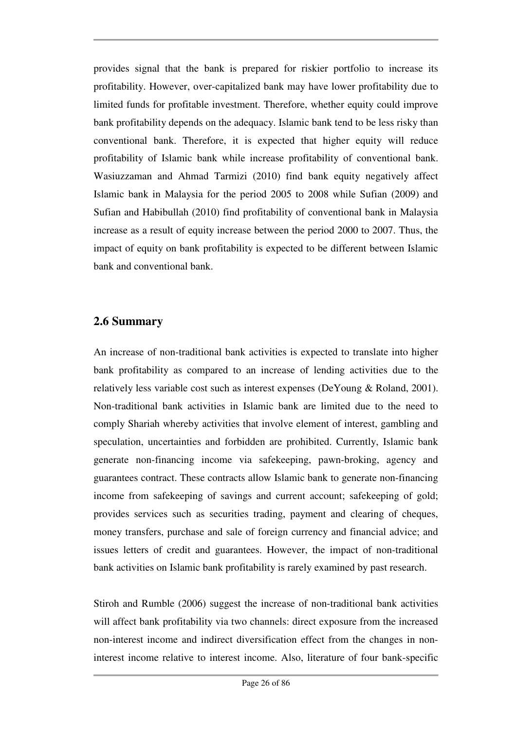provides signal that the bank is prepared for riskier portfolio to increase its profitability. However, over-capitalized bank may have lower profitability due to limited funds for profitable investment. Therefore, whether equity could improve bank profitability depends on the adequacy. Islamic bank tend to be less risky than conventional bank. Therefore, it is expected that higher equity will reduce profitability of Islamic bank while increase profitability of conventional bank. Wasiuzzaman and Ahmad Tarmizi (2010) find bank equity negatively affect Islamic bank in Malaysia for the period 2005 to 2008 while Sufian (2009) and Sufian and Habibullah (2010) find profitability of conventional bank in Malaysia increase as a result of equity increase between the period 2000 to 2007. Thus, the impact of equity on bank profitability is expected to be different between Islamic bank and conventional bank.

# **2.6 Summary**

An increase of non-traditional bank activities is expected to translate into higher bank profitability as compared to an increase of lending activities due to the relatively less variable cost such as interest expenses (DeYoung & Roland, 2001). Non-traditional bank activities in Islamic bank are limited due to the need to comply Shariah whereby activities that involve element of interest, gambling and speculation, uncertainties and forbidden are prohibited. Currently, Islamic bank generate non-financing income via safekeeping, pawn-broking, agency and guarantees contract. These contracts allow Islamic bank to generate non-financing income from safekeeping of savings and current account; safekeeping of gold; provides services such as securities trading, payment and clearing of cheques, money transfers, purchase and sale of foreign currency and financial advice; and issues letters of credit and guarantees. However, the impact of non-traditional bank activities on Islamic bank profitability is rarely examined by past research.

Stiroh and Rumble (2006) suggest the increase of non-traditional bank activities will affect bank profitability via two channels: direct exposure from the increased non-interest income and indirect diversification effect from the changes in noninterest income relative to interest income. Also, literature of four bank-specific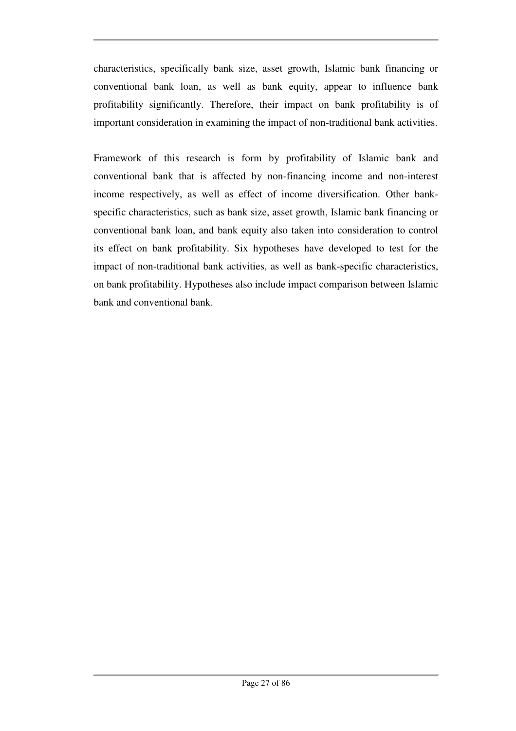characteristics, specifically bank size, asset growth, Islamic bank financing or conventional bank loan, as well as bank equity, appear to influence bank profitability significantly. Therefore, their impact on bank profitability is of important consideration in examining the impact of non-traditional bank activities.

Framework of this research is form by profitability of Islamic bank and conventional bank that is affected by non-financing income and non-interest income respectively, as well as effect of income diversification. Other bankspecific characteristics, such as bank size, asset growth, Islamic bank financing or conventional bank loan, and bank equity also taken into consideration to control its effect on bank profitability. Six hypotheses have developed to test for the impact of non-traditional bank activities, as well as bank-specific characteristics, on bank profitability. Hypotheses also include impact comparison between Islamic bank and conventional bank.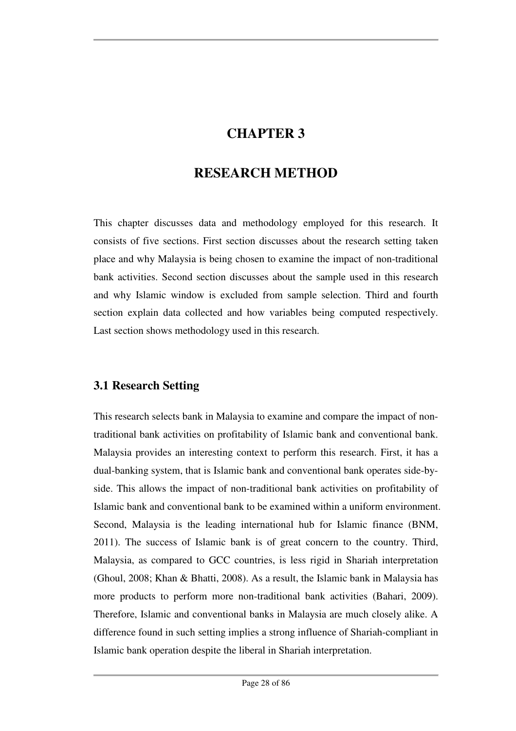# **CHAPTER 3**

# **RESEARCH METHOD**

This chapter discusses data and methodology employed for this research. It consists of five sections. First section discusses about the research setting taken place and why Malaysia is being chosen to examine the impact of non-traditional bank activities. Second section discusses about the sample used in this research and why Islamic window is excluded from sample selection. Third and fourth section explain data collected and how variables being computed respectively. Last section shows methodology used in this research.

# **3.1 Research Setting**

This research selects bank in Malaysia to examine and compare the impact of nontraditional bank activities on profitability of Islamic bank and conventional bank. Malaysia provides an interesting context to perform this research. First, it has a dual-banking system, that is Islamic bank and conventional bank operates side-byside. This allows the impact of non-traditional bank activities on profitability of Islamic bank and conventional bank to be examined within a uniform environment. Second, Malaysia is the leading international hub for Islamic finance (BNM, 2011). The success of Islamic bank is of great concern to the country. Third, Malaysia, as compared to GCC countries, is less rigid in Shariah interpretation (Ghoul, 2008; Khan & Bhatti, 2008). As a result, the Islamic bank in Malaysia has more products to perform more non-traditional bank activities (Bahari, 2009). Therefore, Islamic and conventional banks in Malaysia are much closely alike. A difference found in such setting implies a strong influence of Shariah-compliant in Islamic bank operation despite the liberal in Shariah interpretation.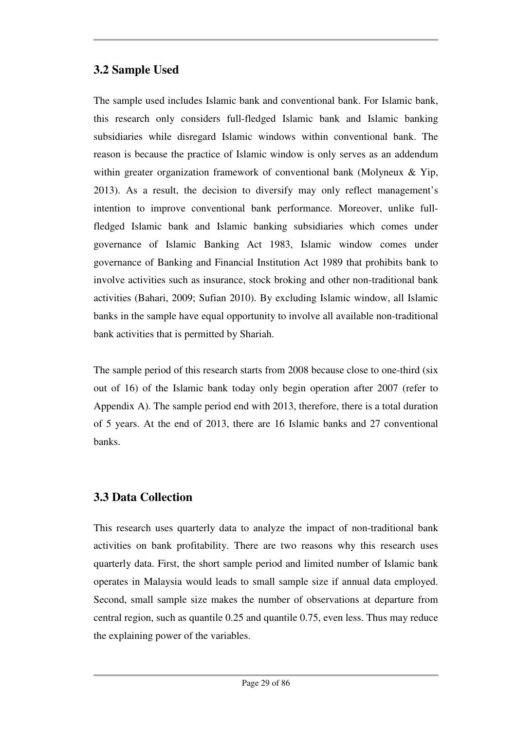# **3.2 Sample Used**

The sample used includes Islamic bank and conventional bank. For Islamic bank, this research only considers full-fledged Islamic bank and Islamic banking subsidiaries while disregard Islamic windows within conventional bank. The reason is because the practice of Islamic window is only serves as an addendum within greater organization framework of conventional bank (Molyneux & Yip, 2013). As a result, the decision to diversify may only reflect management's intention to improve conventional bank performance. Moreover, unlike fullfledged Islamic bank and Islamic banking subsidiaries which comes under governance of Islamic Banking Act 1983, Islamic window comes under governance of Banking and Financial Institution Act 1989 that prohibits bank to involve activities such as insurance, stock broking and other non-traditional bank activities (Bahari, 2009; Sufian 2010). By excluding Islamic window, all Islamic banks in the sample have equal opportunity to involve all available non-traditional bank activities that is permitted by Shariah.

The sample period of this research starts from 2008 because close to one-third (six out of 16) of the Islamic bank today only begin operation after 2007 (refer to Appendix A). The sample period end with 2013, therefore, there is a total duration of 5 years. At the end of 2013, there are 16 Islamic banks and 27 conventional banks.

# **3.3 Data Collection**

This research uses quarterly data to analyze the impact of non-traditional bank activities on bank profitability. There are two reasons why this research uses quarterly data. First, the short sample period and limited number of Islamic bank operates in Malaysia would leads to small sample size if annual data employed. Second, small sample size makes the number of observations at departure from central region, such as quantile 0.25 and quantile 0.75, even less. Thus may reduce the explaining power of the variables.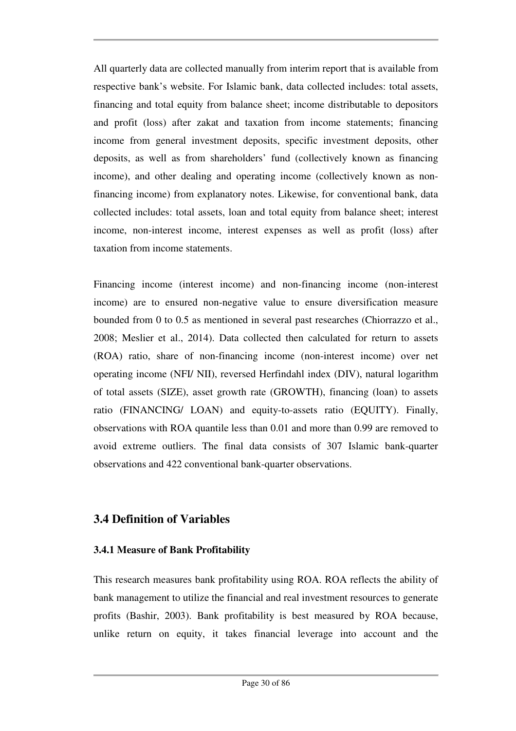All quarterly data are collected manually from interim report that is available from respective bank's website. For Islamic bank, data collected includes: total assets, financing and total equity from balance sheet; income distributable to depositors and profit (loss) after zakat and taxation from income statements; financing income from general investment deposits, specific investment deposits, other deposits, as well as from shareholders' fund (collectively known as financing income), and other dealing and operating income (collectively known as nonfinancing income) from explanatory notes. Likewise, for conventional bank, data collected includes: total assets, loan and total equity from balance sheet; interest income, non-interest income, interest expenses as well as profit (loss) after taxation from income statements.

Financing income (interest income) and non-financing income (non-interest income) are to ensured non-negative value to ensure diversification measure bounded from 0 to 0.5 as mentioned in several past researches (Chiorrazzo et al., 2008; Meslier et al., 2014). Data collected then calculated for return to assets (ROA) ratio, share of non-financing income (non-interest income) over net operating income (NFI/ NII), reversed Herfindahl index (DIV), natural logarithm of total assets (SIZE), asset growth rate (GROWTH), financing (loan) to assets ratio (FINANCING/ LOAN) and equity-to-assets ratio (EQUITY). Finally, observations with ROA quantile less than 0.01 and more than 0.99 are removed to avoid extreme outliers. The final data consists of 307 Islamic bank-quarter observations and 422 conventional bank-quarter observations.

# **3.4 Definition of Variables**

## **3.4.1 Measure of Bank Profitability**

This research measures bank profitability using ROA. ROA reflects the ability of bank management to utilize the financial and real investment resources to generate profits (Bashir, 2003). Bank profitability is best measured by ROA because, unlike return on equity, it takes financial leverage into account and the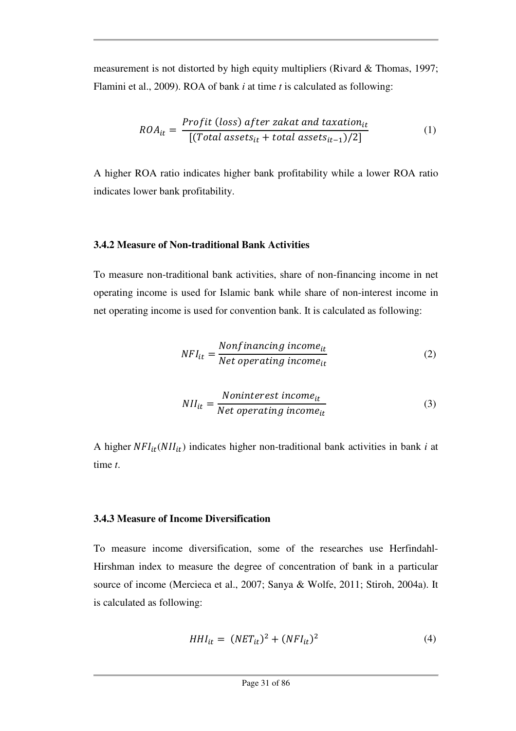measurement is not distorted by high equity multipliers (Rivard & Thomas, 1997; Flamini et al., 2009). ROA of bank *i* at time *t* is calculated as following:

$$
ROA_{it} = \frac{Profit (loss) after zakat and taxation_{it}}{[(Total assets_{it} + total assets_{it-1})/2]}
$$
 (1)

A higher ROA ratio indicates higher bank profitability while a lower ROA ratio indicates lower bank profitability.

#### **3.4.2 Measure of Non-traditional Bank Activities**

To measure non-traditional bank activities, share of non-financing income in net operating income is used for Islamic bank while share of non-interest income in net operating income is used for convention bank. It is calculated as following:

$$
NFI_{it} = \frac{Nonfinancing\ income_{it}}{Net\ operating\ income_{it}}\tag{2}
$$

$$
NII_{it} = \frac{Noninterest\ income_{it}}{Net\ operating\ income_{it}}\tag{3}
$$

A higher  $NFI_{it}(NII_{it})$  indicates higher non-traditional bank activities in bank *i* at time *t*.

#### **3.4.3 Measure of Income Diversification**

To measure income diversification, some of the researches use Herfindahl-Hirshman index to measure the degree of concentration of bank in a particular source of income (Mercieca et al., 2007; Sanya & Wolfe, 2011; Stiroh, 2004a). It is calculated as following:

$$
HHI_{it} = (NET_{it})^2 + (NFI_{it})^2 \tag{4}
$$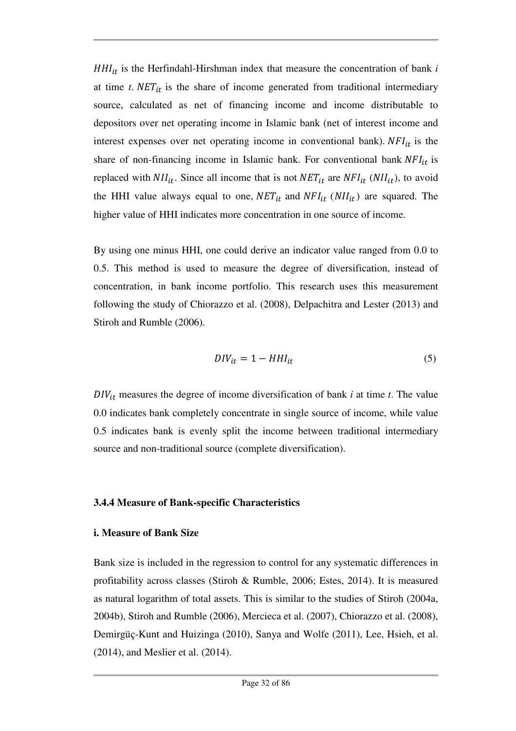$HHI_{it}$  is the Herfindahl-Hirshman index that measure the concentration of bank  $i$ at time  $t$ .  $NET_{it}$  is the share of income generated from traditional intermediary source, calculated as net of financing income and income distributable to depositors over net operating income in Islamic bank (net of interest income and interest expenses over net operating income in conventional bank).  $NFI_{it}$  is the share of non-financing income in Islamic bank. For conventional bank  $NFI_{it}$  is replaced with  $NII_{it}$ . Since all income that is not  $NET_{it}$  are  $NFI_{it}$  ( $NII_{it}$ ), to avoid the HHI value always equal to one,  $NET_{it}$  and  $NFI_{it}$  ( $NII_{it}$ ) are squared. The higher value of HHI indicates more concentration in one source of income.

By using one minus HHI, one could derive an indicator value ranged from 0.0 to 0.5. This method is used to measure the degree of diversification, instead of concentration, in bank income portfolio. This research uses this measurement following the study of Chiorazzo et al. (2008), Delpachitra and Lester (2013) and Stiroh and Rumble (2006).

$$
DIV_{it} = 1 - HHI_{it} \tag{5}
$$

 $DIV_{it}$  measures the degree of income diversification of bank *i* at time *t*. The value 0.0 indicates bank completely concentrate in single source of income, while value 0.5 indicates bank is evenly split the income between traditional intermediary source and non-traditional source (complete diversification).

#### **3.4.4 Measure of Bank-specific Characteristics**

#### **i. Measure of Bank Size**

Bank size is included in the regression to control for any systematic differences in profitability across classes (Stiroh & Rumble, 2006; Estes, 2014). It is measured as natural logarithm of total assets. This is similar to the studies of Stiroh (2004a, 2004b), Stiroh and Rumble (2006), Mercieca et al. (2007), Chiorazzo et al. (2008), Demirgüç-Kunt and Huizinga (2010), Sanya and Wolfe (2011), Lee, Hsieh, et al. (2014), and Meslier et al. (2014).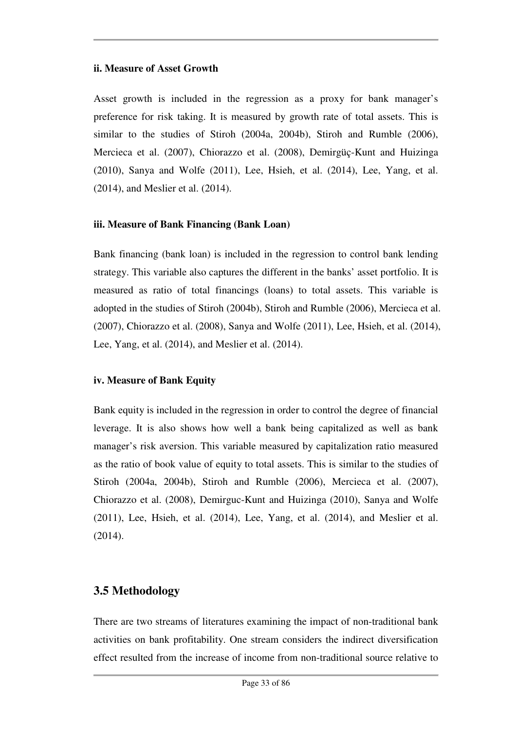#### **ii. Measure of Asset Growth**

Asset growth is included in the regression as a proxy for bank manager's preference for risk taking. It is measured by growth rate of total assets. This is similar to the studies of Stiroh (2004a, 2004b), Stiroh and Rumble (2006), Mercieca et al. (2007), Chiorazzo et al. (2008), Demirgüç-Kunt and Huizinga (2010), Sanya and Wolfe (2011), Lee, Hsieh, et al. (2014), Lee, Yang, et al. (2014), and Meslier et al. (2014).

#### **iii. Measure of Bank Financing (Bank Loan)**

Bank financing (bank loan) is included in the regression to control bank lending strategy. This variable also captures the different in the banks' asset portfolio. It is measured as ratio of total financings (loans) to total assets. This variable is adopted in the studies of Stiroh (2004b), Stiroh and Rumble (2006), Mercieca et al. (2007), Chiorazzo et al. (2008), Sanya and Wolfe (2011), Lee, Hsieh, et al. (2014), Lee, Yang, et al. (2014), and Meslier et al. (2014).

## **iv. Measure of Bank Equity**

Bank equity is included in the regression in order to control the degree of financial leverage. It is also shows how well a bank being capitalized as well as bank manager's risk aversion. This variable measured by capitalization ratio measured as the ratio of book value of equity to total assets. This is similar to the studies of Stiroh (2004a, 2004b), Stiroh and Rumble (2006), Mercieca et al. (2007), Chiorazzo et al. (2008), Demirguc-Kunt and Huizinga (2010), Sanya and Wolfe  $(2011)$ , Lee, Hsieh, et al.  $(2014)$ , Lee, Yang, et al.  $(2014)$ , and Meslier et al. (2014).

# **3.5 Methodology**

There are two streams of literatures examining the impact of non-traditional bank activities on bank profitability. One stream considers the indirect diversification effect resulted from the increase of income from non-traditional source relative to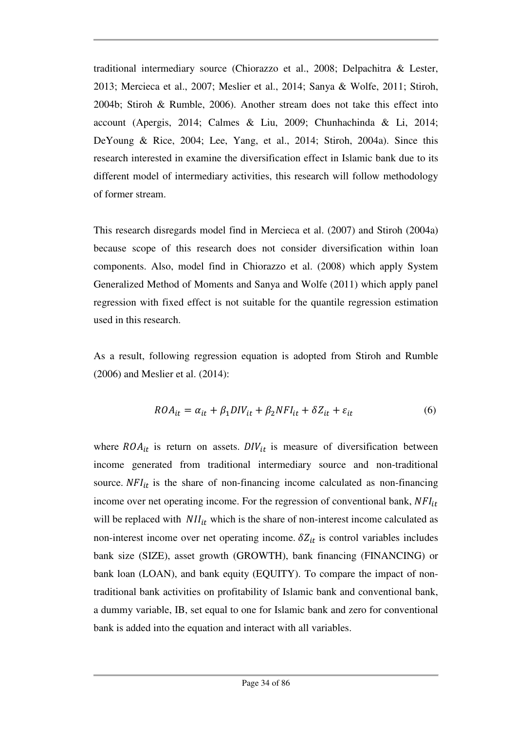traditional intermediary source (Chiorazzo et al., 2008; Delpachitra & Lester, 2013; Mercieca et al., 2007; Meslier et al., 2014; Sanya & Wolfe, 2011; Stiroh, 2004b; Stiroh & Rumble, 2006). Another stream does not take this effect into account (Apergis, 2014; Calmes & Liu, 2009; Chunhachinda & Li, 2014; DeYoung & Rice, 2004; Lee, Yang, et al., 2014; Stiroh, 2004a). Since this research interested in examine the diversification effect in Islamic bank due to its different model of intermediary activities, this research will follow methodology of former stream.

This research disregards model find in Mercieca et al. (2007) and Stiroh (2004a) because scope of this research does not consider diversification within loan components. Also, model find in Chiorazzo et al. (2008) which apply System Generalized Method of Moments and Sanya and Wolfe (2011) which apply panel regression with fixed effect is not suitable for the quantile regression estimation used in this research.

As a result, following regression equation is adopted from Stiroh and Rumble (2006) and Meslier et al. (2014):

$$
ROA_{it} = \alpha_{it} + \beta_1 DIV_{it} + \beta_2 NFI_{it} + \delta Z_{it} + \varepsilon_{it}
$$
(6)

where  $ROA_{it}$  is return on assets.  $DIV_{it}$  is measure of diversification between income generated from traditional intermediary source and non-traditional source.  $NFI_{it}$  is the share of non-financing income calculated as non-financing income over net operating income. For the regression of conventional bank,  $NFI_{it}$ will be replaced with  $NII_{it}$  which is the share of non-interest income calculated as non-interest income over net operating income.  $\delta Z_{it}$  is control variables includes bank size (SIZE), asset growth (GROWTH), bank financing (FINANCING) or bank loan (LOAN), and bank equity (EQUITY). To compare the impact of nontraditional bank activities on profitability of Islamic bank and conventional bank, a dummy variable, IB, set equal to one for Islamic bank and zero for conventional bank is added into the equation and interact with all variables.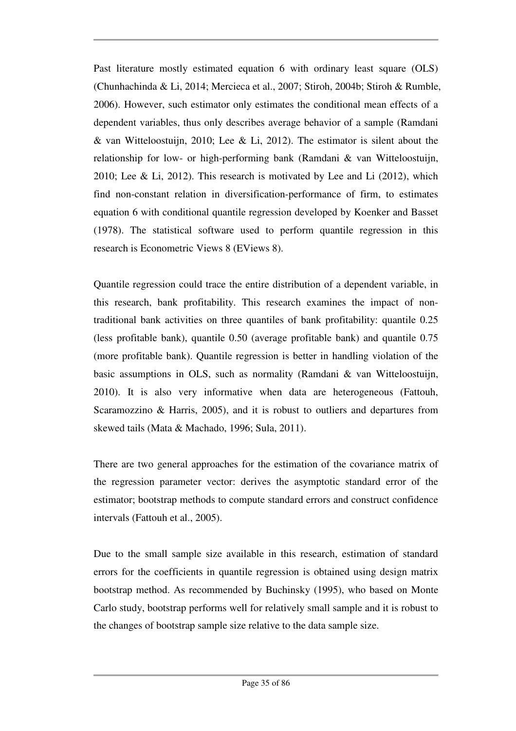Past literature mostly estimated equation 6 with ordinary least square (OLS) (Chunhachinda & Li, 2014; Mercieca et al., 2007; Stiroh, 2004b; Stiroh & Rumble, 2006). However, such estimator only estimates the conditional mean effects of a dependent variables, thus only describes average behavior of a sample (Ramdani & van Witteloostuijn, 2010; Lee & Li, 2012). The estimator is silent about the relationship for low- or high-performing bank (Ramdani & van Witteloostuijn, 2010; Lee & Li, 2012). This research is motivated by Lee and Li (2012), which find non-constant relation in diversification-performance of firm, to estimates equation 6 with conditional quantile regression developed by Koenker and Basset (1978). The statistical software used to perform quantile regression in this research is Econometric Views 8 (EViews 8).

Quantile regression could trace the entire distribution of a dependent variable, in this research, bank profitability. This research examines the impact of nontraditional bank activities on three quantiles of bank profitability: quantile 0.25 (less profitable bank), quantile 0.50 (average profitable bank) and quantile 0.75 (more profitable bank). Quantile regression is better in handling violation of the basic assumptions in OLS, such as normality (Ramdani & van Witteloostuijn, 2010). It is also very informative when data are heterogeneous (Fattouh, Scaramozzino & Harris, 2005), and it is robust to outliers and departures from skewed tails (Mata & Machado, 1996; Sula, 2011).

There are two general approaches for the estimation of the covariance matrix of the regression parameter vector: derives the asymptotic standard error of the estimator; bootstrap methods to compute standard errors and construct confidence intervals (Fattouh et al., 2005).

Due to the small sample size available in this research, estimation of standard errors for the coefficients in quantile regression is obtained using design matrix bootstrap method. As recommended by Buchinsky (1995), who based on Monte Carlo study, bootstrap performs well for relatively small sample and it is robust to the changes of bootstrap sample size relative to the data sample size.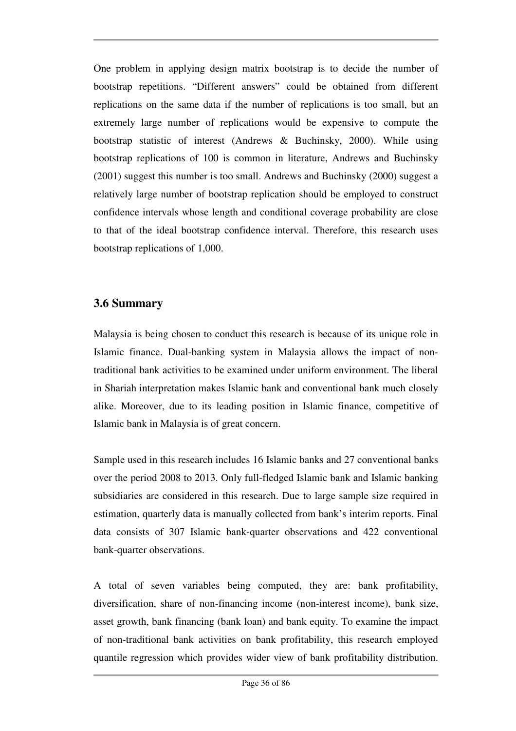One problem in applying design matrix bootstrap is to decide the number of bootstrap repetitions. "Different answers" could be obtained from different replications on the same data if the number of replications is too small, but an extremely large number of replications would be expensive to compute the bootstrap statistic of interest (Andrews & Buchinsky, 2000). While using bootstrap replications of 100 is common in literature, Andrews and Buchinsky (2001) suggest this number is too small. Andrews and Buchinsky (2000) suggest a relatively large number of bootstrap replication should be employed to construct confidence intervals whose length and conditional coverage probability are close to that of the ideal bootstrap confidence interval. Therefore, this research uses bootstrap replications of 1,000.

# **3.6 Summary**

Malaysia is being chosen to conduct this research is because of its unique role in Islamic finance. Dual-banking system in Malaysia allows the impact of nontraditional bank activities to be examined under uniform environment. The liberal in Shariah interpretation makes Islamic bank and conventional bank much closely alike. Moreover, due to its leading position in Islamic finance, competitive of Islamic bank in Malaysia is of great concern.

Sample used in this research includes 16 Islamic banks and 27 conventional banks over the period 2008 to 2013. Only full-fledged Islamic bank and Islamic banking subsidiaries are considered in this research. Due to large sample size required in estimation, quarterly data is manually collected from bank's interim reports. Final data consists of 307 Islamic bank-quarter observations and 422 conventional bank-quarter observations.

A total of seven variables being computed, they are: bank profitability, diversification, share of non-financing income (non-interest income), bank size, asset growth, bank financing (bank loan) and bank equity. To examine the impact of non-traditional bank activities on bank profitability, this research employed quantile regression which provides wider view of bank profitability distribution.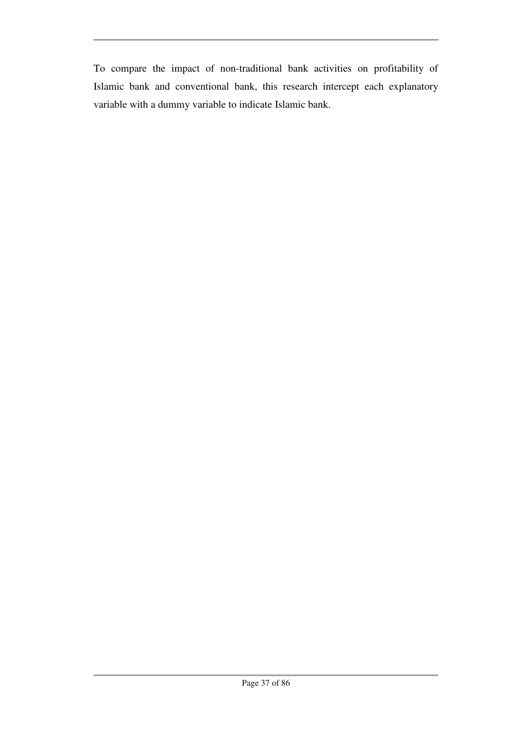To compare the impact of non-traditional bank activities on profitability of Islamic bank and conventional bank, this research intercept each explanatory variable with a dummy variable to indicate Islamic bank.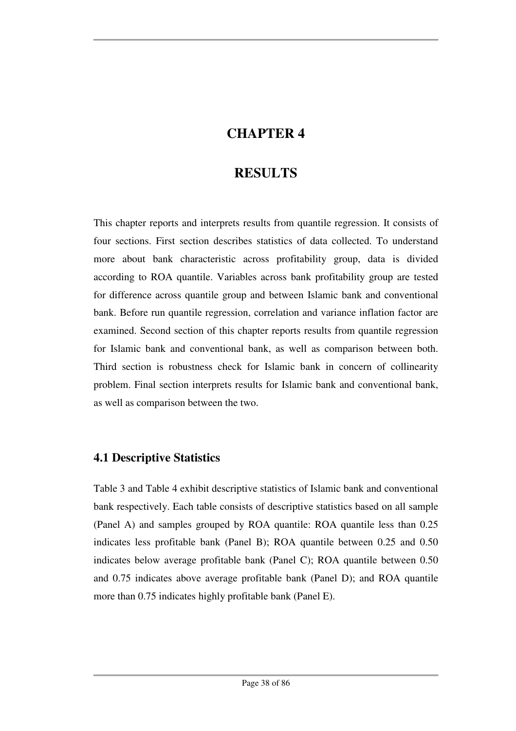# **CHAPTER 4**

# **RESULTS**

This chapter reports and interprets results from quantile regression. It consists of four sections. First section describes statistics of data collected. To understand more about bank characteristic across profitability group, data is divided according to ROA quantile. Variables across bank profitability group are tested for difference across quantile group and between Islamic bank and conventional bank. Before run quantile regression, correlation and variance inflation factor are examined. Second section of this chapter reports results from quantile regression for Islamic bank and conventional bank, as well as comparison between both. Third section is robustness check for Islamic bank in concern of collinearity problem. Final section interprets results for Islamic bank and conventional bank, as well as comparison between the two.

# **4.1 Descriptive Statistics**

Table 3 and Table 4 exhibit descriptive statistics of Islamic bank and conventional bank respectively. Each table consists of descriptive statistics based on all sample (Panel A) and samples grouped by ROA quantile: ROA quantile less than 0.25 indicates less profitable bank (Panel B); ROA quantile between 0.25 and 0.50 indicates below average profitable bank (Panel C); ROA quantile between 0.50 and 0.75 indicates above average profitable bank (Panel D); and ROA quantile more than 0.75 indicates highly profitable bank (Panel E).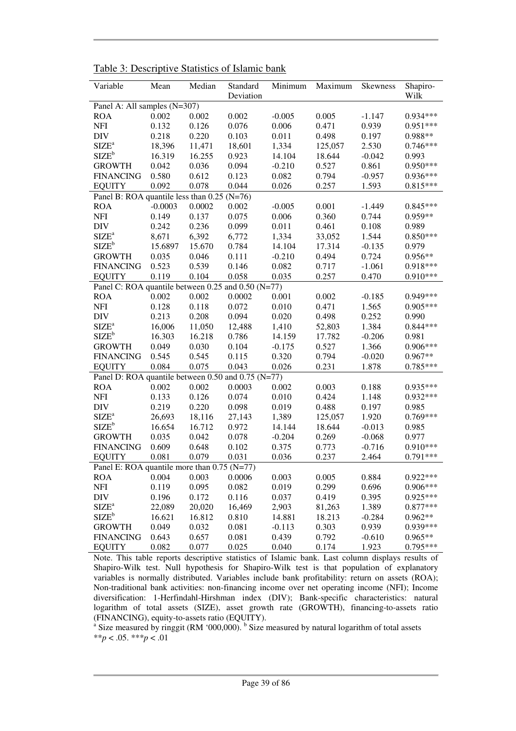| Variable                                           | Mean      | Median | Standard  | Minimum  | Maximum | <b>Skewness</b> | Shapiro-   |
|----------------------------------------------------|-----------|--------|-----------|----------|---------|-----------------|------------|
|                                                    |           |        | Deviation |          |         |                 | Wilk       |
| Panel A: All samples (N=307)                       |           |        |           |          |         |                 |            |
| <b>ROA</b>                                         | 0.002     | 0.002  | 0.002     | $-0.005$ | 0.005   | $-1.147$        | 0.934***   |
| <b>NFI</b>                                         | 0.132     | 0.126  | 0.076     | 0.006    | 0.471   | 0.939           | $0.951***$ |
| <b>DIV</b>                                         | 0.218     | 0.220  | 0.103     | 0.011    | 0.498   | 0.197           | 0.988**    |
| SIZE <sup>a</sup>                                  | 18,396    | 11,471 | 18,601    | 1,334    | 125,057 | 2.530           | $0.746***$ |
| $SIZE^b$                                           | 16.319    | 16.255 | 0.923     | 14.104   | 18.644  | $-0.042$        | 0.993      |
| <b>GROWTH</b>                                      | 0.042     | 0.036  | 0.094     | $-0.210$ | 0.527   | 0.861           | $0.950***$ |
| <b>FINANCING</b>                                   | 0.580     | 0.612  | 0.123     | 0.082    | 0.794   | $-0.957$        | 0.936***   |
| <b>EQUITY</b>                                      | 0.092     | 0.078  | 0.044     | 0.026    | 0.257   | 1.593           | $0.815***$ |
| Panel B: ROA quantile less than $0.25$ (N=76)      |           |        |           |          |         |                 |            |
| <b>ROA</b>                                         | $-0.0003$ | 0.0002 | 0.002     | $-0.005$ | 0.001   | $-1.449$        | $0.845***$ |
| <b>NFI</b>                                         | 0.149     | 0.137  | 0.075     | 0.006    | 0.360   | 0.744           | 0.959**    |
| <b>DIV</b>                                         | 0.242     | 0.236  | 0.099     | 0.011    | 0.461   | 0.108           | 0.989      |
| SIZE <sup>a</sup>                                  | 8,671     | 6,392  | 6,772     | 1,334    | 33,052  | 1.544           | $0.850***$ |
| $SIZE^b$                                           | 15.6897   | 15.670 | 0.784     | 14.104   | 17.314  | $-0.135$        | 0.979      |
| <b>GROWTH</b>                                      | 0.035     | 0.046  | 0.111     | $-0.210$ | 0.494   | 0.724           | $0.956**$  |
| <b>FINANCING</b>                                   | 0.523     | 0.539  | 0.146     | 0.082    | 0.717   | $-1.061$        | 0.918***   |
| <b>EQUITY</b>                                      | 0.119     | 0.104  | 0.058     | 0.035    | 0.257   | 0.470           | $0.910***$ |
| Panel C: ROA quantile between 0.25 and 0.50 (N=77) |           |        |           |          |         |                 |            |
| <b>ROA</b>                                         | 0.002     | 0.002  | 0.0002    | 0.001    | 0.002   | $-0.185$        | 0.949***   |
| <b>NFI</b>                                         | 0.128     | 0.118  | 0.072     | 0.010    | 0.471   | 1.565           | $0.905***$ |
| <b>DIV</b>                                         | 0.213     | 0.208  | 0.094     | 0.020    | 0.498   | 0.252           | 0.990      |
| $SIZE^a$                                           | 16,006    | 11,050 | 12,488    | 1,410    | 52,803  | 1.384           | 0.844***   |
| $\text{SIZE}^{\text{b}}$                           | 16.303    | 16.218 | 0.786     | 14.159   | 17.782  | $-0.206$        | 0.981      |
| <b>GROWTH</b>                                      | 0.049     | 0.030  | 0.104     | $-0.175$ | 0.527   | 1.366           | $0.906***$ |
| <b>FINANCING</b>                                   | 0.545     | 0.545  | 0.115     | 0.320    | 0.794   | $-0.020$        | 0.967**    |
| <b>EQUITY</b>                                      | 0.084     | 0.075  | 0.043     | 0.026    | 0.231   | 1.878           | $0.785***$ |
| Panel D: ROA quantile between 0.50 and 0.75 (N=77) |           |        |           |          |         |                 |            |
| <b>ROA</b>                                         | 0.002     | 0.002  | 0.0003    | 0.002    | 0.003   | 0.188           | 0.935***   |
| <b>NFI</b>                                         | 0.133     | 0.126  | 0.074     | 0.010    | 0.424   | 1.148           | 0.932***   |
| <b>DIV</b>                                         | 0.219     | 0.220  | 0.098     | 0.019    | 0.488   | 0.197           | 0.985      |
| $SIZE^a$                                           | 26,693    | 18,116 | 27,143    | 1,389    | 125,057 | 1.920           | 0.769***   |
| $SIZE^b$                                           | 16.654    | 16.712 | 0.972     | 14.144   | 18.644  | $-0.013$        | 0.985      |
| <b>GROWTH</b>                                      | 0.035     | 0.042  | 0.078     | $-0.204$ | 0.269   | $-0.068$        | 0.977      |
| <b>FINANCING</b>                                   | 0.609     | 0.648  | 0.102     | 0.375    | 0.773   | $-0.716$        | $0.910***$ |
| <b>EQUITY</b>                                      | 0.081     | 0.079  | 0.031     | 0.036    | 0.237   | 2.464           | $0.791***$ |
| Panel E: ROA quantile more than $0.75$ (N=77)      |           |        |           |          |         |                 |            |
| <b>ROA</b>                                         | 0.004     | 0.003  | 0.0006    | 0.003    | 0.005   | 0.884           | $0.922***$ |
| <b>NFI</b>                                         | 0.119     | 0.095  | 0.082     | 0.019    | 0.299   | 0.696           | 0.906***   |
| <b>DIV</b>                                         | 0.196     | 0.172  | 0.116     | 0.037    | 0.419   | 0.395           | 0.925***   |
| SIZE <sup>a</sup>                                  | 22,089    | 20,020 | 16,469    | 2,903    | 81,263  | 1.389           | $0.877***$ |
| $SIZE^b$                                           | 16.621    | 16.812 | 0.810     | 14.881   | 18.213  | $-0.284$        | $0.962**$  |
| <b>GROWTH</b>                                      | 0.049     | 0.032  | 0.081     | $-0.113$ | 0.303   | 0.939           | $0.939***$ |
| <b>FINANCING</b>                                   | 0.643     | 0.657  | 0.081     | 0.439    | 0.792   | $-0.610$        | $0.965**$  |
| <b>EQUITY</b>                                      | 0.082     | 0.077  | 0.025     | 0.040    | 0.174   | 1.923           | 0.795***   |

Table 3: Descriptive Statistics of Islamic bank

Note. This table reports descriptive statistics of Islamic bank. Last column displays results of Shapiro-Wilk test. Null hypothesis for Shapiro-Wilk test is that population of explanatory variables is normally distributed. Variables include bank profitability: return on assets (ROA); Non-traditional bank activities: non-financing income over net operating income (NFI); Income diversification: 1-Herfindahl-Hirshman index (DIV); Bank-specific characteristics: natural logarithm of total assets (SIZE), asset growth rate (GROWTH), financing-to-assets ratio (FINANCING), equity-to-assets ratio (EQUITY).

<sup>a</sup> Size measured by ringgit (RM '000,000). <sup>b</sup> Size measured by natural logarithm of total assets \*\**p* < .05. \*\*\**p* < .01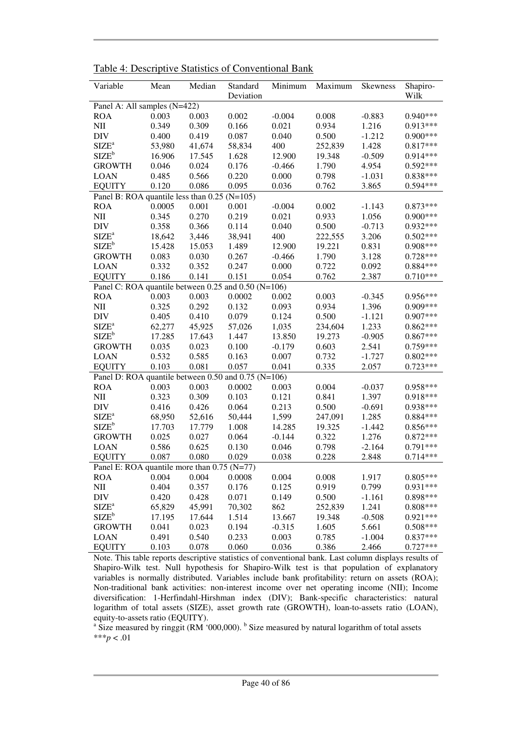| Variable                                                         | Mean   | Median | Standard  | Minimum  | Maximum | <b>Skewness</b> | Shapiro-   |
|------------------------------------------------------------------|--------|--------|-----------|----------|---------|-----------------|------------|
| Panel A: All samples (N=422)                                     |        |        | Deviation |          |         |                 | Wilk       |
| <b>ROA</b>                                                       | 0.003  | 0.003  | 0.002     | $-0.004$ | 0.008   | $-0.883$        | $0.940***$ |
| NII                                                              | 0.349  | 0.309  | 0.166     | 0.021    | 0.934   | 1.216           | 0.913***   |
| <b>DIV</b>                                                       | 0.400  | 0.419  | 0.087     | 0.040    | 0.500   | $-1.212$        | $0.900***$ |
| $SIZE^a$                                                         | 53,980 | 41,674 | 58,834    | 400      | 252,839 | 1.428           | $0.817***$ |
| $SIZE^b$                                                         | 16.906 | 17.545 | 1.628     | 12.900   | 19.348  | $-0.509$        | $0.914***$ |
| <b>GROWTH</b>                                                    | 0.046  | 0.024  | 0.176     | $-0.466$ | 1.790   | 4.954           | $0.592***$ |
| <b>LOAN</b>                                                      | 0.485  | 0.566  | 0.220     | 0.000    | 0.798   | $-1.031$        | $0.838***$ |
| <b>EQUITY</b>                                                    | 0.120  | 0.086  | 0.095     | 0.036    | 0.762   | 3.865           | $0.594***$ |
| Panel B: ROA quantile less than 0.25 (N=105)                     |        |        |           |          |         |                 |            |
| <b>ROA</b>                                                       | 0.0005 | 0.001  | 0.001     | $-0.004$ | 0.002   | $-1.143$        | $0.873***$ |
| NII                                                              | 0.345  | 0.270  | 0.219     | 0.021    | 0.933   | 1.056           | $0.900***$ |
| <b>DIV</b>                                                       | 0.358  | 0.366  | 0.114     | 0.040    | 0.500   | $-0.713$        | 0.932***   |
| SIZE <sup>a</sup>                                                | 18,642 | 3,446  | 38,941    | 400      | 222,555 | 3.206           | $0.502***$ |
| $SIZE^b$                                                         | 15.428 | 15.053 | 1.489     | 12.900   | 19.221  | 0.831           | $0.908***$ |
| <b>GROWTH</b>                                                    | 0.083  | 0.030  | 0.267     | $-0.466$ | 1.790   | 3.128           | $0.728***$ |
| <b>LOAN</b>                                                      | 0.332  | 0.352  | 0.247     | 0.000    | 0.722   | 0.092           | $0.884***$ |
| <b>EQUITY</b>                                                    | 0.186  | 0.141  | 0.151     | 0.054    | 0.762   | 2.387           | $0.710***$ |
| Panel C: ROA quantile between 0.25 and $\overline{0.50}$ (N=106) |        |        |           |          |         |                 |            |
| <b>ROA</b>                                                       | 0.003  | 0.003  | 0.0002    | 0.002    | 0.003   | $-0.345$        | 0.956***   |
| NII                                                              | 0.325  | 0.292  | 0.132     | 0.093    | 0.934   | 1.396           | 0.909***   |
| DIV                                                              | 0.405  | 0.410  | 0.079     | 0.124    | 0.500   | $-1.121$        | 0.907***   |
| SIZE <sup>a</sup>                                                | 62,277 | 45,925 | 57,026    | 1,035    | 234,604 | 1.233           | $0.862***$ |
| $SIZE^b$                                                         | 17.285 | 17.643 | 1.447     | 13.850   | 19.273  | $-0.905$        | $0.867***$ |
| <b>GROWTH</b>                                                    | 0.035  | 0.023  | 0.100     | $-0.179$ | 0.603   | 2.541           | 0.759***   |
| <b>LOAN</b>                                                      | 0.532  | 0.585  | 0.163     | 0.007    | 0.732   | $-1.727$        | $0.802***$ |
| <b>EQUITY</b>                                                    | 0.103  | 0.081  | 0.057     | 0.041    | 0.335   | 2.057           | $0.723***$ |
| Panel D: ROA quantile between 0.50 and 0.75 (N=106)              |        |        |           |          |         |                 |            |
| <b>ROA</b>                                                       | 0.003  | 0.003  | 0.0002    | 0.003    | 0.004   | $-0.037$        | 0.958***   |
| NII                                                              | 0.323  | 0.309  | 0.103     | 0.121    | 0.841   | 1.397           | $0.918***$ |
| <b>DIV</b>                                                       | 0.416  | 0.426  | 0.064     | 0.213    | 0.500   | $-0.691$        | $0.938***$ |
| $SIZE^a$                                                         | 68,950 | 52,616 | 50,444    | 1,599    | 247,091 | 1.285           | $0.884***$ |
| $SIZE^b$                                                         | 17.703 | 17.779 | 1.008     | 14.285   | 19.325  | $-1.442$        | $0.856***$ |
| <b>GROWTH</b>                                                    | 0.025  | 0.027  | 0.064     | $-0.144$ | 0.322   | 1.276           | $0.872***$ |
| <b>LOAN</b>                                                      | 0.586  | 0.625  | 0.130     | 0.046    | 0.798   | $-2.164$        | $0.791***$ |
| <b>EQUITY</b>                                                    | 0.087  | 0.080  | 0.029     | 0.038    | 0.228   | 2.848           | $0.714***$ |
| Panel E: ROA quantile more than 0.75 (N=77)                      |        |        |           |          |         |                 |            |
| <b>ROA</b>                                                       | 0.004  | 0.004  | 0.0008    | 0.004    | 0.008   | 1.917           | $0.805***$ |
| NII                                                              | 0.404  | 0.357  | 0.176     | 0.125    | 0.919   | 0.799           | $0.931***$ |
| <b>DIV</b>                                                       | 0.420  | 0.428  | 0.071     | 0.149    | 0.500   | $-1.161$        | $0.898***$ |
| $SIZE^a$                                                         | 65,829 | 45,991 | 70,302    | 862      | 252,839 | 1.241           | $0.808***$ |
| $SIZE^b$                                                         | 17.195 | 17.644 | 1.514     | 13.667   | 19.348  | $-0.508$        | $0.921***$ |
| <b>GROWTH</b>                                                    | 0.041  | 0.023  | 0.194     | $-0.315$ | 1.605   | 5.661           | $0.508***$ |
| <b>LOAN</b>                                                      | 0.491  | 0.540  | 0.233     | 0.003    | 0.785   | $-1.004$        | $0.837***$ |
| <b>EQUITY</b>                                                    | 0.103  | 0.078  | 0.060     | 0.036    | 0.386   | 2.466           | $0.727***$ |

Table 4: Descriptive Statistics of Conventional Bank

Note. This table reports descriptive statistics of conventional bank. Last column displays results of Shapiro-Wilk test. Null hypothesis for Shapiro-Wilk test is that population of explanatory variables is normally distributed. Variables include bank profitability: return on assets (ROA); Non-traditional bank activities: non-interest income over net operating income (NII); Income diversification: 1-Herfindahl-Hirshman index (DIV); Bank-specific characteristics: natural logarithm of total assets (SIZE), asset growth rate (GROWTH), loan-to-assets ratio (LOAN),

equity-to-assets ratio (EQUITY).<br><sup>a</sup> Size measured by ringgit (RM '000,000). <sup>b</sup> Size measured by natural logarithm of total assets \*\*\**p* < .01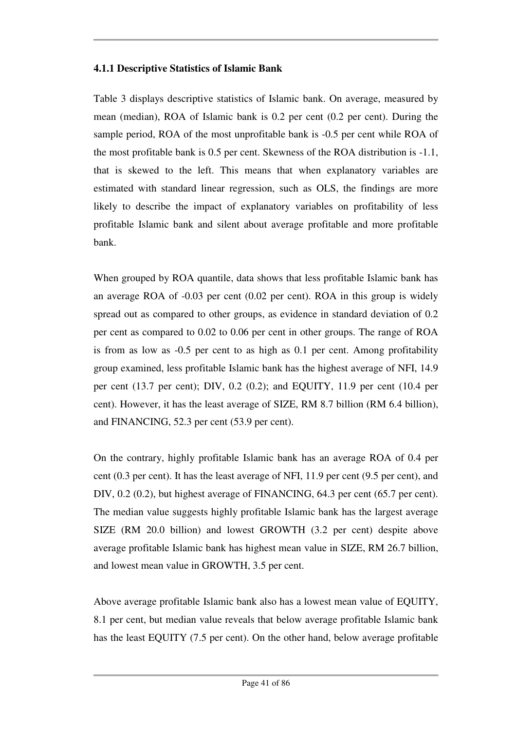## **4.1.1 Descriptive Statistics of Islamic Bank**

Table 3 displays descriptive statistics of Islamic bank. On average, measured by mean (median), ROA of Islamic bank is 0.2 per cent (0.2 per cent). During the sample period, ROA of the most unprofitable bank is -0.5 per cent while ROA of the most profitable bank is 0.5 per cent. Skewness of the ROA distribution is -1.1, that is skewed to the left. This means that when explanatory variables are estimated with standard linear regression, such as OLS, the findings are more likely to describe the impact of explanatory variables on profitability of less profitable Islamic bank and silent about average profitable and more profitable bank.

When grouped by ROA quantile, data shows that less profitable Islamic bank has an average ROA of -0.03 per cent (0.02 per cent). ROA in this group is widely spread out as compared to other groups, as evidence in standard deviation of 0.2 per cent as compared to 0.02 to 0.06 per cent in other groups. The range of ROA is from as low as -0.5 per cent to as high as 0.1 per cent. Among profitability group examined, less profitable Islamic bank has the highest average of NFI, 14.9 per cent (13.7 per cent); DIV, 0.2 (0.2); and EQUITY, 11.9 per cent (10.4 per cent). However, it has the least average of SIZE, RM 8.7 billion (RM 6.4 billion), and FINANCING, 52.3 per cent (53.9 per cent).

On the contrary, highly profitable Islamic bank has an average ROA of 0.4 per cent (0.3 per cent). It has the least average of NFI, 11.9 per cent (9.5 per cent), and DIV, 0.2 (0.2), but highest average of FINANCING, 64.3 per cent (65.7 per cent). The median value suggests highly profitable Islamic bank has the largest average SIZE (RM 20.0 billion) and lowest GROWTH (3.2 per cent) despite above average profitable Islamic bank has highest mean value in SIZE, RM 26.7 billion, and lowest mean value in GROWTH, 3.5 per cent.

Above average profitable Islamic bank also has a lowest mean value of EQUITY, 8.1 per cent, but median value reveals that below average profitable Islamic bank has the least EQUITY (7.5 per cent). On the other hand, below average profitable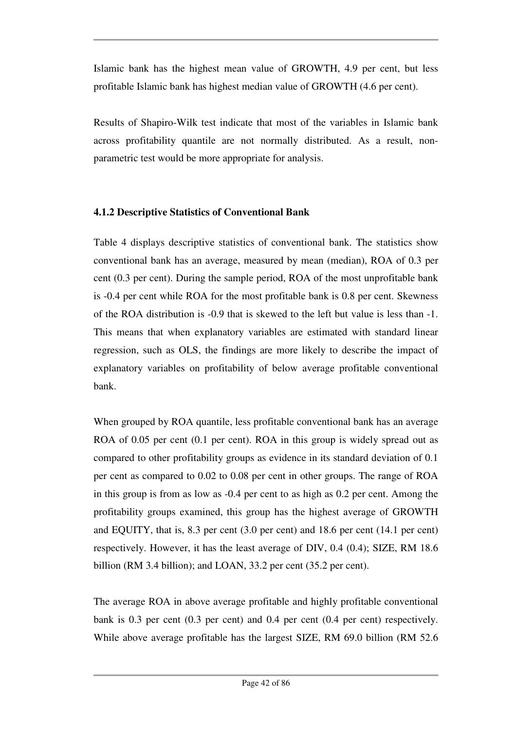Islamic bank has the highest mean value of GROWTH, 4.9 per cent, but less profitable Islamic bank has highest median value of GROWTH (4.6 per cent).

Results of Shapiro-Wilk test indicate that most of the variables in Islamic bank across profitability quantile are not normally distributed. As a result, nonparametric test would be more appropriate for analysis.

## **4.1.2 Descriptive Statistics of Conventional Bank**

Table 4 displays descriptive statistics of conventional bank. The statistics show conventional bank has an average, measured by mean (median), ROA of 0.3 per cent (0.3 per cent). During the sample period, ROA of the most unprofitable bank is -0.4 per cent while ROA for the most profitable bank is 0.8 per cent. Skewness of the ROA distribution is -0.9 that is skewed to the left but value is less than -1. This means that when explanatory variables are estimated with standard linear regression, such as OLS, the findings are more likely to describe the impact of explanatory variables on profitability of below average profitable conventional bank.

When grouped by ROA quantile, less profitable conventional bank has an average ROA of 0.05 per cent (0.1 per cent). ROA in this group is widely spread out as compared to other profitability groups as evidence in its standard deviation of 0.1 per cent as compared to 0.02 to 0.08 per cent in other groups. The range of ROA in this group is from as low as -0.4 per cent to as high as 0.2 per cent. Among the profitability groups examined, this group has the highest average of GROWTH and EQUITY, that is, 8.3 per cent (3.0 per cent) and 18.6 per cent (14.1 per cent) respectively. However, it has the least average of DIV, 0.4 (0.4); SIZE, RM 18.6 billion (RM 3.4 billion); and LOAN, 33.2 per cent (35.2 per cent).

The average ROA in above average profitable and highly profitable conventional bank is 0.3 per cent (0.3 per cent) and 0.4 per cent (0.4 per cent) respectively. While above average profitable has the largest SIZE, RM 69.0 billion (RM 52.6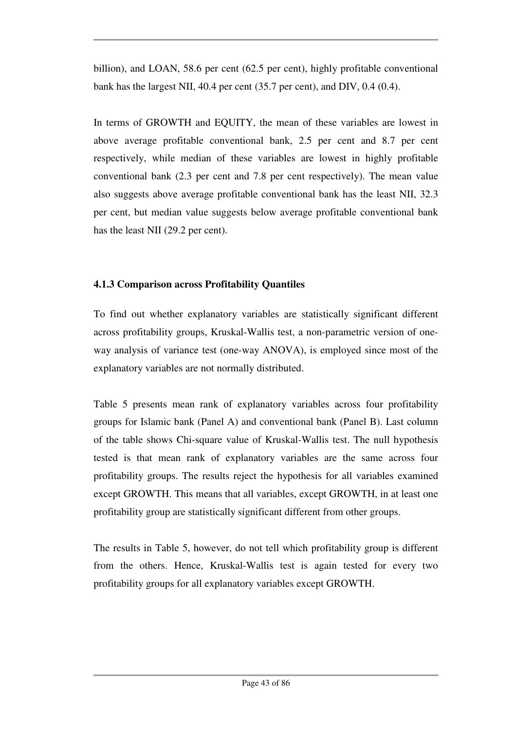billion), and LOAN, 58.6 per cent (62.5 per cent), highly profitable conventional bank has the largest NII, 40.4 per cent (35.7 per cent), and DIV, 0.4 (0.4).

In terms of GROWTH and EQUITY, the mean of these variables are lowest in above average profitable conventional bank, 2.5 per cent and 8.7 per cent respectively, while median of these variables are lowest in highly profitable conventional bank (2.3 per cent and 7.8 per cent respectively). The mean value also suggests above average profitable conventional bank has the least NII, 32.3 per cent, but median value suggests below average profitable conventional bank has the least NII (29.2 per cent).

## **4.1.3 Comparison across Profitability Quantiles**

To find out whether explanatory variables are statistically significant different across profitability groups, Kruskal-Wallis test, a non-parametric version of oneway analysis of variance test (one-way ANOVA), is employed since most of the explanatory variables are not normally distributed.

Table 5 presents mean rank of explanatory variables across four profitability groups for Islamic bank (Panel A) and conventional bank (Panel B). Last column of the table shows Chi-square value of Kruskal-Wallis test. The null hypothesis tested is that mean rank of explanatory variables are the same across four profitability groups. The results reject the hypothesis for all variables examined except GROWTH. This means that all variables, except GROWTH, in at least one profitability group are statistically significant different from other groups.

The results in Table 5, however, do not tell which profitability group is different from the others. Hence, Kruskal-Wallis test is again tested for every two profitability groups for all explanatory variables except GROWTH.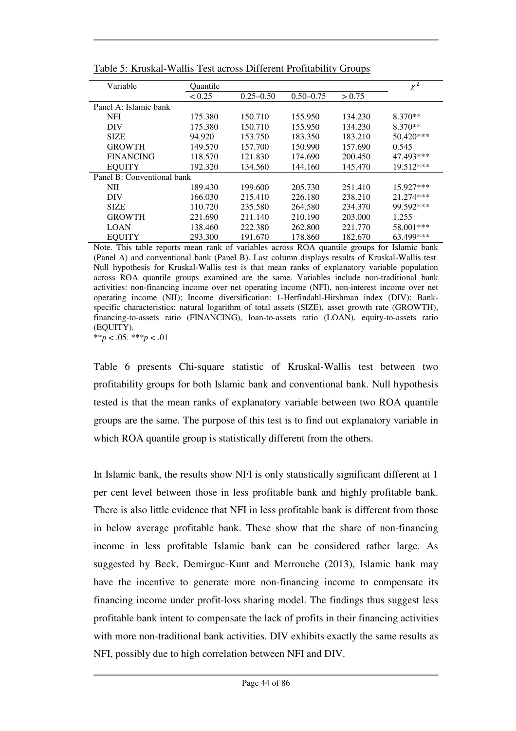| Variable                   | Ouantile |               |               |         | $\chi^2$    |
|----------------------------|----------|---------------|---------------|---------|-------------|
|                            | < 0.25   | $0.25 - 0.50$ | $0.50 - 0.75$ | > 0.75  |             |
| Panel A: Islamic bank      |          |               |               |         |             |
| <b>NFI</b>                 | 175.380  | 150.710       | 155.950       | 134.230 | $8.370**$   |
| <b>DIV</b>                 | 175.380  | 150.710       | 155.950       | 134.230 | $8.370**$   |
| <b>SIZE</b>                | 94.920   | 153.750       | 183.350       | 183.210 | $50.420***$ |
| <b>GROWTH</b>              | 149.570  | 157.700       | 150.990       | 157.690 | 0.545       |
| <b>FINANCING</b>           | 118.570  | 121.830       | 174.690       | 200.450 | 47.493***   |
| <b>EQUITY</b>              | 192.320  | 134.560       | 144.160       | 145.470 | 19.512***   |
| Panel B: Conventional bank |          |               |               |         |             |
| NII                        | 189.430  | 199.600       | 205.730       | 251.410 | $15.927***$ |
| <b>DIV</b>                 | 166.030  | 215.410       | 226.180       | 238.210 | 21.274***   |
| <b>SIZE</b>                | 110.720  | 235.580       | 264.580       | 234.370 | 99.592***   |
| <b>GROWTH</b>              | 221.690  | 211.140       | 210.190       | 203.000 | 1.255       |
| <b>LOAN</b>                | 138.460  | 222.380       | 262.800       | 221.770 | 58.001***   |
| <b>EQUITY</b>              | 293.300  | 191.670       | 178.860       | 182.670 | 63.499***   |

Table 5: Kruskal-Wallis Test across Different Profitability Groups

Note. This table reports mean rank of variables across ROA quantile groups for Islamic bank (Panel A) and conventional bank (Panel B). Last column displays results of Kruskal-Wallis test. Null hypothesis for Kruskal-Wallis test is that mean ranks of explanatory variable population across ROA quantile groups examined are the same. Variables include non-traditional bank activities: non-financing income over net operating income (NFI), non-interest income over net operating income (NII); Income diversification: 1-Herfindahl-Hirshman index (DIV); Bankspecific characteristics: natural logarithm of total assets (SIZE), asset growth rate (GROWTH), financing-to-assets ratio (FINANCING), loan-to-assets ratio (LOAN), equity-to-assets ratio (EQUITY).

\*\**p* < .05. \*\*\**p* < .01

Table 6 presents Chi-square statistic of Kruskal-Wallis test between two profitability groups for both Islamic bank and conventional bank. Null hypothesis tested is that the mean ranks of explanatory variable between two ROA quantile groups are the same. The purpose of this test is to find out explanatory variable in which ROA quantile group is statistically different from the others.

In Islamic bank, the results show NFI is only statistically significant different at 1 per cent level between those in less profitable bank and highly profitable bank. There is also little evidence that NFI in less profitable bank is different from those in below average profitable bank. These show that the share of non-financing income in less profitable Islamic bank can be considered rather large. As suggested by Beck, Demirguc-Kunt and Merrouche (2013), Islamic bank may have the incentive to generate more non-financing income to compensate its financing income under profit-loss sharing model. The findings thus suggest less profitable bank intent to compensate the lack of profits in their financing activities with more non-traditional bank activities. DIV exhibits exactly the same results as NFI, possibly due to high correlation between NFI and DIV.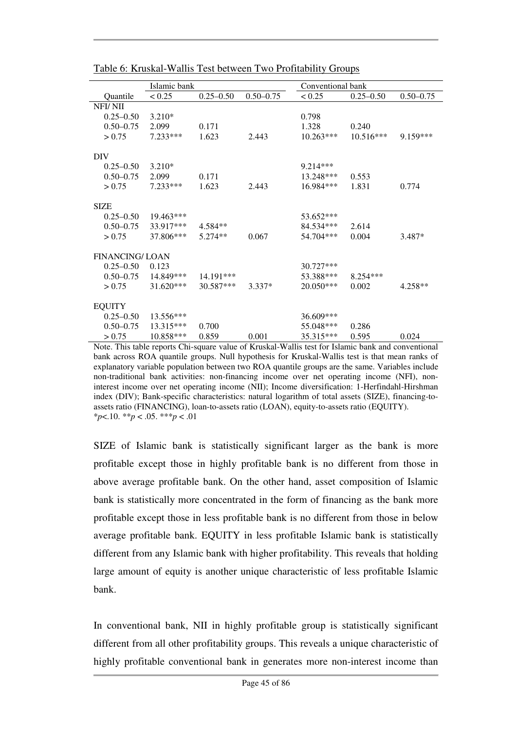|                       | Islamic bank |               |               | Conventional bank |               |               |
|-----------------------|--------------|---------------|---------------|-------------------|---------------|---------------|
| Quantile              | < 0.25       | $0.25 - 0.50$ | $0.50 - 0.75$ | < 0.25            | $0.25 - 0.50$ | $0.50 - 0.75$ |
| NFI/NII               |              |               |               |                   |               |               |
| $0.25 - 0.50$         | $3.210*$     |               |               | 0.798             |               |               |
| $0.50 - 0.75$         | 2.099        | 0.171         |               | 1.328             | 0.240         |               |
| > 0.75                | 7.233 ***    | 1.623         | 2.443         | $10.263***$       | $10.516***$   | 9.159***      |
|                       |              |               |               |                   |               |               |
| DIV                   |              |               |               |                   |               |               |
| $0.25 - 0.50$         | $3.210*$     |               |               | $9.214***$        |               |               |
| $0.50 - 0.75$         | 2.099        | 0.171         |               | 13.248***         | 0.553         |               |
| > 0.75                | 7.233***     | 1.623         | 2.443         | 16.984***         | 1.831         | 0.774         |
|                       |              |               |               |                   |               |               |
| <b>SIZE</b>           |              |               |               |                   |               |               |
| $0.25 - 0.50$         | $19.463***$  |               |               | 53.652***         |               |               |
| $0.50 - 0.75$         | 33.917***    | 4.584**       |               | 84.534***         | 2.614         |               |
| > 0.75                | 37.806***    | $5.274**$     | 0.067         | 54.704***         | 0.004         | 3.487*        |
|                       |              |               |               |                   |               |               |
| <b>FINANCING/LOAN</b> |              |               |               |                   |               |               |
| $0.25 - 0.50$         | 0.123        |               |               | $30.727***$       |               |               |
| $0.50 - 0.75$         | 14.849***    | 14.191***     |               | 53.388***         | $8.254***$    |               |
| > 0.75                | $31.620***$  | 30.587***     | 3.337*        | $20.050***$       | 0.002         | $4.258**$     |
| <b>EQUITY</b>         |              |               |               |                   |               |               |
| $0.25 - 0.50$         | $13.556***$  |               |               | 36.609***         |               |               |
| $0.50 - 0.75$         | $13.315***$  | 0.700         |               | 55.048***         | 0.286         |               |
| > 0.75                | 10.858***    | 0.859         | 0.001         | 35.315***         | 0.595         | 0.024         |

Table 6: Kruskal-Wallis Test between Two Profitability Groups

Note. This table reports Chi-square value of Kruskal-Wallis test for Islamic bank and conventional bank across ROA quantile groups. Null hypothesis for Kruskal-Wallis test is that mean ranks of explanatory variable population between two ROA quantile groups are the same. Variables include non-traditional bank activities: non-financing income over net operating income (NFI), noninterest income over net operating income (NII); Income diversification: 1-Herfindahl-Hirshman index (DIV); Bank-specific characteristics: natural logarithm of total assets (SIZE), financing-toassets ratio (FINANCING), loan-to-assets ratio (LOAN), equity-to-assets ratio (EQUITY). \**p*<.10. \*\**p* < .05. \*\*\**p* < .01

SIZE of Islamic bank is statistically significant larger as the bank is more profitable except those in highly profitable bank is no different from those in above average profitable bank. On the other hand, asset composition of Islamic bank is statistically more concentrated in the form of financing as the bank more profitable except those in less profitable bank is no different from those in below average profitable bank. EQUITY in less profitable Islamic bank is statistically different from any Islamic bank with higher profitability. This reveals that holding large amount of equity is another unique characteristic of less profitable Islamic bank.

In conventional bank, NII in highly profitable group is statistically significant different from all other profitability groups. This reveals a unique characteristic of highly profitable conventional bank in generates more non-interest income than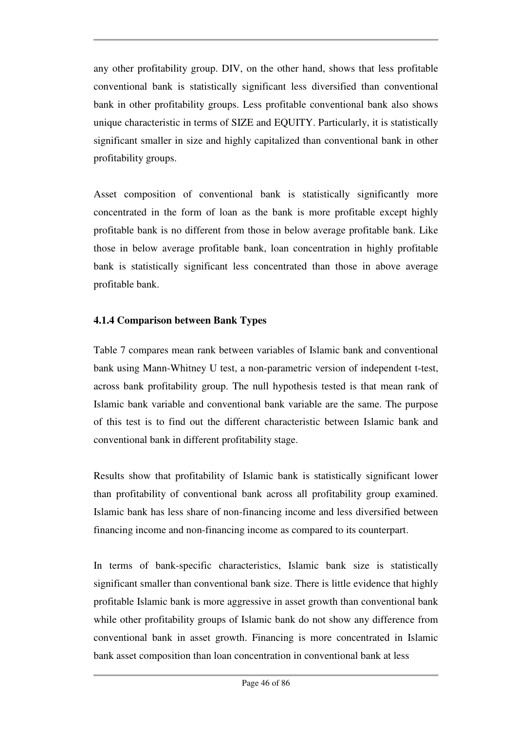any other profitability group. DIV, on the other hand, shows that less profitable conventional bank is statistically significant less diversified than conventional bank in other profitability groups. Less profitable conventional bank also shows unique characteristic in terms of SIZE and EQUITY. Particularly, it is statistically significant smaller in size and highly capitalized than conventional bank in other profitability groups.

Asset composition of conventional bank is statistically significantly more concentrated in the form of loan as the bank is more profitable except highly profitable bank is no different from those in below average profitable bank. Like those in below average profitable bank, loan concentration in highly profitable bank is statistically significant less concentrated than those in above average profitable bank.

## **4.1.4 Comparison between Bank Types**

Table 7 compares mean rank between variables of Islamic bank and conventional bank using Mann-Whitney U test, a non-parametric version of independent t-test, across bank profitability group. The null hypothesis tested is that mean rank of Islamic bank variable and conventional bank variable are the same. The purpose of this test is to find out the different characteristic between Islamic bank and conventional bank in different profitability stage.

Results show that profitability of Islamic bank is statistically significant lower than profitability of conventional bank across all profitability group examined. Islamic bank has less share of non-financing income and less diversified between financing income and non-financing income as compared to its counterpart.

In terms of bank-specific characteristics, Islamic bank size is statistically significant smaller than conventional bank size. There is little evidence that highly profitable Islamic bank is more aggressive in asset growth than conventional bank while other profitability groups of Islamic bank do not show any difference from conventional bank in asset growth. Financing is more concentrated in Islamic bank asset composition than loan concentration in conventional bank at less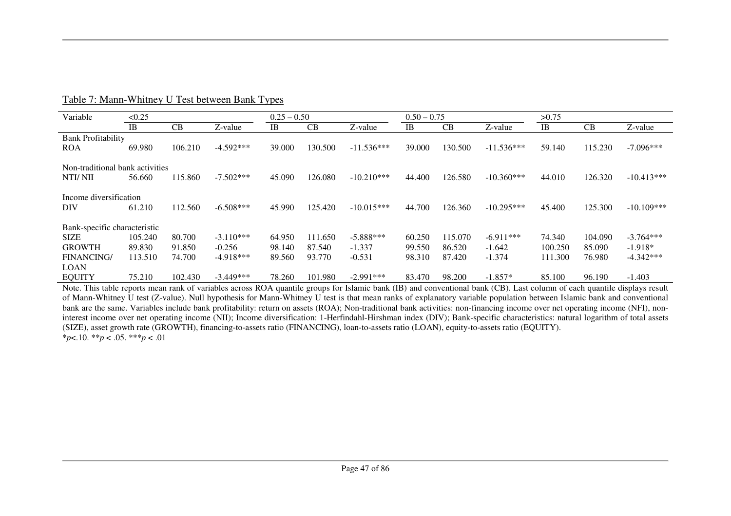| Variable                        | < 0.25    |         |             |        | $0.25 - 0.50$ |              | $0.50 - 0.75$ |         |              | >0.75     |         |              |
|---------------------------------|-----------|---------|-------------|--------|---------------|--------------|---------------|---------|--------------|-----------|---------|--------------|
|                                 | <b>IB</b> | CB      | Z-value     | IB     | CB            | Z-value      | IB            | CB      | Z-value      | <b>IB</b> | CB      | Z-value      |
| <b>Bank Profitability</b>       |           |         |             |        |               |              |               |         |              |           |         |              |
| <b>ROA</b>                      | 69.980    | 106.210 | $-4.592***$ | 39.000 | 130.500       | $-11.536***$ | 39.000        | 130.500 | $-11.536***$ | 59.140    | 115.230 | $-7.096***$  |
| Non-traditional bank activities |           |         |             |        |               |              |               |         |              |           |         |              |
| NTI/NII                         | 56.660    | 115.860 | $-7.502***$ | 45.090 | 126.080       | $-10.210***$ | 44.400        | 126.580 | $-10.360***$ | 44.010    | 126.320 | $-10.413***$ |
| Income diversification          |           |         |             |        |               |              |               |         |              |           |         |              |
| <b>DIV</b>                      | 61.210    | 112.560 | $-6.508***$ | 45.990 | 125.420       | $-10.015***$ | 44.700        | 126.360 | $-10.295***$ | 45.400    | 125.300 | $-10.109***$ |
| Bank-specific characteristic    |           |         |             |        |               |              |               |         |              |           |         |              |
| <b>SIZE</b>                     | 105.240   | 80.700  | $-3.110***$ | 64.950 | 111.650       | $-5.888***$  | 60.250        | 115.070 | $-6.911***$  | 74.340    | 104.090 | $-3.764***$  |
| <b>GROWTH</b>                   | 89.830    | 91.850  | $-0.256$    | 98.140 | 87.540        | $-1.337$     | 99.550        | 86.520  | $-1.642$     | 100.250   | 85.090  | $-1.918*$    |
| <b>FINANCING/</b>               | 113.510   | 74.700  | $-4.918***$ | 89.560 | 93.770        | $-0.531$     | 98.310        | 87.420  | $-1.374$     | 111.300   | 76.980  | $-4.342***$  |
| <b>LOAN</b>                     |           |         |             |        |               |              |               |         |              |           |         |              |
| <b>EQUITY</b>                   | 75.210    | 102.430 | $-3.449***$ | 78.260 | 101.980       | $-2.991***$  | 83.470        | 98.200  | $-1.857*$    | 85.100    | 96.190  | $-1.403$     |

Table 7: Mann-Whitney U Test between Bank Types

Note. This table reports mean rank of variables across ROA quantile groups for Islamic bank (IB) and conventional bank (CB). Last column of each quantile displays result of Mann-Whitney U test (Z-value). Null hypothesis for Mann-Whitney U test is that mean ranks of explanatory variable population between Islamic bank and conventional bank are the same. Variables include bank profitability: return on assets (ROA); Non-traditional bank activities: non-financing income over net operating income (NFI), noninterest income over net operating income (NII); Income diversification: 1-Herfindahl-Hirshman index (DIV); Bank-specific characteristics: natural logarithm of total assets (SIZE), asset growth rate (GROWTH), financing-to-assets ratio (FINANCING), loan-to-assets ratio (LOAN), equity-to-assets ratio (EQUITY). \**p*<.10. \*\**p* < .05. \*\*\**p* < .01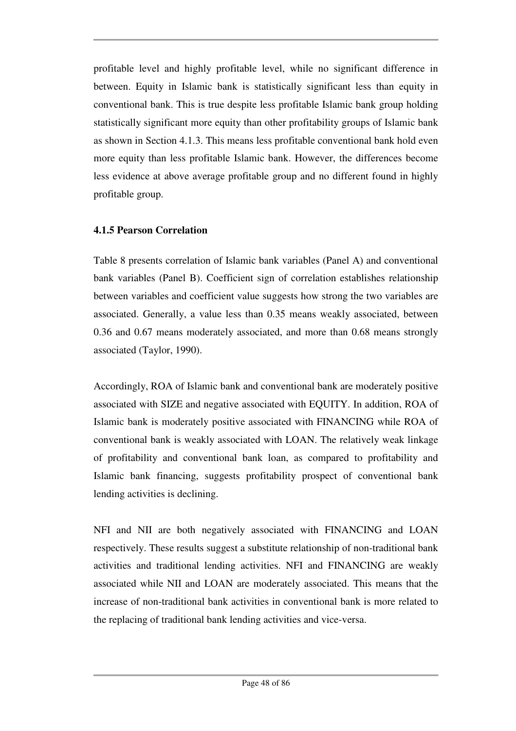profitable level and highly profitable level, while no significant difference in between. Equity in Islamic bank is statistically significant less than equity in conventional bank. This is true despite less profitable Islamic bank group holding statistically significant more equity than other profitability groups of Islamic bank as shown in Section 4.1.3. This means less profitable conventional bank hold even more equity than less profitable Islamic bank. However, the differences become less evidence at above average profitable group and no different found in highly profitable group.

## **4.1.5 Pearson Correlation**

Table 8 presents correlation of Islamic bank variables (Panel A) and conventional bank variables (Panel B). Coefficient sign of correlation establishes relationship between variables and coefficient value suggests how strong the two variables are associated. Generally, a value less than 0.35 means weakly associated, between 0.36 and 0.67 means moderately associated, and more than 0.68 means strongly associated (Taylor, 1990).

Accordingly, ROA of Islamic bank and conventional bank are moderately positive associated with SIZE and negative associated with EQUITY. In addition, ROA of Islamic bank is moderately positive associated with FINANCING while ROA of conventional bank is weakly associated with LOAN. The relatively weak linkage of profitability and conventional bank loan, as compared to profitability and Islamic bank financing, suggests profitability prospect of conventional bank lending activities is declining.

NFI and NII are both negatively associated with FINANCING and LOAN respectively. These results suggest a substitute relationship of non-traditional bank activities and traditional lending activities. NFI and FINANCING are weakly associated while NII and LOAN are moderately associated. This means that the increase of non-traditional bank activities in conventional bank is more related to the replacing of traditional bank lending activities and vice-versa.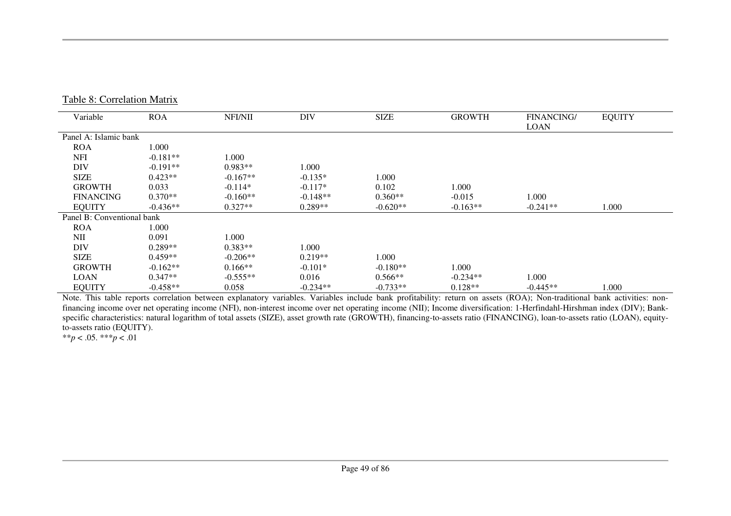| Variable                   | <b>ROA</b> | NFI/NII    | DIV        | <b>SIZE</b> | <b>GROWTH</b> | <b>FINANCING/</b> | <b>EQUITY</b> |
|----------------------------|------------|------------|------------|-------------|---------------|-------------------|---------------|
|                            |            |            |            |             |               | <b>LOAN</b>       |               |
| Panel A: Islamic bank      |            |            |            |             |               |                   |               |
| <b>ROA</b>                 | 1.000      |            |            |             |               |                   |               |
| <b>NFI</b>                 | $-0.181**$ | 1.000      |            |             |               |                   |               |
| <b>DIV</b>                 | $-0.191**$ | $0.983**$  | 1.000      |             |               |                   |               |
| <b>SIZE</b>                | $0.423**$  | $-0.167**$ | $-0.135*$  | 1.000       |               |                   |               |
| <b>GROWTH</b>              | 0.033      | $-0.114*$  | $-0.117*$  | 0.102       | 1.000         |                   |               |
| <b>FINANCING</b>           | $0.370**$  | $-0.160**$ | $-0.148**$ | $0.360**$   | $-0.015$      | 1.000             |               |
| <b>EQUITY</b>              | $-0.436**$ | $0.327**$  | $0.289**$  | $-0.620**$  | $-0.163**$    | $-0.241**$        | 1.000         |
| Panel B: Conventional bank |            |            |            |             |               |                   |               |
| <b>ROA</b>                 | 1.000      |            |            |             |               |                   |               |
| NII                        | 0.091      | 1.000      |            |             |               |                   |               |
| <b>DIV</b>                 | $0.289**$  | $0.383**$  | 1.000      |             |               |                   |               |
| <b>SIZE</b>                | $0.459**$  | $-0.206**$ | $0.219**$  | 1.000       |               |                   |               |
| <b>GROWTH</b>              | $-0.162**$ | $0.166**$  | $-0.101*$  | $-0.180**$  | 1.000         |                   |               |
| <b>LOAN</b>                | $0.347**$  | $-0.555**$ | 0.016      | $0.566**$   | $-0.234**$    | 1.000             |               |
| <b>EQUITY</b>              | $-0.458**$ | 0.058      | $-0.234**$ | $-0.733**$  | $0.128**$     | $-0.445**$        | 1.000         |

 Note. This table reports correlation between explanatory variables. Variables include bank profitability: return on assets (ROA); Non-traditional bank activities: nonfinancing income over net operating income (NFI), non-interest income over net operating income (NII); Income diversification: 1-Herfindahl-Hirshman index (DIV); Bankspecific characteristics: natural logarithm of total assets (SIZE), asset growth rate (GROWTH), financing-to-assets ratio (FINANCING), loan-to-assets ratio (LOAN), equityto-assets ratio (EQUITY).

\*\**p* < .05. \*\*\**p* < .01

Table 8: Correlation Matrix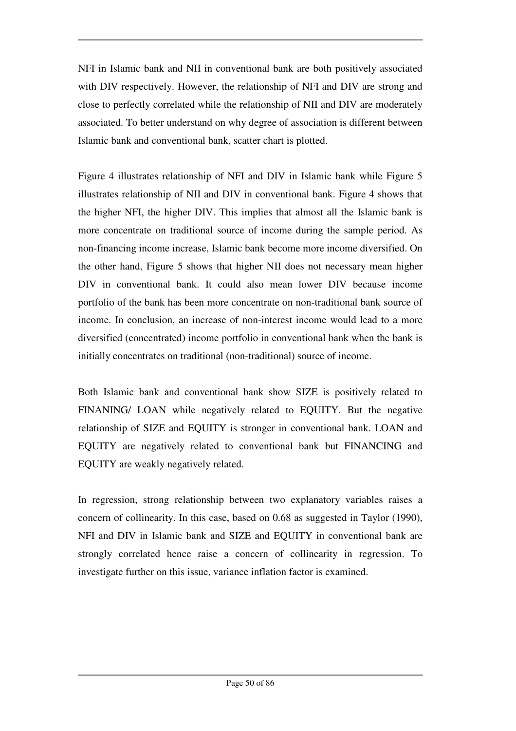NFI in Islamic bank and NII in conventional bank are both positively associated with DIV respectively. However, the relationship of NFI and DIV are strong and close to perfectly correlated while the relationship of NII and DIV are moderately associated. To better understand on why degree of association is different between Islamic bank and conventional bank, scatter chart is plotted.

Figure 4 illustrates relationship of NFI and DIV in Islamic bank while Figure 5 illustrates relationship of NII and DIV in conventional bank. Figure 4 shows that the higher NFI, the higher DIV. This implies that almost all the Islamic bank is more concentrate on traditional source of income during the sample period. As non-financing income increase, Islamic bank become more income diversified. On the other hand, Figure 5 shows that higher NII does not necessary mean higher DIV in conventional bank. It could also mean lower DIV because income portfolio of the bank has been more concentrate on non-traditional bank source of income. In conclusion, an increase of non-interest income would lead to a more diversified (concentrated) income portfolio in conventional bank when the bank is initially concentrates on traditional (non-traditional) source of income.

Both Islamic bank and conventional bank show SIZE is positively related to FINANING/ LOAN while negatively related to EQUITY. But the negative relationship of SIZE and EQUITY is stronger in conventional bank. LOAN and EQUITY are negatively related to conventional bank but FINANCING and EQUITY are weakly negatively related.

In regression, strong relationship between two explanatory variables raises a concern of collinearity. In this case, based on 0.68 as suggested in Taylor (1990), NFI and DIV in Islamic bank and SIZE and EQUITY in conventional bank are strongly correlated hence raise a concern of collinearity in regression. To investigate further on this issue, variance inflation factor is examined.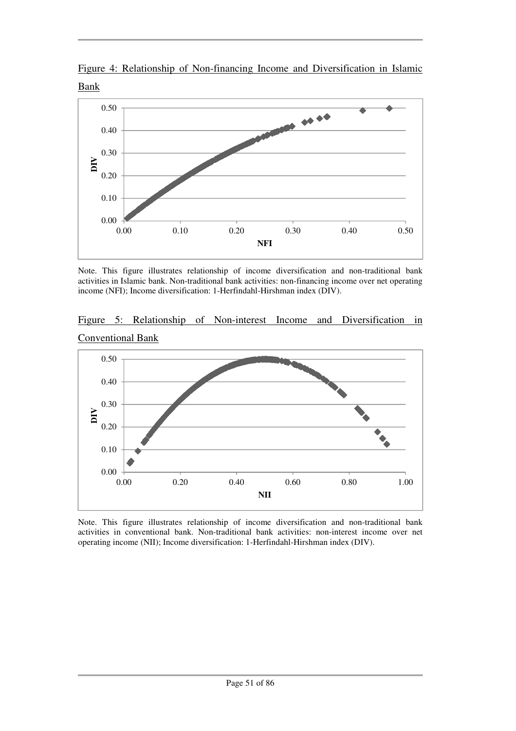



Note. This figure illustrates relationship of income diversification and non-traditional bank activities in Islamic bank. Non-traditional bank activities: non-financing income over net operating income (NFI); Income diversification: 1-Herfindahl-Hirshman index (DIV).





Note. This figure illustrates relationship of income diversification and non-traditional bank activities in conventional bank. Non-traditional bank activities: non-interest income over net operating income (NII); Income diversification: 1-Herfindahl-Hirshman index (DIV).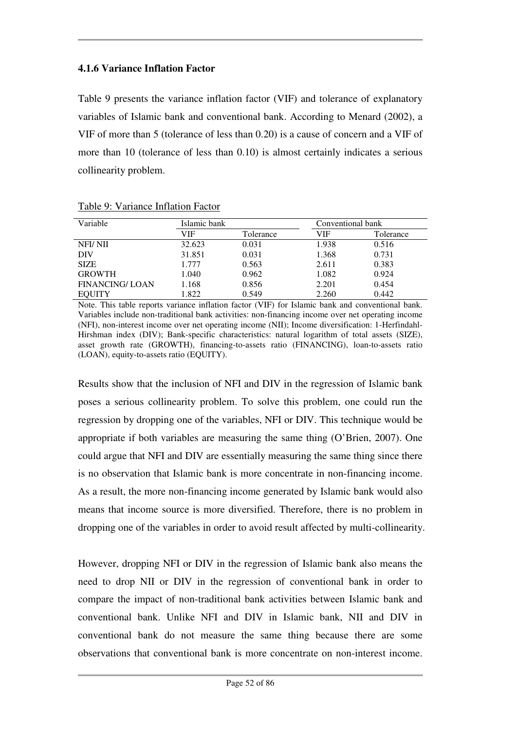## **4.1.6 Variance Inflation Factor**

Table 9 presents the variance inflation factor (VIF) and tolerance of explanatory variables of Islamic bank and conventional bank. According to Menard (2002), a VIF of more than 5 (tolerance of less than 0.20) is a cause of concern and a VIF of more than 10 (tolerance of less than 0.10) is almost certainly indicates a serious collinearity problem.

| Variable              | Islamic bank |           | Conventional bank |           |  |
|-----------------------|--------------|-----------|-------------------|-----------|--|
|                       | VIF          | Tolerance | VIF               | Tolerance |  |
| NFI/NII               | 32.623       | 0.031     | 1.938             | 0.516     |  |
| DIV                   | 31.851       | 0.031     | 1.368             | 0.731     |  |
| <b>SIZE</b>           | 1.777        | 0.563     | 2.611             | 0.383     |  |
| <b>GROWTH</b>         | 1.040        | 0.962     | 1.082             | 0.924     |  |
| <b>FINANCING/LOAN</b> | 1.168        | 0.856     | 2.201             | 0.454     |  |
| <b>EQUITY</b>         | 1.822        | 0.549     | 2.260             | 0.442     |  |

Table 9: Variance Inflation Factor

Note. This table reports variance inflation factor (VIF) for Islamic bank and conventional bank. Variables include non-traditional bank activities: non-financing income over net operating income (NFI), non-interest income over net operating income (NII); Income diversification: 1-Herfindahl-Hirshman index (DIV); Bank-specific characteristics: natural logarithm of total assets (SIZE), asset growth rate (GROWTH), financing-to-assets ratio (FINANCING), loan-to-assets ratio (LOAN), equity-to-assets ratio (EQUITY).

Results show that the inclusion of NFI and DIV in the regression of Islamic bank poses a serious collinearity problem. To solve this problem, one could run the regression by dropping one of the variables, NFI or DIV. This technique would be appropriate if both variables are measuring the same thing (O'Brien, 2007). One could argue that NFI and DIV are essentially measuring the same thing since there is no observation that Islamic bank is more concentrate in non-financing income. As a result, the more non-financing income generated by Islamic bank would also means that income source is more diversified. Therefore, there is no problem in dropping one of the variables in order to avoid result affected by multi-collinearity.

However, dropping NFI or DIV in the regression of Islamic bank also means the need to drop NII or DIV in the regression of conventional bank in order to compare the impact of non-traditional bank activities between Islamic bank and conventional bank. Unlike NFI and DIV in Islamic bank, NII and DIV in conventional bank do not measure the same thing because there are some observations that conventional bank is more concentrate on non-interest income.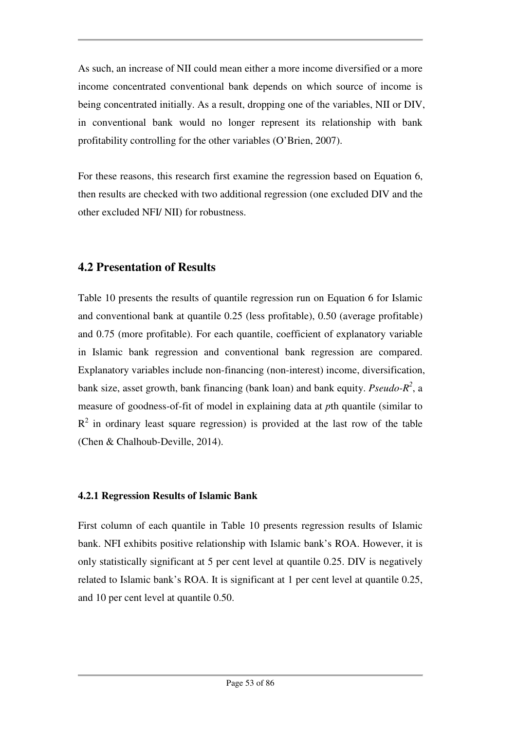As such, an increase of NII could mean either a more income diversified or a more income concentrated conventional bank depends on which source of income is being concentrated initially. As a result, dropping one of the variables, NII or DIV, in conventional bank would no longer represent its relationship with bank profitability controlling for the other variables (O'Brien, 2007).

For these reasons, this research first examine the regression based on Equation 6, then results are checked with two additional regression (one excluded DIV and the other excluded NFI/ NII) for robustness.

# **4.2 Presentation of Results**

Table 10 presents the results of quantile regression run on Equation 6 for Islamic and conventional bank at quantile 0.25 (less profitable), 0.50 (average profitable) and 0.75 (more profitable). For each quantile, coefficient of explanatory variable in Islamic bank regression and conventional bank regression are compared. Explanatory variables include non-financing (non-interest) income, diversification, bank size, asset growth, bank financing (bank loan) and bank equity. *Pseudo-R<sup>2</sup>* , a measure of goodness-of-fit of model in explaining data at *p*th quantile (similar to  $R<sup>2</sup>$  in ordinary least square regression) is provided at the last row of the table (Chen & Chalhoub-Deville, 2014).

## **4.2.1 Regression Results of Islamic Bank**

First column of each quantile in Table 10 presents regression results of Islamic bank. NFI exhibits positive relationship with Islamic bank's ROA. However, it is only statistically significant at 5 per cent level at quantile 0.25. DIV is negatively related to Islamic bank's ROA. It is significant at 1 per cent level at quantile 0.25, and 10 per cent level at quantile 0.50.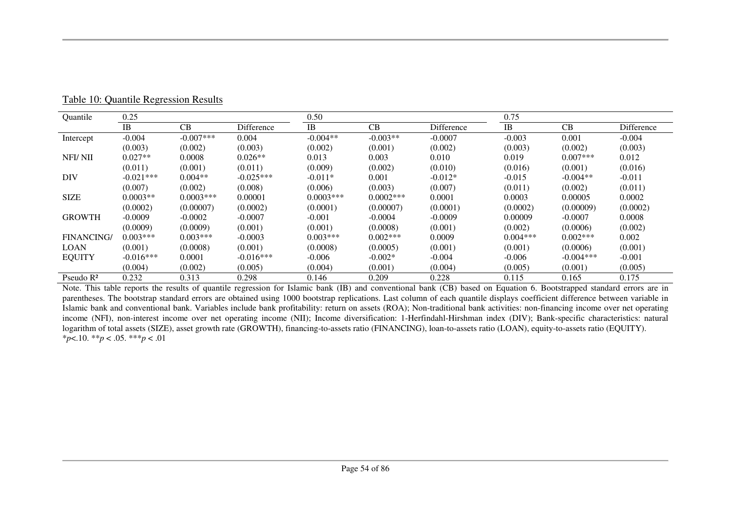| Quantile              | 0.25        |             |             | 0.50        |              |            | 0.75       |             |            |
|-----------------------|-------------|-------------|-------------|-------------|--------------|------------|------------|-------------|------------|
|                       | <b>IB</b>   | CB          | Difference  | IB          | CB           | Difference | <b>IB</b>  | CB          | Difference |
| Intercept             | $-0.004$    | $-0.007***$ | 0.004       | $-0.004**$  | $-0.003**$   | $-0.0007$  | $-0.003$   | 0.001       | $-0.004$   |
|                       | (0.003)     | (0.002)     | (0.003)     | (0.002)     | (0.001)      | (0.002)    | (0.003)    | (0.002)     | (0.003)    |
| NFI/NII               | $0.027**$   | 0.0008      | $0.026**$   | 0.013       | 0.003        | 0.010      | 0.019      | $0.007***$  | 0.012      |
|                       | (0.011)     | (0.001)     | (0.011)     | (0.009)     | (0.002)      | (0.010)    | (0.016)    | (0.001)     | (0.016)    |
| <b>DIV</b>            | $-0.021***$ | $0.004**$   | $-0.025***$ | $-0.011*$   | 0.001        | $-0.012*$  | $-0.015$   | $-0.004**$  | $-0.011$   |
|                       | (0.007)     | (0.002)     | (0.008)     | (0.006)     | (0.003)      | (0.007)    | (0.011)    | (0.002)     | (0.011)    |
| <b>SIZE</b>           | $0.0003**$  | $0.0003***$ | 0.00001     | $0.0003***$ | $0.0002$ *** | 0.0001     | 0.0003     | 0.00005     | 0.0002     |
|                       | (0.0002)    | (0.00007)   | (0.0002)    | (0.0001)    | (0.00007)    | (0.0001)   | (0.0002)   | (0.00009)   | (0.0002)   |
| <b>GROWTH</b>         | $-0.0009$   | $-0.0002$   | $-0.0007$   | $-0.001$    | $-0.0004$    | $-0.0009$  | 0.00009    | $-0.0007$   | 0.0008     |
|                       | (0.0009)    | (0.0009)    | (0.001)     | (0.001)     | (0.0008)     | (0.001)    | (0.002)    | (0.0006)    | (0.002)    |
| <b>FINANCING/</b>     | $0.003***$  | $0.003***$  | $-0.0003$   | $0.003***$  | $0.002***$   | 0.0009     | $0.004***$ | $0.002***$  | 0.002      |
| <b>LOAN</b>           | (0.001)     | (0.0008)    | (0.001)     | (0.0008)    | (0.0005)     | (0.001)    | (0.001)    | (0.0006)    | (0.001)    |
| <b>EQUITY</b>         | $-0.016***$ | 0.0001      | $-0.016***$ | $-0.006$    | $-0.002*$    | $-0.004$   | $-0.006$   | $-0.004***$ | $-0.001$   |
|                       | (0.004)     | (0.002)     | (0.005)     | (0.004)     | (0.001)      | (0.004)    | (0.005)    | (0.001)     | (0.005)    |
| Pseudo R <sup>2</sup> | 0.232       | 0.313       | 0.298       | 0.146       | 0.209        | 0.228      | 0.115      | 0.165       | 0.175      |

Table 10: Quantile Regression Results

Note. This table reports the results of quantile regression for Islamic bank (IB) and conventional bank (CB) based on Equation 6. Bootstrapped standard errors are in parentheses. The bootstrap standard errors are obtained using 1000 bootstrap replications. Last column of each quantile displays coefficient difference between variable in Islamic bank and conventional bank. Variables include bank profitability: return on assets (ROA); Non-traditional bank activities: non-financing income over net operating income (NFI), non-interest income over net operating income (NII); Income diversification: 1-Herfindahl-Hirshman index (DIV); Bank-specific characteristics: natural logarithm of total assets (SIZE), asset growth rate (GROWTH), financing-to-assets ratio (FINANCING), loan-to-assets ratio (LOAN), equity-to-assets ratio (EQUITY). \**p*<.10. \*\**p* < .05. \*\*\**p* < .01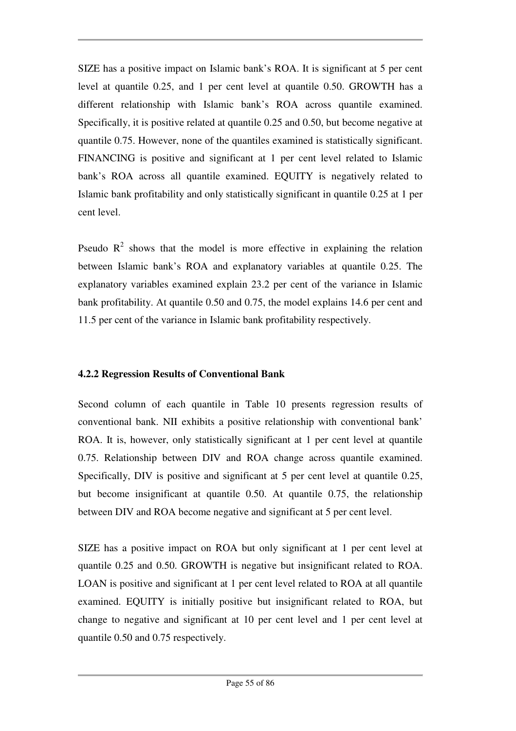SIZE has a positive impact on Islamic bank's ROA. It is significant at 5 per cent level at quantile 0.25, and 1 per cent level at quantile 0.50. GROWTH has a different relationship with Islamic bank's ROA across quantile examined. Specifically, it is positive related at quantile 0.25 and 0.50, but become negative at quantile 0.75. However, none of the quantiles examined is statistically significant. FINANCING is positive and significant at 1 per cent level related to Islamic bank's ROA across all quantile examined. EQUITY is negatively related to Islamic bank profitability and only statistically significant in quantile 0.25 at 1 per cent level.

Pseudo  $R^2$  shows that the model is more effective in explaining the relation between Islamic bank's ROA and explanatory variables at quantile 0.25. The explanatory variables examined explain 23.2 per cent of the variance in Islamic bank profitability. At quantile 0.50 and 0.75, the model explains 14.6 per cent and 11.5 per cent of the variance in Islamic bank profitability respectively.

#### **4.2.2 Regression Results of Conventional Bank**

Second column of each quantile in Table 10 presents regression results of conventional bank. NII exhibits a positive relationship with conventional bank' ROA. It is, however, only statistically significant at 1 per cent level at quantile 0.75. Relationship between DIV and ROA change across quantile examined. Specifically, DIV is positive and significant at 5 per cent level at quantile 0.25, but become insignificant at quantile 0.50. At quantile 0.75, the relationship between DIV and ROA become negative and significant at 5 per cent level.

SIZE has a positive impact on ROA but only significant at 1 per cent level at quantile 0.25 and 0.50. GROWTH is negative but insignificant related to ROA. LOAN is positive and significant at 1 per cent level related to ROA at all quantile examined. EQUITY is initially positive but insignificant related to ROA, but change to negative and significant at 10 per cent level and 1 per cent level at quantile 0.50 and 0.75 respectively.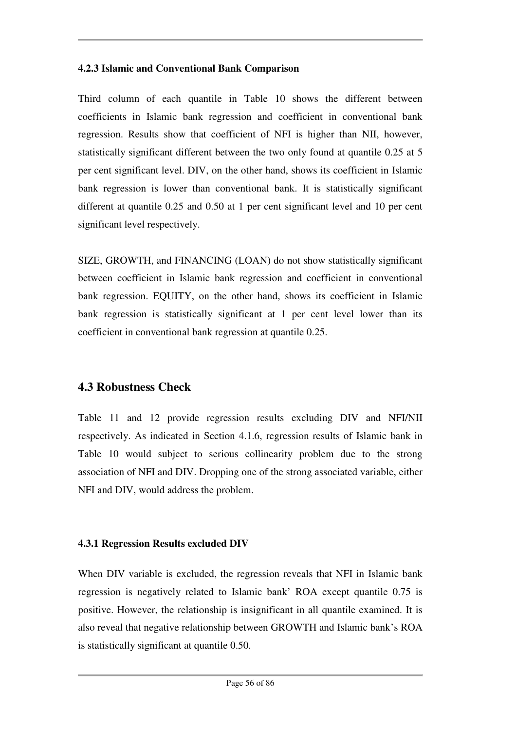#### **4.2.3 Islamic and Conventional Bank Comparison**

Third column of each quantile in Table 10 shows the different between coefficients in Islamic bank regression and coefficient in conventional bank regression. Results show that coefficient of NFI is higher than NII, however, statistically significant different between the two only found at quantile 0.25 at 5 per cent significant level. DIV, on the other hand, shows its coefficient in Islamic bank regression is lower than conventional bank. It is statistically significant different at quantile 0.25 and 0.50 at 1 per cent significant level and 10 per cent significant level respectively.

SIZE, GROWTH, and FINANCING (LOAN) do not show statistically significant between coefficient in Islamic bank regression and coefficient in conventional bank regression. EQUITY, on the other hand, shows its coefficient in Islamic bank regression is statistically significant at 1 per cent level lower than its coefficient in conventional bank regression at quantile 0.25.

# **4.3 Robustness Check**

Table 11 and 12 provide regression results excluding DIV and NFI/NII respectively. As indicated in Section 4.1.6, regression results of Islamic bank in Table 10 would subject to serious collinearity problem due to the strong association of NFI and DIV. Dropping one of the strong associated variable, either NFI and DIV, would address the problem.

## **4.3.1 Regression Results excluded DIV**

When DIV variable is excluded, the regression reveals that NFI in Islamic bank regression is negatively related to Islamic bank' ROA except quantile 0.75 is positive. However, the relationship is insignificant in all quantile examined. It is also reveal that negative relationship between GROWTH and Islamic bank's ROA is statistically significant at quantile 0.50.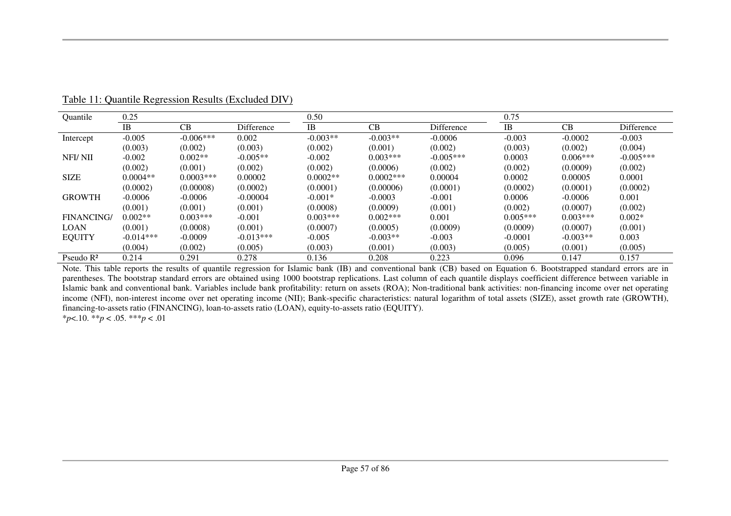| <b>Ouantile</b>   | 0.25        |             |             | 0.50       |              |             | 0.75       |            |             |
|-------------------|-------------|-------------|-------------|------------|--------------|-------------|------------|------------|-------------|
|                   | <b>IB</b>   | CB          | Difference  | <b>IB</b>  | CB           | Difference  | <b>IB</b>  | CB         | Difference  |
| Intercept         | $-0.005$    | $-0.006***$ | 0.002       | $-0.003**$ | $-0.003**$   | $-0.0006$   | $-0.003$   | $-0.0002$  | $-0.003$    |
|                   | (0.003)     | (0.002)     | (0.003)     | (0.002)    | (0.001)      | (0.002)     | (0.003)    | (0.002)    | (0.004)     |
| NFI/NII           | $-0.002$    | $0.002**$   | $-0.005**$  | $-0.002$   | $0.003***$   | $-0.005***$ | 0.0003     | $0.006***$ | $-0.005***$ |
|                   | (0.002)     | (0.001)     | (0.002)     | (0.002)    | (0.0006)     | (0.002)     | (0.002)    | (0.0009)   | (0.002)     |
| <b>SIZE</b>       | $0.0004**$  | $0.0003***$ | 0.00002     | $0.0002**$ | $0.0002$ *** | 0.00004     | 0.0002     | 0.00005    | 0.0001      |
|                   | (0.0002)    | (0.00008)   | (0.0002)    | (0.0001)   | (0.00006)    | (0.0001)    | (0.0002)   | (0.0001)   | (0.0002)    |
| <b>GROWTH</b>     | $-0.0006$   | $-0.0006$   | $-0.00004$  | $-0.001*$  | $-0.0003$    | $-0.001$    | 0.0006     | $-0.0006$  | 0.001       |
|                   | (0.001)     | (0.001)     | (0.001)     | (0.0008)   | (0.0009)     | (0.001)     | (0.002)    | (0.0007)   | (0.002)     |
| <b>FINANCING/</b> | $0.002**$   | $0.003***$  | $-0.001$    | $0.003***$ | $0.002***$   | 0.001       | $0.005***$ | $0.003***$ | $0.002*$    |
| <b>LOAN</b>       | (0.001)     | (0.0008)    | (0.001)     | (0.0007)   | (0.0005)     | (0.0009)    | (0.0009)   | (0.0007)   | (0.001)     |
| <b>EQUITY</b>     | $-0.014***$ | $-0.0009$   | $-0.013***$ | $-0.005$   | $-0.003**$   | $-0.003$    | $-0.0001$  | $-0.003**$ | 0.003       |
|                   | (0.004)     | (0.002)     | (0.005)     | (0.003)    | (0.001)      | (0.003)     | (0.005)    | (0.001)    | (0.005)     |
| Pseudo $R^2$      | 0.214       | 0.291       | 0.278       | 0.136      | 0.208        | 0.223       | 0.096      | 0.147      | 0.157       |

Table 11: Quantile Regression Results (Excluded DIV)

Note. This table reports the results of quantile regression for Islamic bank (IB) and conventional bank (CB) based on Equation 6. Bootstrapped standard errors are in parentheses. The bootstrap standard errors are obtained using 1000 bootstrap replications. Last column of each quantile displays coefficient difference between variable in Islamic bank and conventional bank. Variables include bank profitability: return on assets (ROA); Non-traditional bank activities: non-financing income over net operating income (NFI), non-interest income over net operating income (NII); Bank-specific characteristics: natural logarithm of total assets (SIZE), asset growth rate (GROWTH), financing-to-assets ratio (FINANCING), loan-to-assets ratio (LOAN), equity-to-assets ratio (EQUITY). \**p*<.10. \*\**p* < .05. \*\*\**p* < .01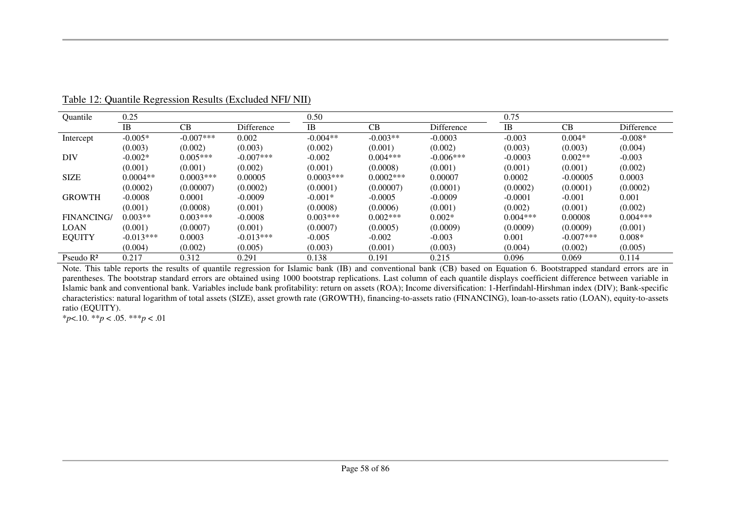| Quantile          | 0.25        |             |              | 0.50        |             |                   | 0.75       |              |            |  |
|-------------------|-------------|-------------|--------------|-------------|-------------|-------------------|------------|--------------|------------|--|
|                   | <b>IB</b>   | CB          | Difference   | <b>IB</b>   | CB          | <b>Difference</b> | <b>IB</b>  | CB           | Difference |  |
| Intercept         | $-0.005*$   | $-0.007***$ | 0.002        | $-0.004**$  | $-0.003**$  | $-0.0003$         | $-0.003$   | $0.004*$     | $-0.008*$  |  |
|                   | (0.003)     | (0.002)     | (0.003)      | (0.002)     | (0.001)     | (0.002)           | (0.003)    | (0.003)      | (0.004)    |  |
| <b>DIV</b>        | $-0.002*$   | $0.005***$  | $-0.007$ *** | $-0.002$    | $0.004***$  | $-0.006***$       | $-0.0003$  | $0.002**$    | $-0.003$   |  |
|                   | (0.001)     | (0.001)     | (0.002)      | (0.001)     | (0.0008)    | (0.001)           | (0.001)    | (0.001)      | (0.002)    |  |
| <b>SIZE</b>       | $0.0004**$  | $0.0003***$ | 0.00005      | $0.0003***$ | $0.0002***$ | 0.00007           | 0.0002     | $-0.00005$   | 0.0003     |  |
|                   | (0.0002)    | (0.00007)   | (0.0002)     | (0.0001)    | (0.00007)   | (0.0001)          | (0.0002)   | (0.0001)     | (0.0002)   |  |
| <b>GROWTH</b>     | $-0.0008$   | 0.0001      | $-0.0009$    | $-0.001*$   | $-0.0005$   | $-0.0009$         | $-0.0001$  | $-0.001$     | 0.001      |  |
|                   | (0.001)     | (0.0008)    | (0.001)      | (0.0008)    | (0.0006)    | (0.001)           | (0.002)    | (0.001)      | (0.002)    |  |
| <b>FINANCING/</b> | $0.003**$   | $0.003***$  | $-0.0008$    | $0.003***$  | $0.002***$  | $0.002*$          | $0.004***$ | 0.00008      | $0.004***$ |  |
| <b>LOAN</b>       | (0.001)     | (0.0007)    | (0.001)      | (0.0007)    | (0.0005)    | (0.0009)          | (0.0009)   | (0.0009)     | (0.001)    |  |
| <b>EQUITY</b>     | $-0.013***$ | 0.0003      | $-0.013***$  | $-0.005$    | $-0.002$    | $-0.003$          | 0.001      | $-0.007$ *** | $0.008*$   |  |
|                   | (0.004)     | (0.002)     | (0.005)      | (0.003)     | (0.001)     | (0.003)           | (0.004)    | (0.002)      | (0.005)    |  |
| Pseudo $R^2$      | 0.217       | 0.312       | 0.291        | 0.138       | 0.191       | 0.215             | 0.096      | 0.069        | 0.114      |  |

Table 12: Quantile Regression Results (Excluded NFI/ NII)

Note. This table reports the results of quantile regression for Islamic bank (IB) and conventional bank (CB) based on Equation 6. Bootstrapped standard errors are in parentheses. The bootstrap standard errors are obtained using 1000 bootstrap replications. Last column of each quantile displays coefficient difference between variable in Islamic bank and conventional bank. Variables include bank profitability: return on assets (ROA); Income diversification: 1-Herfindahl-Hirshman index (DIV); Bank-specific characteristics: natural logarithm of total assets (SIZE), asset growth rate (GROWTH), financing-to-assets ratio (FINANCING), loan-to-assets ratio (LOAN), equity-to-assets ratio (EQUITY).

\**p*<.10. \*\**p* < .05. \*\*\**p* < .01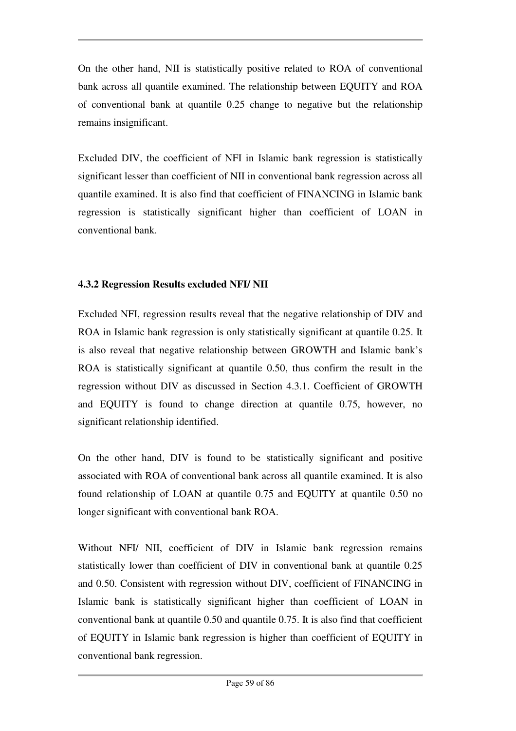On the other hand, NII is statistically positive related to ROA of conventional bank across all quantile examined. The relationship between EQUITY and ROA of conventional bank at quantile 0.25 change to negative but the relationship remains insignificant.

Excluded DIV, the coefficient of NFI in Islamic bank regression is statistically significant lesser than coefficient of NII in conventional bank regression across all quantile examined. It is also find that coefficient of FINANCING in Islamic bank regression is statistically significant higher than coefficient of LOAN in conventional bank.

#### **4.3.2 Regression Results excluded NFI/ NII**

Excluded NFI, regression results reveal that the negative relationship of DIV and ROA in Islamic bank regression is only statistically significant at quantile 0.25. It is also reveal that negative relationship between GROWTH and Islamic bank's ROA is statistically significant at quantile 0.50, thus confirm the result in the regression without DIV as discussed in Section 4.3.1. Coefficient of GROWTH and EQUITY is found to change direction at quantile 0.75, however, no significant relationship identified.

On the other hand, DIV is found to be statistically significant and positive associated with ROA of conventional bank across all quantile examined. It is also found relationship of LOAN at quantile 0.75 and EQUITY at quantile 0.50 no longer significant with conventional bank ROA.

Without NFI/ NII, coefficient of DIV in Islamic bank regression remains statistically lower than coefficient of DIV in conventional bank at quantile 0.25 and 0.50. Consistent with regression without DIV, coefficient of FINANCING in Islamic bank is statistically significant higher than coefficient of LOAN in conventional bank at quantile 0.50 and quantile 0.75. It is also find that coefficient of EQUITY in Islamic bank regression is higher than coefficient of EQUITY in conventional bank regression.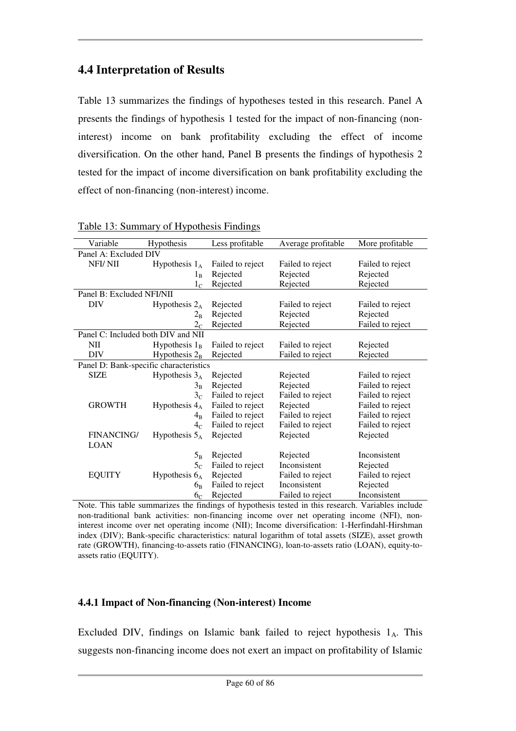# **4.4 Interpretation of Results**

Table 13 summarizes the findings of hypotheses tested in this research. Panel A presents the findings of hypothesis 1 tested for the impact of non-financing (noninterest) income on bank profitability excluding the effect of income diversification. On the other hand, Panel B presents the findings of hypothesis 2 tested for the impact of income diversification on bank profitability excluding the effect of non-financing (non-interest) income.

| Variable                               | Hypothesis       | Less profitable  | Average profitable | More profitable  |
|----------------------------------------|------------------|------------------|--------------------|------------------|
| Panel A: Excluded DIV                  |                  |                  |                    |                  |
| NFI/NII                                | Hypothesis $1_A$ | Failed to reject | Failed to reject   | Failed to reject |
|                                        | $1_{\rm R}$      | Rejected         | Rejected           | Rejected         |
|                                        | 1 <sub>C</sub>   | Rejected         | Rejected           | Rejected         |
| Panel B: Excluded NFI/NII              |                  |                  |                    |                  |
| <b>DIV</b>                             | Hypothesis $2_A$ | Rejected         | Failed to reject   | Failed to reject |
|                                        | $2_{\rm B}$      | Rejected         | Rejected           | Rejected         |
|                                        | 2 <sub>C</sub>   | Rejected         | Rejected           | Failed to reject |
| Panel C: Included both DIV and NII     |                  |                  |                    |                  |
| <b>NII</b>                             | Hypothesis $1_B$ | Failed to reject | Failed to reject   | Rejected         |
| <b>DIV</b>                             | Hypothesis $2_B$ | Rejected         | Failed to reject   | Rejected         |
| Panel D: Bank-specific characteristics |                  |                  |                    |                  |
| <b>SIZE</b>                            | Hypothesis $3_A$ | Rejected         | Rejected           | Failed to reject |
|                                        | $3_{\rm B}$      | Rejected         | Rejected           | Failed to reject |
|                                        | 3 <sub>C</sub>   | Failed to reject | Failed to reject   | Failed to reject |
| <b>GROWTH</b>                          | Hypothesis $4_A$ | Failed to reject | Rejected           | Failed to reject |
|                                        | $4_{\rm R}$      | Failed to reject | Failed to reject   | Failed to reject |
|                                        | 4 <sub>C</sub>   | Failed to reject | Failed to reject   | Failed to reject |
| <b>FINANCING/</b>                      | Hypothesis $5_A$ | Rejected         | Rejected           | Rejected         |
| <b>LOAN</b>                            |                  |                  |                    |                  |
|                                        | $5_{\rm B}$      | Rejected         | Rejected           | Inconsistent     |
|                                        | 5 <sub>C</sub>   | Failed to reject | Inconsistent       | Rejected         |
| <b>EQUITY</b>                          | Hypothesis $6_A$ | Rejected         | Failed to reject   | Failed to reject |
|                                        | 6 <sub>B</sub>   | Failed to reject | Inconsistent       | Rejected         |
|                                        | 6 <sub>C</sub>   | Rejected         | Failed to reject   | Inconsistent     |

Table 13: Summary of Hypothesis Findings

Note. This table summarizes the findings of hypothesis tested in this research. Variables include non-traditional bank activities: non-financing income over net operating income (NFI), noninterest income over net operating income (NII); Income diversification: 1-Herfindahl-Hirshman index (DIV); Bank-specific characteristics: natural logarithm of total assets (SIZE), asset growth rate (GROWTH), financing-to-assets ratio (FINANCING), loan-to-assets ratio (LOAN), equity-toassets ratio (EQUITY).

## **4.4.1 Impact of Non-financing (Non-interest) Income**

Excluded DIV, findings on Islamic bank failed to reject hypothesis  $1_A$ . This suggests non-financing income does not exert an impact on profitability of Islamic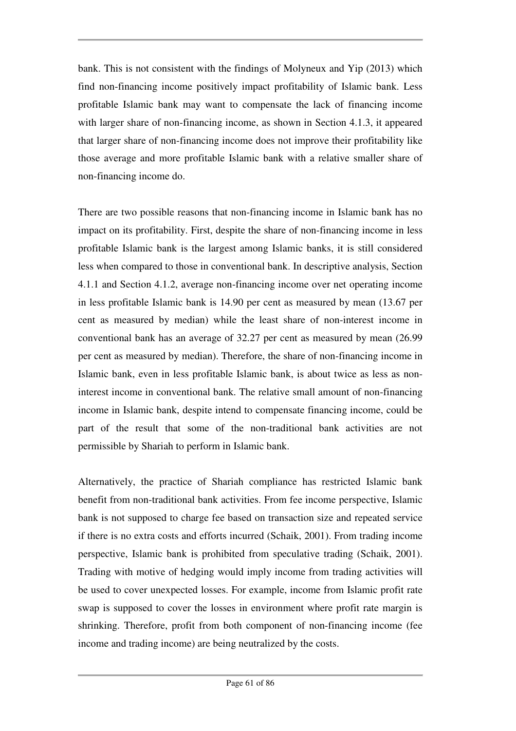bank. This is not consistent with the findings of Molyneux and Yip (2013) which find non-financing income positively impact profitability of Islamic bank. Less profitable Islamic bank may want to compensate the lack of financing income with larger share of non-financing income, as shown in Section 4.1.3, it appeared that larger share of non-financing income does not improve their profitability like those average and more profitable Islamic bank with a relative smaller share of non-financing income do.

There are two possible reasons that non-financing income in Islamic bank has no impact on its profitability. First, despite the share of non-financing income in less profitable Islamic bank is the largest among Islamic banks, it is still considered less when compared to those in conventional bank. In descriptive analysis, Section 4.1.1 and Section 4.1.2, average non-financing income over net operating income in less profitable Islamic bank is 14.90 per cent as measured by mean (13.67 per cent as measured by median) while the least share of non-interest income in conventional bank has an average of 32.27 per cent as measured by mean (26.99 per cent as measured by median). Therefore, the share of non-financing income in Islamic bank, even in less profitable Islamic bank, is about twice as less as noninterest income in conventional bank. The relative small amount of non-financing income in Islamic bank, despite intend to compensate financing income, could be part of the result that some of the non-traditional bank activities are not permissible by Shariah to perform in Islamic bank.

Alternatively, the practice of Shariah compliance has restricted Islamic bank benefit from non-traditional bank activities. From fee income perspective, Islamic bank is not supposed to charge fee based on transaction size and repeated service if there is no extra costs and efforts incurred (Schaik, 2001). From trading income perspective, Islamic bank is prohibited from speculative trading (Schaik, 2001). Trading with motive of hedging would imply income from trading activities will be used to cover unexpected losses. For example, income from Islamic profit rate swap is supposed to cover the losses in environment where profit rate margin is shrinking. Therefore, profit from both component of non-financing income (fee income and trading income) are being neutralized by the costs.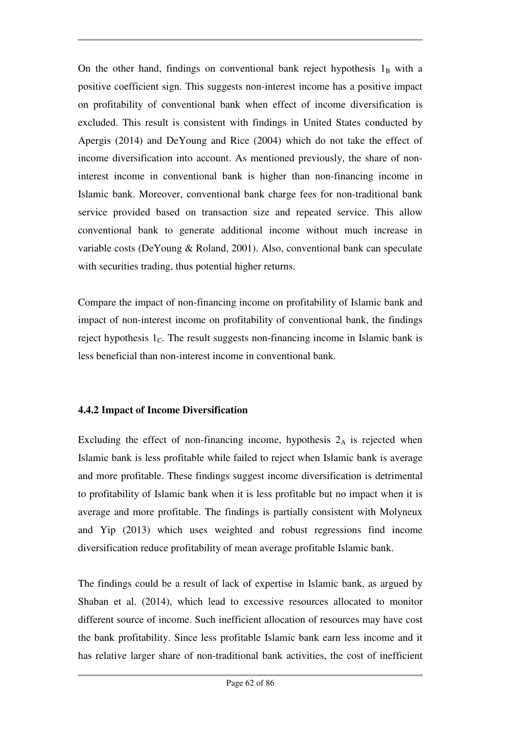On the other hand, findings on conventional bank reject hypothesis  $1_B$  with a positive coefficient sign. This suggests non-interest income has a positive impact on profitability of conventional bank when effect of income diversification is excluded. This result is consistent with findings in United States conducted by Apergis (2014) and DeYoung and Rice (2004) which do not take the effect of income diversification into account. As mentioned previously, the share of noninterest income in conventional bank is higher than non-financing income in Islamic bank. Moreover, conventional bank charge fees for non-traditional bank service provided based on transaction size and repeated service. This allow conventional bank to generate additional income without much increase in variable costs (DeYoung & Roland, 2001). Also, conventional bank can speculate with securities trading, thus potential higher returns.

Compare the impact of non-financing income on profitability of Islamic bank and impact of non-interest income on profitability of conventional bank, the findings reject hypothesis  $1<sub>C</sub>$ . The result suggests non-financing income in Islamic bank is less beneficial than non-interest income in conventional bank.

### **4.4.2 Impact of Income Diversification**

Excluding the effect of non-financing income, hypothesis  $2_A$  is rejected when Islamic bank is less profitable while failed to reject when Islamic bank is average and more profitable. These findings suggest income diversification is detrimental to profitability of Islamic bank when it is less profitable but no impact when it is average and more profitable. The findings is partially consistent with Molyneux and Yip (2013) which uses weighted and robust regressions find income diversification reduce profitability of mean average profitable Islamic bank.

The findings could be a result of lack of expertise in Islamic bank, as argued by Shaban et al. (2014), which lead to excessive resources allocated to monitor different source of income. Such inefficient allocation of resources may have cost the bank profitability. Since less profitable Islamic bank earn less income and it has relative larger share of non-traditional bank activities, the cost of inefficient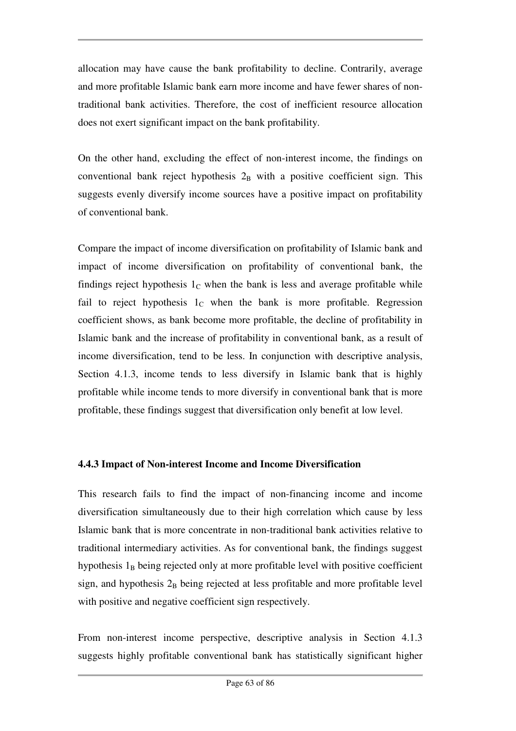allocation may have cause the bank profitability to decline. Contrarily, average and more profitable Islamic bank earn more income and have fewer shares of nontraditional bank activities. Therefore, the cost of inefficient resource allocation does not exert significant impact on the bank profitability.

On the other hand, excluding the effect of non-interest income, the findings on conventional bank reject hypothesis  $2_B$  with a positive coefficient sign. This suggests evenly diversify income sources have a positive impact on profitability of conventional bank.

Compare the impact of income diversification on profitability of Islamic bank and impact of income diversification on profitability of conventional bank, the findings reject hypothesis  $1<sub>C</sub>$  when the bank is less and average profitable while fail to reject hypothesis  $1<sub>C</sub>$  when the bank is more profitable. Regression coefficient shows, as bank become more profitable, the decline of profitability in Islamic bank and the increase of profitability in conventional bank, as a result of income diversification, tend to be less. In conjunction with descriptive analysis, Section 4.1.3, income tends to less diversify in Islamic bank that is highly profitable while income tends to more diversify in conventional bank that is more profitable, these findings suggest that diversification only benefit at low level.

## **4.4.3 Impact of Non-interest Income and Income Diversification**

This research fails to find the impact of non-financing income and income diversification simultaneously due to their high correlation which cause by less Islamic bank that is more concentrate in non-traditional bank activities relative to traditional intermediary activities. As for conventional bank, the findings suggest hypothesis  $1_B$  being rejected only at more profitable level with positive coefficient sign, and hypothesis  $2_B$  being rejected at less profitable and more profitable level with positive and negative coefficient sign respectively.

From non-interest income perspective, descriptive analysis in Section 4.1.3 suggests highly profitable conventional bank has statistically significant higher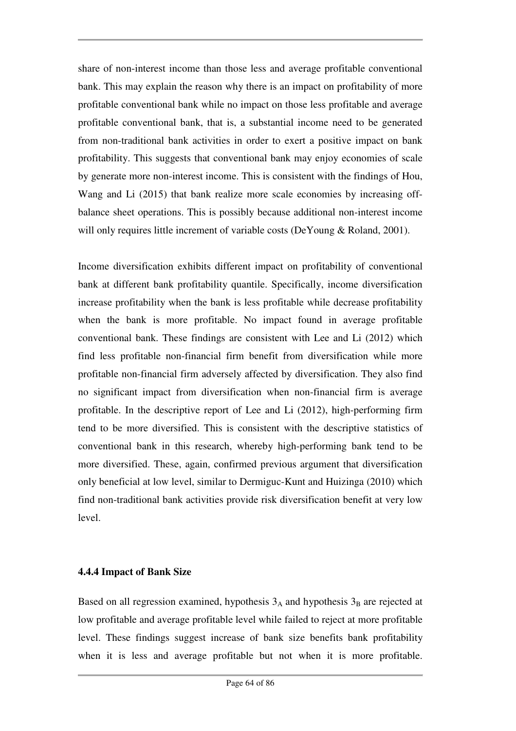share of non-interest income than those less and average profitable conventional bank. This may explain the reason why there is an impact on profitability of more profitable conventional bank while no impact on those less profitable and average profitable conventional bank, that is, a substantial income need to be generated from non-traditional bank activities in order to exert a positive impact on bank profitability. This suggests that conventional bank may enjoy economies of scale by generate more non-interest income. This is consistent with the findings of Hou, Wang and Li (2015) that bank realize more scale economies by increasing offbalance sheet operations. This is possibly because additional non-interest income will only requires little increment of variable costs (DeYoung & Roland, 2001).

Income diversification exhibits different impact on profitability of conventional bank at different bank profitability quantile. Specifically, income diversification increase profitability when the bank is less profitable while decrease profitability when the bank is more profitable. No impact found in average profitable conventional bank. These findings are consistent with Lee and Li (2012) which find less profitable non-financial firm benefit from diversification while more profitable non-financial firm adversely affected by diversification. They also find no significant impact from diversification when non-financial firm is average profitable. In the descriptive report of Lee and Li (2012), high-performing firm tend to be more diversified. This is consistent with the descriptive statistics of conventional bank in this research, whereby high-performing bank tend to be more diversified. These, again, confirmed previous argument that diversification only beneficial at low level, similar to Dermiguc-Kunt and Huizinga (2010) which find non-traditional bank activities provide risk diversification benefit at very low level.

### **4.4.4 Impact of Bank Size**

Based on all regression examined, hypothesis  $3_A$  and hypothesis  $3_B$  are rejected at low profitable and average profitable level while failed to reject at more profitable level. These findings suggest increase of bank size benefits bank profitability when it is less and average profitable but not when it is more profitable.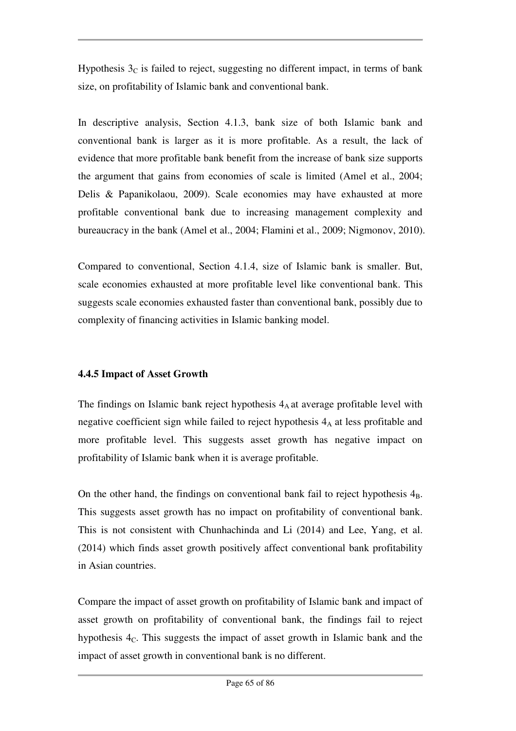Hypothesis  $3<sub>C</sub>$  is failed to reject, suggesting no different impact, in terms of bank size, on profitability of Islamic bank and conventional bank.

In descriptive analysis, Section 4.1.3, bank size of both Islamic bank and conventional bank is larger as it is more profitable. As a result, the lack of evidence that more profitable bank benefit from the increase of bank size supports the argument that gains from economies of scale is limited (Amel et al., 2004; Delis & Papanikolaou, 2009). Scale economies may have exhausted at more profitable conventional bank due to increasing management complexity and bureaucracy in the bank (Amel et al., 2004; Flamini et al., 2009; Nigmonov, 2010).

Compared to conventional, Section 4.1.4, size of Islamic bank is smaller. But, scale economies exhausted at more profitable level like conventional bank. This suggests scale economies exhausted faster than conventional bank, possibly due to complexity of financing activities in Islamic banking model.

## **4.4.5 Impact of Asset Growth**

The findings on Islamic bank reject hypothesis  $4_A$  at average profitable level with negative coefficient sign while failed to reject hypothesis  $4_A$  at less profitable and more profitable level. This suggests asset growth has negative impact on profitability of Islamic bank when it is average profitable.

On the other hand, the findings on conventional bank fail to reject hypothesis  $4_B$ . This suggests asset growth has no impact on profitability of conventional bank. This is not consistent with Chunhachinda and Li (2014) and Lee, Yang, et al. (2014) which finds asset growth positively affect conventional bank profitability in Asian countries.

Compare the impact of asset growth on profitability of Islamic bank and impact of asset growth on profitability of conventional bank, the findings fail to reject hypothesis  $4<sub>C</sub>$ . This suggests the impact of asset growth in Islamic bank and the impact of asset growth in conventional bank is no different.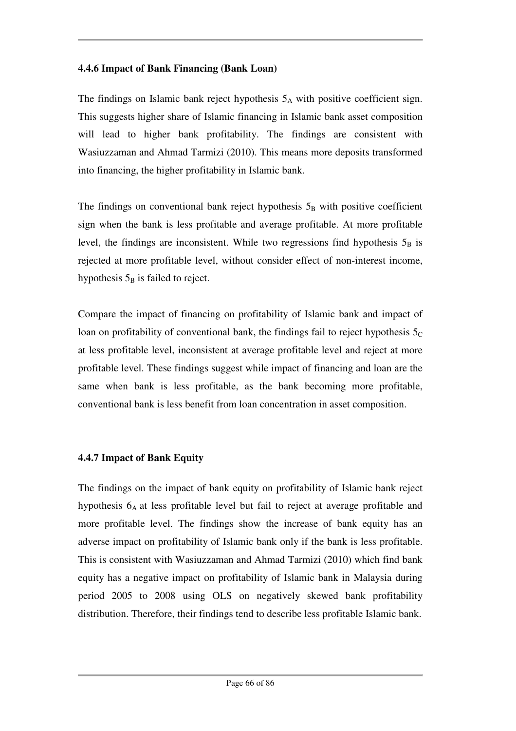### **4.4.6 Impact of Bank Financing (Bank Loan)**

The findings on Islamic bank reject hypothesis  $5_A$  with positive coefficient sign. This suggests higher share of Islamic financing in Islamic bank asset composition will lead to higher bank profitability. The findings are consistent with Wasiuzzaman and Ahmad Tarmizi (2010). This means more deposits transformed into financing, the higher profitability in Islamic bank.

The findings on conventional bank reject hypothesis  $5<sub>B</sub>$  with positive coefficient sign when the bank is less profitable and average profitable. At more profitable level, the findings are inconsistent. While two regressions find hypothesis  $5_B$  is rejected at more profitable level, without consider effect of non-interest income, hypothesis  $5_B$  is failed to reject.

Compare the impact of financing on profitability of Islamic bank and impact of loan on profitability of conventional bank, the findings fail to reject hypothesis  $5<sub>C</sub>$ at less profitable level, inconsistent at average profitable level and reject at more profitable level. These findings suggest while impact of financing and loan are the same when bank is less profitable, as the bank becoming more profitable, conventional bank is less benefit from loan concentration in asset composition.

## **4.4.7 Impact of Bank Equity**

The findings on the impact of bank equity on profitability of Islamic bank reject hypothesis 6<sub>A</sub> at less profitable level but fail to reject at average profitable and more profitable level. The findings show the increase of bank equity has an adverse impact on profitability of Islamic bank only if the bank is less profitable. This is consistent with Wasiuzzaman and Ahmad Tarmizi (2010) which find bank equity has a negative impact on profitability of Islamic bank in Malaysia during period 2005 to 2008 using OLS on negatively skewed bank profitability distribution. Therefore, their findings tend to describe less profitable Islamic bank.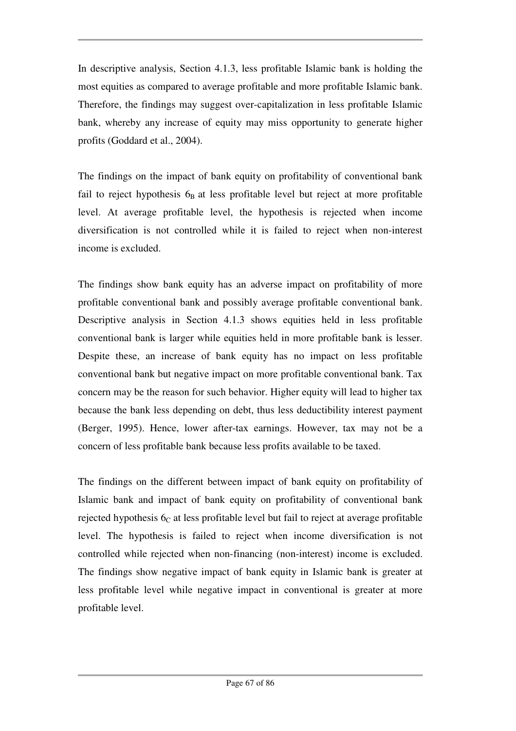In descriptive analysis, Section 4.1.3, less profitable Islamic bank is holding the most equities as compared to average profitable and more profitable Islamic bank. Therefore, the findings may suggest over-capitalization in less profitable Islamic bank, whereby any increase of equity may miss opportunity to generate higher profits (Goddard et al., 2004).

The findings on the impact of bank equity on profitability of conventional bank fail to reject hypothesis  $6_B$  at less profitable level but reject at more profitable level. At average profitable level, the hypothesis is rejected when income diversification is not controlled while it is failed to reject when non-interest income is excluded.

The findings show bank equity has an adverse impact on profitability of more profitable conventional bank and possibly average profitable conventional bank. Descriptive analysis in Section 4.1.3 shows equities held in less profitable conventional bank is larger while equities held in more profitable bank is lesser. Despite these, an increase of bank equity has no impact on less profitable conventional bank but negative impact on more profitable conventional bank. Tax concern may be the reason for such behavior. Higher equity will lead to higher tax because the bank less depending on debt, thus less deductibility interest payment (Berger, 1995). Hence, lower after-tax earnings. However, tax may not be a concern of less profitable bank because less profits available to be taxed.

The findings on the different between impact of bank equity on profitability of Islamic bank and impact of bank equity on profitability of conventional bank rejected hypothesis  $6<sub>C</sub>$  at less profitable level but fail to reject at average profitable level. The hypothesis is failed to reject when income diversification is not controlled while rejected when non-financing (non-interest) income is excluded. The findings show negative impact of bank equity in Islamic bank is greater at less profitable level while negative impact in conventional is greater at more profitable level.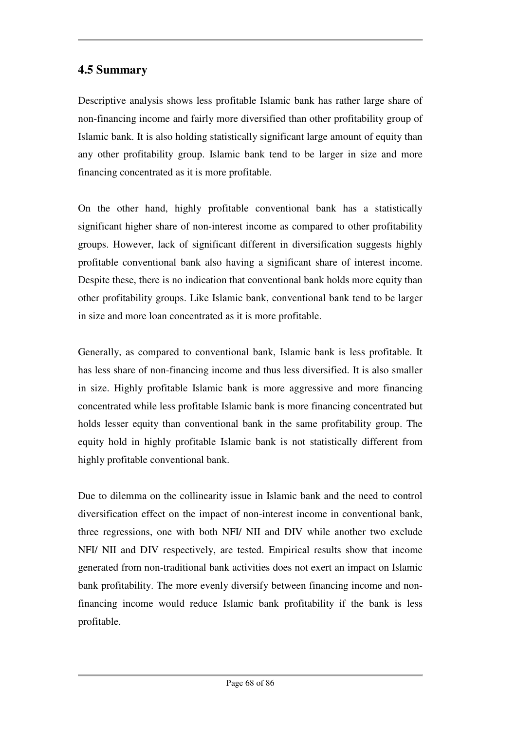## **4.5 Summary**

Descriptive analysis shows less profitable Islamic bank has rather large share of non-financing income and fairly more diversified than other profitability group of Islamic bank. It is also holding statistically significant large amount of equity than any other profitability group. Islamic bank tend to be larger in size and more financing concentrated as it is more profitable.

On the other hand, highly profitable conventional bank has a statistically significant higher share of non-interest income as compared to other profitability groups. However, lack of significant different in diversification suggests highly profitable conventional bank also having a significant share of interest income. Despite these, there is no indication that conventional bank holds more equity than other profitability groups. Like Islamic bank, conventional bank tend to be larger in size and more loan concentrated as it is more profitable.

Generally, as compared to conventional bank, Islamic bank is less profitable. It has less share of non-financing income and thus less diversified. It is also smaller in size. Highly profitable Islamic bank is more aggressive and more financing concentrated while less profitable Islamic bank is more financing concentrated but holds lesser equity than conventional bank in the same profitability group. The equity hold in highly profitable Islamic bank is not statistically different from highly profitable conventional bank.

Due to dilemma on the collinearity issue in Islamic bank and the need to control diversification effect on the impact of non-interest income in conventional bank, three regressions, one with both NFI/ NII and DIV while another two exclude NFI/ NII and DIV respectively, are tested. Empirical results show that income generated from non-traditional bank activities does not exert an impact on Islamic bank profitability. The more evenly diversify between financing income and nonfinancing income would reduce Islamic bank profitability if the bank is less profitable.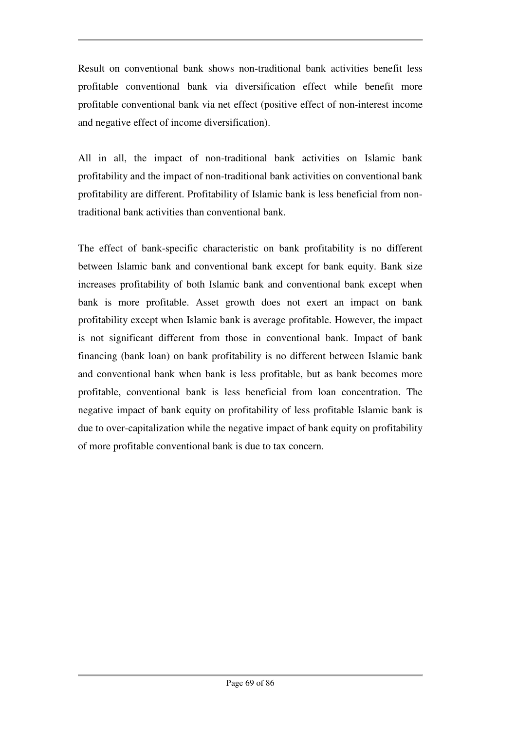Result on conventional bank shows non-traditional bank activities benefit less profitable conventional bank via diversification effect while benefit more profitable conventional bank via net effect (positive effect of non-interest income and negative effect of income diversification).

All in all, the impact of non-traditional bank activities on Islamic bank profitability and the impact of non-traditional bank activities on conventional bank profitability are different. Profitability of Islamic bank is less beneficial from nontraditional bank activities than conventional bank.

The effect of bank-specific characteristic on bank profitability is no different between Islamic bank and conventional bank except for bank equity. Bank size increases profitability of both Islamic bank and conventional bank except when bank is more profitable. Asset growth does not exert an impact on bank profitability except when Islamic bank is average profitable. However, the impact is not significant different from those in conventional bank. Impact of bank financing (bank loan) on bank profitability is no different between Islamic bank and conventional bank when bank is less profitable, but as bank becomes more profitable, conventional bank is less beneficial from loan concentration. The negative impact of bank equity on profitability of less profitable Islamic bank is due to over-capitalization while the negative impact of bank equity on profitability of more profitable conventional bank is due to tax concern.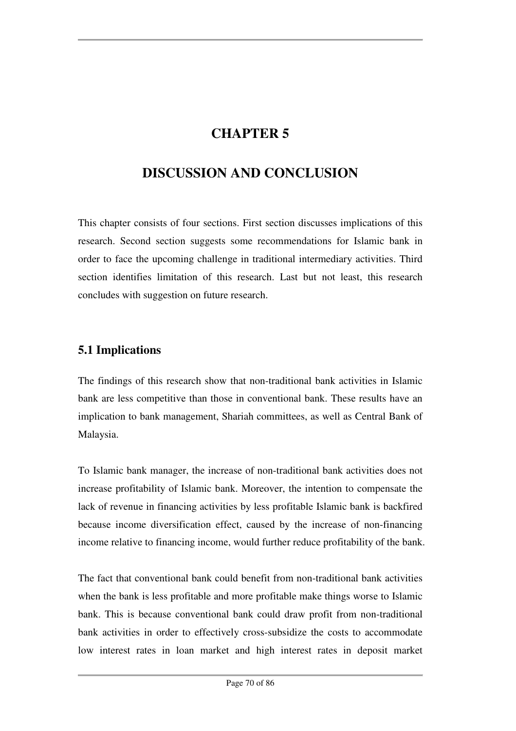# **CHAPTER 5**

# **DISCUSSION AND CONCLUSION**

This chapter consists of four sections. First section discusses implications of this research. Second section suggests some recommendations for Islamic bank in order to face the upcoming challenge in traditional intermediary activities. Third section identifies limitation of this research. Last but not least, this research concludes with suggestion on future research.

## **5.1 Implications**

The findings of this research show that non-traditional bank activities in Islamic bank are less competitive than those in conventional bank. These results have an implication to bank management, Shariah committees, as well as Central Bank of Malaysia.

To Islamic bank manager, the increase of non-traditional bank activities does not increase profitability of Islamic bank. Moreover, the intention to compensate the lack of revenue in financing activities by less profitable Islamic bank is backfired because income diversification effect, caused by the increase of non-financing income relative to financing income, would further reduce profitability of the bank.

The fact that conventional bank could benefit from non-traditional bank activities when the bank is less profitable and more profitable make things worse to Islamic bank. This is because conventional bank could draw profit from non-traditional bank activities in order to effectively cross-subsidize the costs to accommodate low interest rates in loan market and high interest rates in deposit market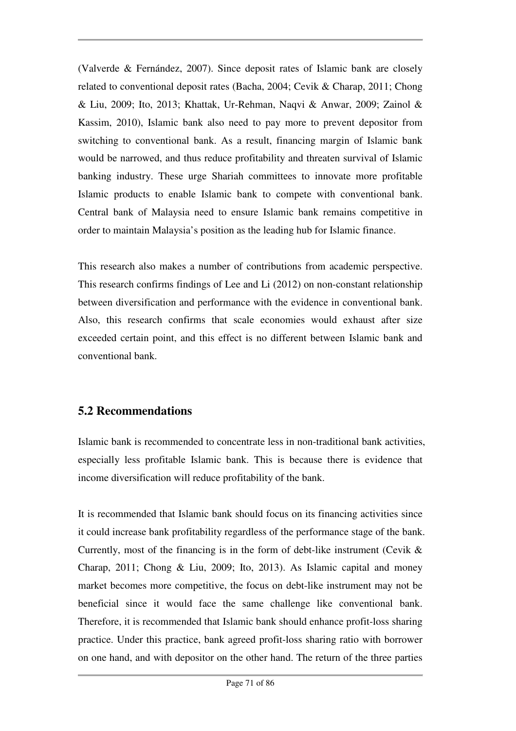(Valverde & Fernández, 2007). Since deposit rates of Islamic bank are closely related to conventional deposit rates (Bacha, 2004; Cevik & Charap, 2011; Chong & Liu, 2009; Ito, 2013; Khattak, Ur-Rehman, Naqvi & Anwar, 2009; Zainol & Kassim, 2010), Islamic bank also need to pay more to prevent depositor from switching to conventional bank. As a result, financing margin of Islamic bank would be narrowed, and thus reduce profitability and threaten survival of Islamic banking industry. These urge Shariah committees to innovate more profitable Islamic products to enable Islamic bank to compete with conventional bank. Central bank of Malaysia need to ensure Islamic bank remains competitive in order to maintain Malaysia's position as the leading hub for Islamic finance.

This research also makes a number of contributions from academic perspective. This research confirms findings of Lee and Li (2012) on non-constant relationship between diversification and performance with the evidence in conventional bank. Also, this research confirms that scale economies would exhaust after size exceeded certain point, and this effect is no different between Islamic bank and conventional bank.

## **5.2 Recommendations**

Islamic bank is recommended to concentrate less in non-traditional bank activities, especially less profitable Islamic bank. This is because there is evidence that income diversification will reduce profitability of the bank.

It is recommended that Islamic bank should focus on its financing activities since it could increase bank profitability regardless of the performance stage of the bank. Currently, most of the financing is in the form of debt-like instrument (Cevik  $\&$ Charap, 2011; Chong & Liu, 2009; Ito, 2013). As Islamic capital and money market becomes more competitive, the focus on debt-like instrument may not be beneficial since it would face the same challenge like conventional bank. Therefore, it is recommended that Islamic bank should enhance profit-loss sharing practice. Under this practice, bank agreed profit-loss sharing ratio with borrower on one hand, and with depositor on the other hand. The return of the three parties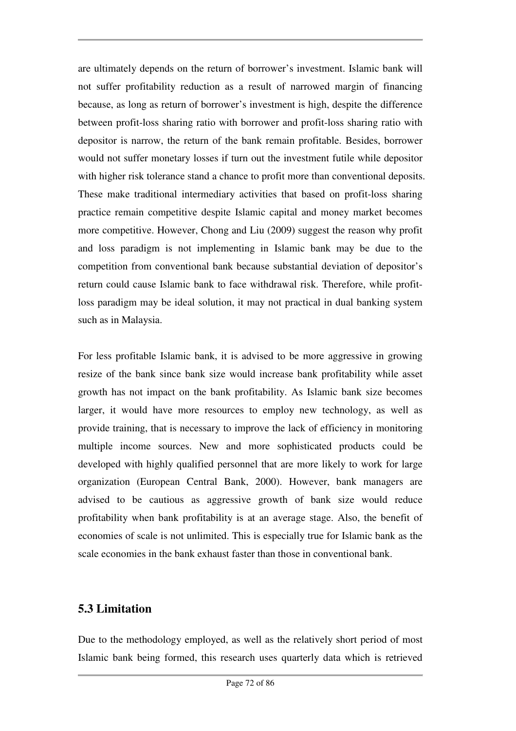are ultimately depends on the return of borrower's investment. Islamic bank will not suffer profitability reduction as a result of narrowed margin of financing because, as long as return of borrower's investment is high, despite the difference between profit-loss sharing ratio with borrower and profit-loss sharing ratio with depositor is narrow, the return of the bank remain profitable. Besides, borrower would not suffer monetary losses if turn out the investment futile while depositor with higher risk tolerance stand a chance to profit more than conventional deposits. These make traditional intermediary activities that based on profit-loss sharing practice remain competitive despite Islamic capital and money market becomes more competitive. However, Chong and Liu (2009) suggest the reason why profit and loss paradigm is not implementing in Islamic bank may be due to the competition from conventional bank because substantial deviation of depositor's return could cause Islamic bank to face withdrawal risk. Therefore, while profitloss paradigm may be ideal solution, it may not practical in dual banking system such as in Malaysia.

For less profitable Islamic bank, it is advised to be more aggressive in growing resize of the bank since bank size would increase bank profitability while asset growth has not impact on the bank profitability. As Islamic bank size becomes larger, it would have more resources to employ new technology, as well as provide training, that is necessary to improve the lack of efficiency in monitoring multiple income sources. New and more sophisticated products could be developed with highly qualified personnel that are more likely to work for large organization (European Central Bank, 2000). However, bank managers are advised to be cautious as aggressive growth of bank size would reduce profitability when bank profitability is at an average stage. Also, the benefit of economies of scale is not unlimited. This is especially true for Islamic bank as the scale economies in the bank exhaust faster than those in conventional bank.

## **5.3 Limitation**

Due to the methodology employed, as well as the relatively short period of most Islamic bank being formed, this research uses quarterly data which is retrieved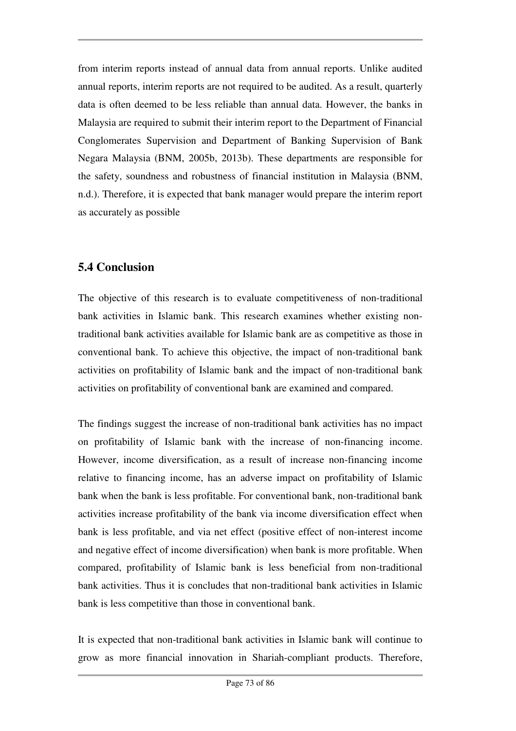from interim reports instead of annual data from annual reports. Unlike audited annual reports, interim reports are not required to be audited. As a result, quarterly data is often deemed to be less reliable than annual data. However, the banks in Malaysia are required to submit their interim report to the Department of Financial Conglomerates Supervision and Department of Banking Supervision of Bank Negara Malaysia (BNM, 2005b, 2013b). These departments are responsible for the safety, soundness and robustness of financial institution in Malaysia (BNM, n.d.). Therefore, it is expected that bank manager would prepare the interim report as accurately as possible

# **5.4 Conclusion**

The objective of this research is to evaluate competitiveness of non-traditional bank activities in Islamic bank. This research examines whether existing nontraditional bank activities available for Islamic bank are as competitive as those in conventional bank. To achieve this objective, the impact of non-traditional bank activities on profitability of Islamic bank and the impact of non-traditional bank activities on profitability of conventional bank are examined and compared.

The findings suggest the increase of non-traditional bank activities has no impact on profitability of Islamic bank with the increase of non-financing income. However, income diversification, as a result of increase non-financing income relative to financing income, has an adverse impact on profitability of Islamic bank when the bank is less profitable. For conventional bank, non-traditional bank activities increase profitability of the bank via income diversification effect when bank is less profitable, and via net effect (positive effect of non-interest income and negative effect of income diversification) when bank is more profitable. When compared, profitability of Islamic bank is less beneficial from non-traditional bank activities. Thus it is concludes that non-traditional bank activities in Islamic bank is less competitive than those in conventional bank.

It is expected that non-traditional bank activities in Islamic bank will continue to grow as more financial innovation in Shariah-compliant products. Therefore,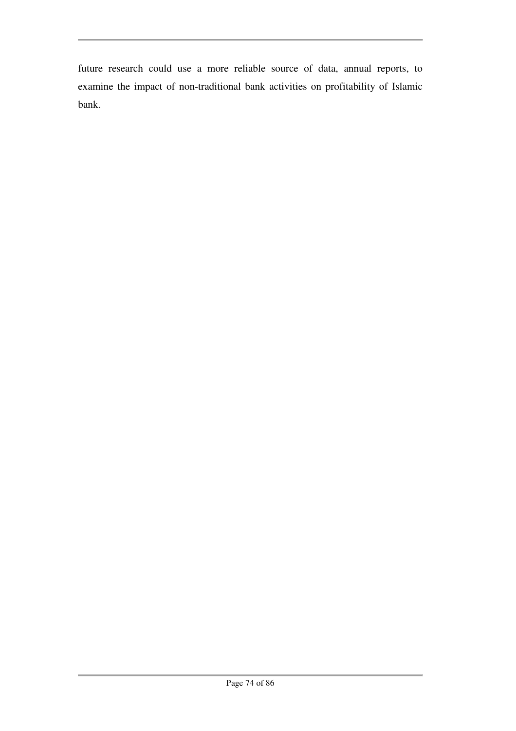future research could use a more reliable source of data, annual reports, to examine the impact of non-traditional bank activities on profitability of Islamic bank.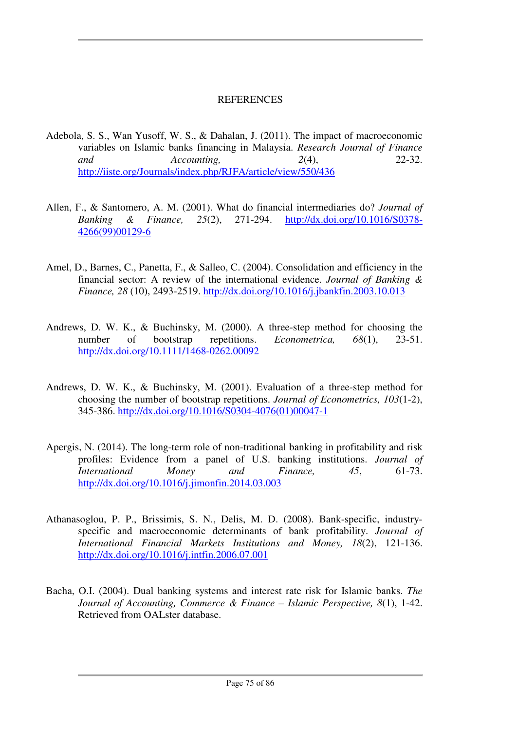### **REFERENCES**

- Adebola, S. S., Wan Yusoff, W. S., & Dahalan, J. (2011). The impact of macroeconomic variables on Islamic banks financing in Malaysia. *Research Journal of Finance and Accounting, 2*(4), 22-32. http://iiste.org/Journals/index.php/RJFA/article/view/550/436
- Allen, F., & Santomero, A. M. (2001). What do financial intermediaries do? *Journal of Banking & Finance, 25*(2), 271-294. http://dx.doi.org/10.1016/S0378- 4266(99)00129-6
- Amel, D., Barnes, C., Panetta, F., & Salleo, C. (2004). Consolidation and efficiency in the financial sector: A review of the international evidence. *Journal of Banking & Finance, 28* (10), 2493-2519. http://dx.doi.org/10.1016/j.jbankfin.2003.10.013
- Andrews, D. W. K., & Buchinsky, M. (2000). A three-step method for choosing the number of bootstrap repetitions. *Econometrica*, 68(1), 23-51. http://dx.doi.org/10.1111/1468-0262.00092
- Andrews, D. W. K., & Buchinsky, M. (2001). Evaluation of a three-step method for choosing the number of bootstrap repetitions. *Journal of Econometrics, 103*(1-2), 345-386. http://dx.doi.org/10.1016/S0304-4076(01)00047-1
- Apergis, N. (2014). The long-term role of non-traditional banking in profitability and risk profiles: Evidence from a panel of U.S. banking institutions. *Journal of International Money and Finance, 45*, 61-73. http://dx.doi.org/10.1016/j.jimonfin.2014.03.003
- Athanasoglou, P. P., Brissimis, S. N., Delis, M. D. (2008). Bank-specific, industryspecific and macroeconomic determinants of bank profitability. *Journal of International Financial Markets Institutions and Money, 18*(2), 121-136. http://dx.doi.org/10.1016/j.intfin.2006.07.001
- Bacha, O.I. (2004). Dual banking systems and interest rate risk for Islamic banks. *The Journal of Accounting, Commerce & Finance – Islamic Perspective, 8*(1), 1-42. Retrieved from OALster database.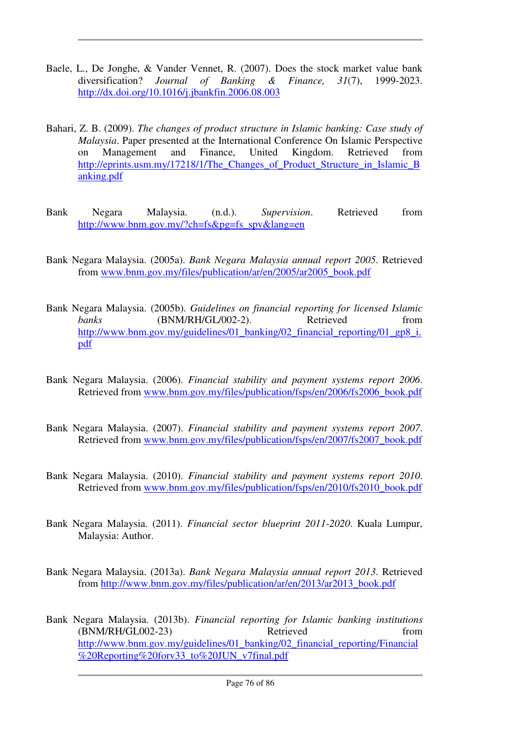- Baele, L., De Jonghe, & Vander Vennet, R. (2007). Does the stock market value bank diversification? *Journal of Banking & Finance, 31*(7), 1999-2023. http://dx.doi.org/10.1016/j.jbankfin.2006.08.003
- Bahari, Z. B. (2009). *The changes of product structure in Islamic banking: Case study of Malaysia*. Paper presented at the International Conference On Islamic Perspective on Management and Finance, United Kingdom. Retrieved from http://eprints.usm.my/17218/1/The\_Changes\_of\_Product\_Structure\_in\_Islamic\_B anking.pdf
- Bank Negara Malaysia. (n.d.). *Supervision*. Retrieved from http://www.bnm.gov.my/?ch=fs&pg=fs\_spv&lang=en
- Bank Negara Malaysia. (2005a). *Bank Negara Malaysia annual report 2005*. Retrieved from www.bnm.gov.my/files/publication/ar/en/2005/ar2005\_book.pdf
- Bank Negara Malaysia. (2005b). *Guidelines on financial reporting for licensed Islamic banks* (BNM/RH/GL/002-2). Retrieved from http://www.bnm.gov.my/guidelines/01\_banking/02\_financial\_reporting/01\_gp8\_i. pdf
- Bank Negara Malaysia. (2006). *Financial stability and payment systems report 2006*. Retrieved from www.bnm.gov.my/files/publication/fsps/en/2006/fs2006\_book.pdf
- Bank Negara Malaysia. (2007). *Financial stability and payment systems report 2007*. Retrieved from www.bnm.gov.my/files/publication/fsps/en/2007/fs2007\_book.pdf
- Bank Negara Malaysia. (2010). *Financial stability and payment systems report 2010*. Retrieved from www.bnm.gov.my/files/publication/fsps/en/2010/fs2010\_book.pdf
- Bank Negara Malaysia. (2011). *Financial sector blueprint 2011-2020*. Kuala Lumpur, Malaysia: Author.
- Bank Negara Malaysia. (2013a). *Bank Negara Malaysia annual report 2013*. Retrieved from http://www.bnm.gov.my/files/publication/ar/en/2013/ar2013\_book.pdf
- Bank Negara Malaysia. (2013b). *Financial reporting for Islamic banking institutions* (BNM/RH/GL002-23) Retrieved from http://www.bnm.gov.my/guidelines/01\_banking/02\_financial\_reporting/Financial %20Reporting%20forv33\_to%20JUN\_v7final.pdf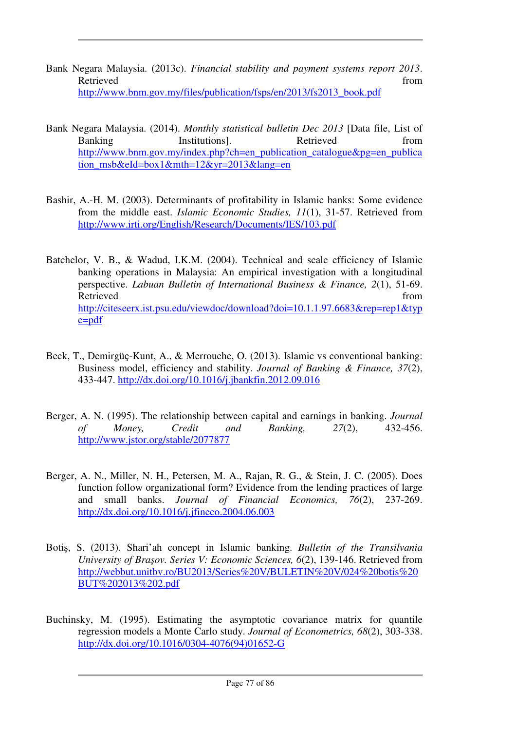- Bank Negara Malaysia. (2013c). *Financial stability and payment systems report 2013*. Retrieved from the set of the set of the set of the set of the set of the set of the set of the set of the set of the set of the set of the set of the set of the set of the set of the set of the set of the set of the set o http://www.bnm.gov.my/files/publication/fsps/en/2013/fs2013\_book.pdf
- Bank Negara Malaysia. (2014). *Monthly statistical bulletin Dec 2013* [Data file, List of Banking Institutions. Retrieved from http://www.bnm.gov.my/index.php?ch=en\_publication\_catalogue&pg=en\_publica tion\_msb&eId=box1&mth=12&yr=2013&lang=en
- Bashir, A.-H. M. (2003). Determinants of profitability in Islamic banks: Some evidence from the middle east. *Islamic Economic Studies, 11*(1), 31-57. Retrieved from http://www.irti.org/English/Research/Documents/IES/103.pdf
- Batchelor, V. B., & Wadud, I.K.M. (2004). Technical and scale efficiency of Islamic banking operations in Malaysia: An empirical investigation with a longitudinal perspective. *Labuan Bulletin of International Business & Finance, 2*(1), 51-69. Retrieved from the set of the set of the set of the set of the set of the set of the set of the set of the set of the set of the set of the set of the set of the set of the set of the set of the set of the set of the set o http://citeseerx.ist.psu.edu/viewdoc/download?doi=10.1.1.97.6683&rep=rep1&typ e=pdf
- Beck, T., Demirgüç-Kunt, A., & Merrouche, O. (2013). Islamic vs conventional banking: Business model, efficiency and stability. *Journal of Banking & Finance, 37*(2), 433-447. http://dx.doi.org/10.1016/j.jbankfin.2012.09.016
- Berger, A. N. (1995). The relationship between capital and earnings in banking. *Journal of Money, Credit and Banking, 27*(2), 432-456. http://www.jstor.org/stable/2077877
- Berger, A. N., Miller, N. H., Petersen, M. A., Rajan, R. G., & Stein, J. C. (2005). Does function follow organizational form? Evidence from the lending practices of large and small banks. *Journal of Financial Economics, 76*(2), 237-269. http://dx.doi.org/10.1016/j.jfineco.2004.06.003
- Botiş, S. (2013). Shari'ah concept in Islamic banking. *Bulletin of the Transilvania University of Bra*ş*ov. Series V: Economic Sciences, 6*(2), 139-146. Retrieved from http://webbut.unitbv.ro/BU2013/Series%20V/BULETIN%20V/024%20botis%20 BUT%202013%202.pdf
- Buchinsky, M. (1995). Estimating the asymptotic covariance matrix for quantile regression models a Monte Carlo study. *Journal of Econometrics, 68*(2), 303-338. http://dx.doi.org/10.1016/0304-4076(94)01652-G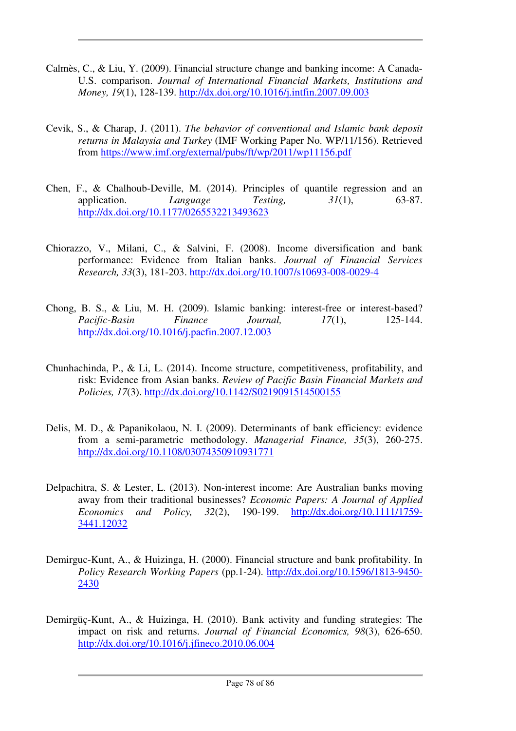- Calmès, C., & Liu, Y. (2009). Financial structure change and banking income: A Canada-U.S. comparison. *Journal of International Financial Markets, Institutions and Money, 19*(1), 128-139. http://dx.doi.org/10.1016/j.intfin.2007.09.003
- Cevik, S., & Charap, J. (2011). *The behavior of conventional and Islamic bank deposit returns in Malaysia and Turkey* (IMF Working Paper No. WP/11/156). Retrieved from https://www.imf.org/external/pubs/ft/wp/2011/wp11156.pdf
- Chen, F., & Chalhoub-Deville, M. (2014). Principles of quantile regression and an application. *Language Testing, 31*(1), 63-87. http://dx.doi.org/10.1177/0265532213493623
- Chiorazzo, V., Milani, C., & Salvini, F. (2008). Income diversification and bank performance: Evidence from Italian banks. *Journal of Financial Services Research, 33*(3), 181-203. http://dx.doi.org/10.1007/s10693-008-0029-4
- Chong, B. S., & Liu, M. H. (2009). Islamic banking: interest-free or interest-based? *Pacific-Basin Finance Journal, 17*(1), 125-144. http://dx.doi.org/10.1016/j.pacfin.2007.12.003
- Chunhachinda, P., & Li, L. (2014). Income structure, competitiveness, profitability, and risk: Evidence from Asian banks. *Review of Pacific Basin Financial Markets and Policies, 17*(3). http://dx.doi.org/10.1142/S0219091514500155
- Delis, M. D., & Papanikolaou, N. I. (2009). Determinants of bank efficiency: evidence from a semi-parametric methodology. *Managerial Finance, 35*(3), 260-275. http://dx.doi.org/10.1108/03074350910931771
- Delpachitra, S. & Lester, L. (2013). Non-interest income: Are Australian banks moving away from their traditional businesses? *Economic Papers: A Journal of Applied Economics and Policy, 32*(2), 190-199. http://dx.doi.org/10.1111/1759- 3441.12032
- Demirguc-Kunt, A., & Huizinga, H. (2000). Financial structure and bank profitability. In *Policy Research Working Papers* (pp.1-24). http://dx.doi.org/10.1596/1813-9450- 2430
- Demirgüç-Kunt, A., & Huizinga, H. (2010). Bank activity and funding strategies: The impact on risk and returns. *Journal of Financial Economics, 98*(3), 626-650. http://dx.doi.org/10.1016/j.jfineco.2010.06.004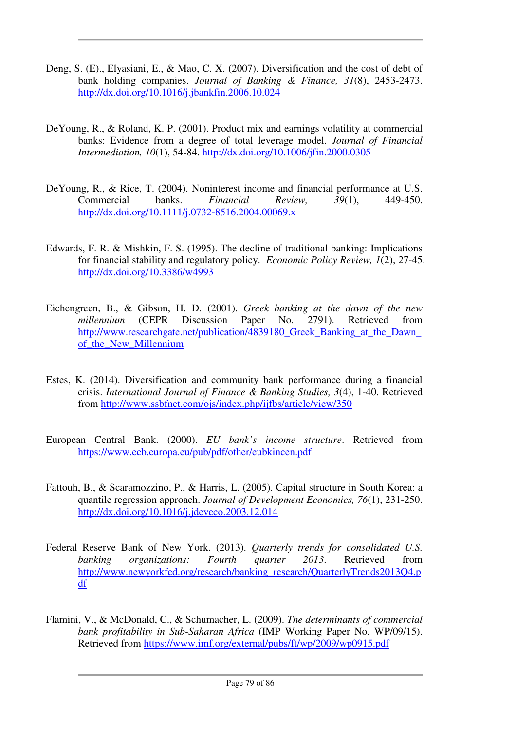- Deng, S. (E)., Elyasiani, E., & Mao, C. X. (2007). Diversification and the cost of debt of bank holding companies. *Journal of Banking & Finance, 31*(8), 2453-2473. http://dx.doi.org/10.1016/j.jbankfin.2006.10.024
- DeYoung, R., & Roland, K. P. (2001). Product mix and earnings volatility at commercial banks: Evidence from a degree of total leverage model. *Journal of Financial Intermediation, 10*(1), 54-84. http://dx.doi.org/10.1006/jfin.2000.0305
- DeYoung, R., & Rice, T. (2004). Noninterest income and financial performance at U.S. Commercial banks. *Financial Review, 39*(1), 449-450. http://dx.doi.org/10.1111/j.0732-8516.2004.00069.x
- Edwards, F. R. & Mishkin, F. S. (1995). The decline of traditional banking: Implications for financial stability and regulatory policy. *Economic Policy Review, 1*(2), 27-45. http://dx.doi.org/10.3386/w4993
- Eichengreen, B., & Gibson, H. D. (2001). *Greek banking at the dawn of the new millennium* (CEPR Discussion Paper No. 2791). Retrieved from http://www.researchgate.net/publication/4839180 Greek Banking at the Dawn of the New Millennium
- Estes, K. (2014). Diversification and community bank performance during a financial crisis. *International Journal of Finance & Banking Studies, 3*(4), 1-40. Retrieved from http://www.ssbfnet.com/ojs/index.php/ijfbs/article/view/350
- European Central Bank. (2000). *EU bank's income structure*. Retrieved from https://www.ecb.europa.eu/pub/pdf/other/eubkincen.pdf
- Fattouh, B., & Scaramozzino, P., & Harris, L. (2005). Capital structure in South Korea: a quantile regression approach. *Journal of Development Economics, 76*(1), 231-250. http://dx.doi.org/10.1016/j.jdeveco.2003.12.014
- Federal Reserve Bank of New York. (2013). *Quarterly trends for consolidated U.S. banking organizations: Fourth quarter 2013*. Retrieved from http://www.newyorkfed.org/research/banking\_research/QuarterlyTrends2013Q4.p df
- Flamini, V., & McDonald, C., & Schumacher, L. (2009). *The determinants of commercial bank profitability in Sub-Saharan Africa* (IMP Working Paper No. WP/09/15). Retrieved from https://www.imf.org/external/pubs/ft/wp/2009/wp0915.pdf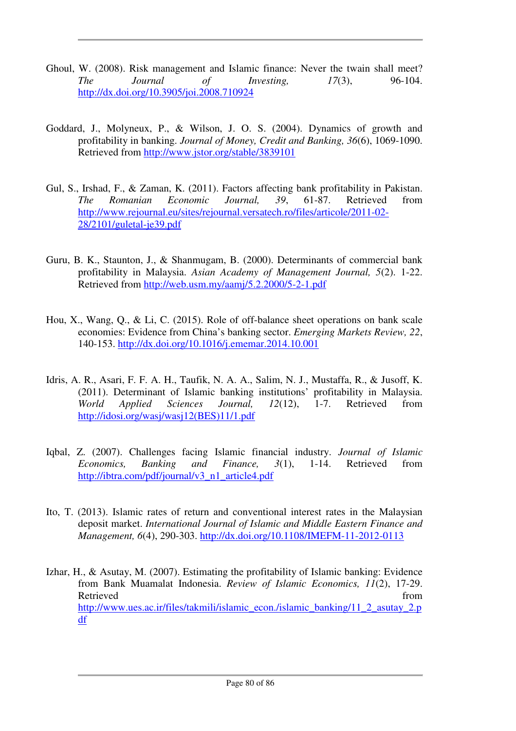- Ghoul, W. (2008). Risk management and Islamic finance: Never the twain shall meet? *The Journal of Investing, 17*(3), 96-104. http://dx.doi.org/10.3905/joi.2008.710924
- Goddard, J., Molyneux, P., & Wilson, J. O. S. (2004). Dynamics of growth and profitability in banking. *Journal of Money, Credit and Banking, 36*(6), 1069-1090. Retrieved from http://www.jstor.org/stable/3839101
- Gul, S., Irshad, F., & Zaman, K. (2011). Factors affecting bank profitability in Pakistan. *The Romanian Economic Journal, 39*, 61-87. Retrieved from http://www.rejournal.eu/sites/rejournal.versatech.ro/files/articole/2011-02- 28/2101/guletal-je39.pdf
- Guru, B. K., Staunton, J., & Shanmugam, B. (2000). Determinants of commercial bank profitability in Malaysia. *Asian Academy of Management Journal, 5*(2). 1-22. Retrieved from http://web.usm.my/aamj/5.2.2000/5-2-1.pdf
- Hou, X., Wang, Q., & Li, C. (2015). Role of off-balance sheet operations on bank scale economies: Evidence from China's banking sector. *Emerging Markets Review, 22*, 140-153. http://dx.doi.org/10.1016/j.ememar.2014.10.001
- Idris, A. R., Asari, F. F. A. H., Taufik, N. A. A., Salim, N. J., Mustaffa, R., & Jusoff, K. (2011). Determinant of Islamic banking institutions' profitability in Malaysia. *World Applied Sciences Journal, 12*(12), 1-7. Retrieved from http://idosi.org/wasj/wasj12(BES)11/1.pdf
- Iqbal, Z. (2007). Challenges facing Islamic financial industry. *Journal of Islamic Economics, Banking and Finance, 3*(1), 1-14. Retrieved from http://ibtra.com/pdf/journal/v3\_n1\_article4.pdf
- Ito, T. (2013). Islamic rates of return and conventional interest rates in the Malaysian deposit market. *International Journal of Islamic and Middle Eastern Finance and Management, 6*(4), 290-303. http://dx.doi.org/10.1108/IMEFM-11-2012-0113
- Izhar, H., & Asutay, M. (2007). Estimating the profitability of Islamic banking: Evidence from Bank Muamalat Indonesia. *Review of Islamic Economics, 11*(2), 17-29. Retrieved from the state of the state of the state of the state of the state of the state of the state of the state of the state of the state of the state of the state of the state of the state of the state of the state of http://www.ues.ac.ir/files/takmili/islamic\_econ./islamic\_banking/11\_2\_asutay\_2.p df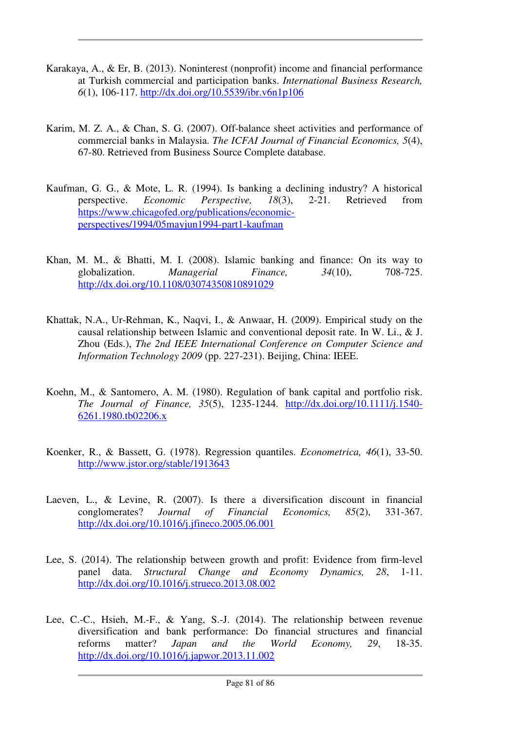- Karakaya, A., & Er, B. (2013). Noninterest (nonprofit) income and financial performance at Turkish commercial and participation banks. *International Business Research, 6*(1), 106-117. http://dx.doi.org/10.5539/ibr.v6n1p106
- Karim, M. Z. A., & Chan, S. G. (2007). Off-balance sheet activities and performance of commercial banks in Malaysia. *The ICFAI Journal of Financial Economics, 5*(4), 67-80. Retrieved from Business Source Complete database.
- Kaufman, G. G., & Mote, L. R. (1994). Is banking a declining industry? A historical perspective. *Economic Perspective, 18*(3), 2-21. Retrieved from https://www.chicagofed.org/publications/economicperspectives/1994/05mayjun1994-part1-kaufman
- Khan, M. M., & Bhatti, M. I. (2008). Islamic banking and finance: On its way to globalization. *Managerial Finance, 34*(10), 708-725. http://dx.doi.org/10.1108/03074350810891029
- Khattak, N.A., Ur-Rehman, K., Naqvi, I., & Anwaar, H. (2009). Empirical study on the causal relationship between Islamic and conventional deposit rate. In W. Li., & J. Zhou (Eds.), *The 2nd IEEE International Conference on Computer Science and Information Technology 2009* (pp. 227-231). Beijing, China: IEEE.
- Koehn, M., & Santomero, A. M. (1980). Regulation of bank capital and portfolio risk. *The Journal of Finance, 35*(5), 1235-1244. http://dx.doi.org/10.1111/j.1540- 6261.1980.tb02206.x
- Koenker, R., & Bassett, G. (1978). Regression quantiles. *Econometrica, 46*(1), 33-50. http://www.jstor.org/stable/1913643
- Laeven, L., & Levine, R. (2007). Is there a diversification discount in financial conglomerates? *Journal of Financial Economics, 85*(2), 331-367. http://dx.doi.org/10.1016/j.jfineco.2005.06.001
- Lee, S. (2014). The relationship between growth and profit: Evidence from firm-level panel data. *Structural Change and Economy Dynamics, 28*, 1-11. http://dx.doi.org/10.1016/j.strueco.2013.08.002
- Lee, C.-C., Hsieh, M.-F., & Yang, S.-J. (2014). The relationship between revenue diversification and bank performance: Do financial structures and financial reforms matter? *Japan and the World Economy, 29*, 18-35. http://dx.doi.org/10.1016/j.japwor.2013.11.002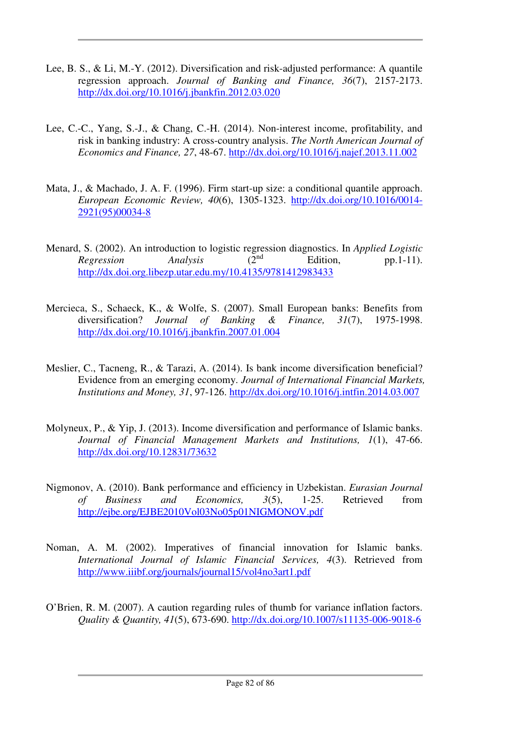- Lee, B. S., & Li, M.-Y. (2012). Diversification and risk-adjusted performance: A quantile regression approach. *Journal of Banking and Finance, 36*(7), 2157-2173. http://dx.doi.org/10.1016/j.jbankfin.2012.03.020
- Lee, C.-C., Yang, S.-J., & Chang, C.-H. (2014). Non-interest income, profitability, and risk in banking industry: A cross-country analysis. *The North American Journal of Economics and Finance, 27*, 48-67. http://dx.doi.org/10.1016/j.najef.2013.11.002
- Mata, J., & Machado, J. A. F. (1996). Firm start-up size: a conditional quantile approach. *European Economic Review, 40*(6), 1305-1323. http://dx.doi.org/10.1016/0014- 2921(95)00034-8
- Menard, S. (2002). An introduction to logistic regression diagnostics. In *Applied Logistic Regression Analysis* (2<sup>nd</sup> Edition, pp.1-11). http://dx.doi.org.libezp.utar.edu.my/10.4135/9781412983433
- Mercieca, S., Schaeck, K., & Wolfe, S. (2007). Small European banks: Benefits from diversification? *Journal of Banking & Finance, 31*(7), 1975-1998. http://dx.doi.org/10.1016/j.jbankfin.2007.01.004
- Meslier, C., Tacneng, R., & Tarazi, A. (2014). Is bank income diversification beneficial? Evidence from an emerging economy. *Journal of International Financial Markets, Institutions and Money, 31*, 97-126. http://dx.doi.org/10.1016/j.intfin.2014.03.007
- Molyneux, P., & Yip, J. (2013). Income diversification and performance of Islamic banks. *Journal of Financial Management Markets and Institutions, 1*(1), 47-66. http://dx.doi.org/10.12831/73632
- Nigmonov, A. (2010). Bank performance and efficiency in Uzbekistan. *Eurasian Journal of Business and Economics, 3*(5), 1-25. Retrieved from http://ejbe.org/EJBE2010Vol03No05p01NIGMONOV.pdf
- Noman, A. M. (2002). Imperatives of financial innovation for Islamic banks. *International Journal of Islamic Financial Services, 4*(3). Retrieved from http://www.iiibf.org/journals/journal15/vol4no3art1.pdf
- O'Brien, R. M. (2007). A caution regarding rules of thumb for variance inflation factors. *Quality & Quantity, 41*(5), 673-690. http://dx.doi.org/10.1007/s11135-006-9018-6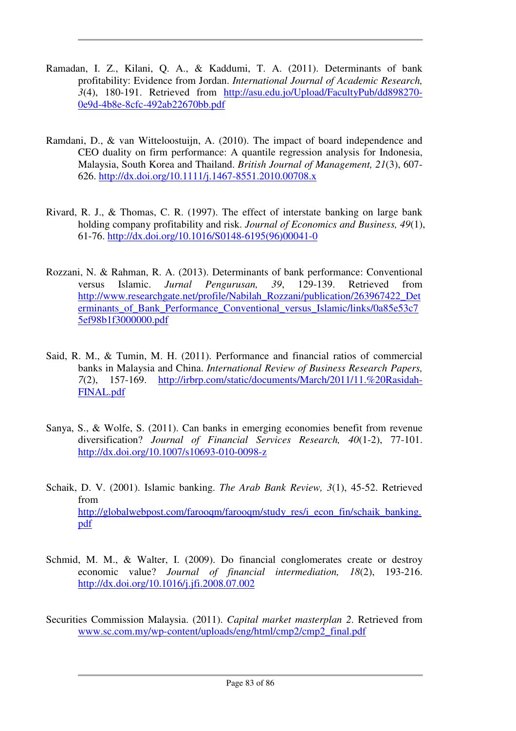- Ramadan, I. Z., Kilani, Q. A., & Kaddumi, T. A. (2011). Determinants of bank profitability: Evidence from Jordan. *International Journal of Academic Research, 3*(4), 180-191. Retrieved from http://asu.edu.jo/Upload/FacultyPub/dd898270- 0e9d-4b8e-8cfc-492ab22670bb.pdf
- Ramdani, D., & van Witteloostuijn, A. (2010). The impact of board independence and CEO duality on firm performance: A quantile regression analysis for Indonesia, Malaysia, South Korea and Thailand. *British Journal of Management, 21*(3), 607- 626. http://dx.doi.org/10.1111/j.1467-8551.2010.00708.x
- Rivard, R. J., & Thomas, C. R. (1997). The effect of interstate banking on large bank holding company profitability and risk. *Journal of Economics and Business, 49*(1), 61-76. http://dx.doi.org/10.1016/S0148-6195(96)00041-0
- Rozzani, N. & Rahman, R. A. (2013). Determinants of bank performance: Conventional versus Islamic. *Jurnal Pengurusan, 39*, 129-139. Retrieved from http://www.researchgate.net/profile/Nabilah\_Rozzani/publication/263967422\_Det erminants\_of\_Bank\_Performance\_Conventional\_versus\_Islamic/links/0a85e53c7 5ef98b1f3000000.pdf
- Said, R. M., & Tumin, M. H. (2011). Performance and financial ratios of commercial banks in Malaysia and China. *International Review of Business Research Papers, 7*(2), 157-169. http://irbrp.com/static/documents/March/2011/11.%20Rasidah-FINAL.pdf
- Sanya, S., & Wolfe, S. (2011). Can banks in emerging economies benefit from revenue diversification? *Journal of Financial Services Research, 40*(1-2), 77-101. http://dx.doi.org/10.1007/s10693-010-0098-z
- Schaik, D. V. (2001). Islamic banking. *The Arab Bank Review, 3*(1), 45-52. Retrieved from http://globalwebpost.com/farooqm/farooqm/study\_res/i\_econ\_fin/schaik\_banking. pdf
- Schmid, M. M., & Walter, I. (2009). Do financial conglomerates create or destroy economic value? *Journal of financial intermediation, 18*(2), 193-216. http://dx.doi.org/10.1016/j.jfi.2008.07.002
- Securities Commission Malaysia. (2011). *Capital market masterplan 2*. Retrieved from www.sc.com.my/wp-content/uploads/eng/html/cmp2/cmp2\_final.pdf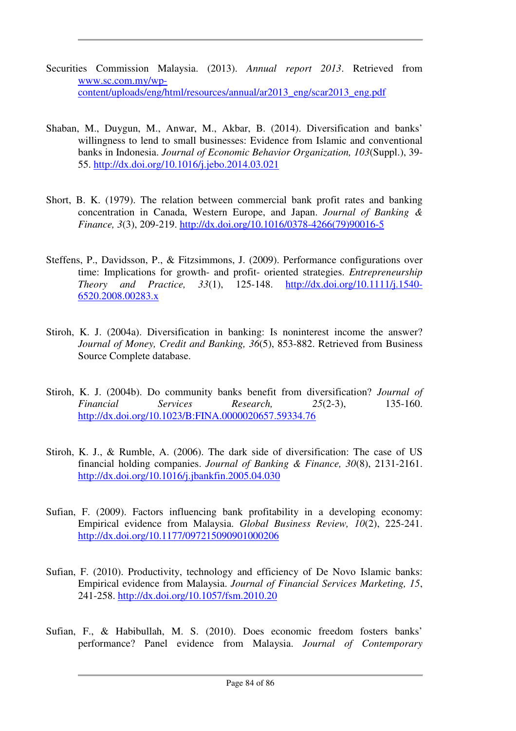- Securities Commission Malaysia. (2013). *Annual report 2013*. Retrieved from www.sc.com.my/wpcontent/uploads/eng/html/resources/annual/ar2013\_eng/scar2013\_eng.pdf
- Shaban, M., Duygun, M., Anwar, M., Akbar, B. (2014). Diversification and banks' willingness to lend to small businesses: Evidence from Islamic and conventional banks in Indonesia. *Journal of Economic Behavior Organization, 103*(Suppl.), 39- 55. http://dx.doi.org/10.1016/j.jebo.2014.03.021
- Short, B. K. (1979). The relation between commercial bank profit rates and banking concentration in Canada, Western Europe, and Japan. *Journal of Banking & Finance, 3*(3), 209-219. http://dx.doi.org/10.1016/0378-4266(79)90016-5
- Steffens, P., Davidsson, P., & Fitzsimmons, J. (2009). Performance configurations over time: Implications for growth- and profit- oriented strategies. *Entrepreneurship Theory and Practice, 33*(1), 125-148. http://dx.doi.org/10.1111/j.1540- 6520.2008.00283.x
- Stiroh, K. J. (2004a). Diversification in banking: Is noninterest income the answer? *Journal of Money, Credit and Banking, 36*(5), 853-882. Retrieved from Business Source Complete database.
- Stiroh, K. J. (2004b). Do community banks benefit from diversification? *Journal of Financial Services Research, 25*(2-3), 135-160. http://dx.doi.org/10.1023/B:FINA.0000020657.59334.76
- Stiroh, K. J., & Rumble, A. (2006). The dark side of diversification: The case of US financial holding companies. *Journal of Banking & Finance, 30*(8), 2131-2161. http://dx.doi.org/10.1016/j.jbankfin.2005.04.030
- Sufian, F. (2009). Factors influencing bank profitability in a developing economy: Empirical evidence from Malaysia. *Global Business Review, 10*(2), 225-241. http://dx.doi.org/10.1177/097215090901000206
- Sufian, F. (2010). Productivity, technology and efficiency of De Novo Islamic banks: Empirical evidence from Malaysia. *Journal of Financial Services Marketing, 15*, 241-258. http://dx.doi.org/10.1057/fsm.2010.20
- Sufian, F., & Habibullah, M. S. (2010). Does economic freedom fosters banks' performance? Panel evidence from Malaysia. *Journal of Contemporary*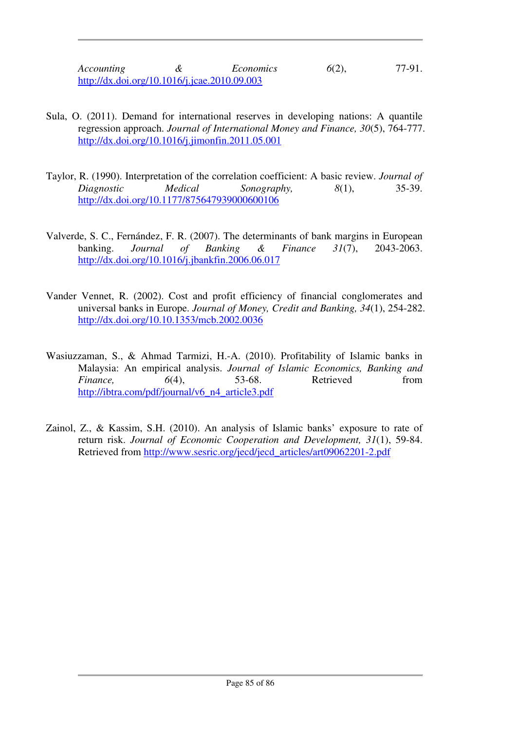*Accounting* & *Economics* 6(2), 77-91. http://dx.doi.org/10.1016/j.jcae.2010.09.003

- Sula, O. (2011). Demand for international reserves in developing nations: A quantile regression approach. *Journal of International Money and Finance, 30*(5), 764-777. http://dx.doi.org/10.1016/j.jimonfin.2011.05.001
- Taylor, R. (1990). Interpretation of the correlation coefficient: A basic review. *Journal of Diagnostic Medical Sonography, 8*(1), 35-39. http://dx.doi.org/10.1177/875647939000600106
- Valverde, S. C., Fernández, F. R. (2007). The determinants of bank margins in European banking. *Journal of Banking & Finance 31*(7), 2043-2063. http://dx.doi.org/10.1016/j.jbankfin.2006.06.017
- Vander Vennet, R. (2002). Cost and profit efficiency of financial conglomerates and universal banks in Europe. *Journal of Money, Credit and Banking, 34*(1), 254-282. http://dx.doi.org/10.10.1353/mcb.2002.0036
- Wasiuzzaman, S., & Ahmad Tarmizi, H.-A. (2010). Profitability of Islamic banks in Malaysia: An empirical analysis. *Journal of Islamic Economics, Banking and Finance*, 6(4), 53-68. Retrieved from http://ibtra.com/pdf/journal/v6\_n4\_article3.pdf
- Zainol, Z., & Kassim, S.H. (2010). An analysis of Islamic banks' exposure to rate of return risk. *Journal of Economic Cooperation and Development, 31*(1), 59-84. Retrieved from http://www.sesric.org/jecd/jecd\_articles/art09062201-2.pdf